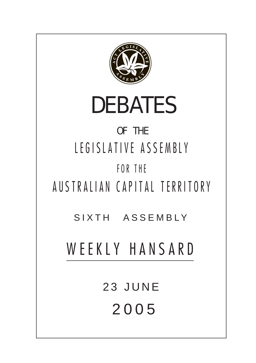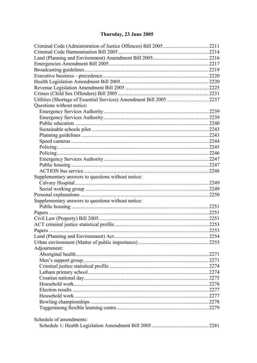# Thursday, 23 June 2005

| Utilities (Shortage of Essential Services) Amendment Bill 2005 2237 |  |
|---------------------------------------------------------------------|--|
| Questions without notice:                                           |  |
|                                                                     |  |
|                                                                     |  |
|                                                                     |  |
|                                                                     |  |
|                                                                     |  |
|                                                                     |  |
|                                                                     |  |
|                                                                     |  |
|                                                                     |  |
|                                                                     |  |
|                                                                     |  |
| Supplementary answers to questions without notice:                  |  |
|                                                                     |  |
|                                                                     |  |
|                                                                     |  |
| Supplementary answers to questions without notice:                  |  |
|                                                                     |  |
|                                                                     |  |
|                                                                     |  |
|                                                                     |  |
|                                                                     |  |
|                                                                     |  |
|                                                                     |  |
| Adjournment:                                                        |  |
|                                                                     |  |
|                                                                     |  |
|                                                                     |  |
|                                                                     |  |
|                                                                     |  |
|                                                                     |  |
|                                                                     |  |
|                                                                     |  |
|                                                                     |  |
|                                                                     |  |
| Schedule of amendments:                                             |  |
|                                                                     |  |
|                                                                     |  |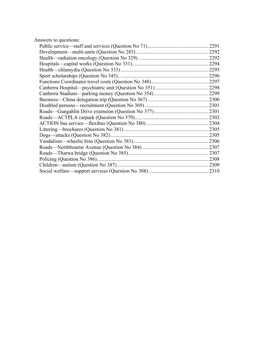|  | Answers to questions: |
|--|-----------------------|
|--|-----------------------|

| 2291 |
|------|
| 2292 |
| 2292 |
| 2294 |
| 2295 |
| 2296 |
| 2297 |
| 2298 |
| 2299 |
| 2300 |
| 2301 |
| 2301 |
| 2302 |
| 2304 |
| 2305 |
| 2305 |
| 2306 |
| 2307 |
| 2307 |
| 2308 |
| 2309 |
| 2310 |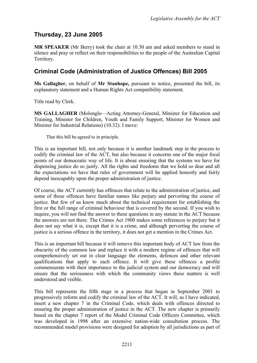# **Thursday, 23 June 2005**

**MR SPEAKER** (Mr Berry) took the chair at 10.30 am and asked members to stand in silence and pray or reflect on their responsibilities to the people of the Australian Capital Territory.

## <span id="page-3-0"></span>**Criminal Code (Administration of Justice Offences) Bill 2005**

**Ms Gallagher**, on behalf of **Mr Stanhope,** pursuant to notice, presented the bill, its explanatory statement and a Human Rights Act compatibility statement.

Title read by Clerk.

**MS GALLAGHER** (Molonglo—Acting Attorney-General, Minister for Education and Training, Minister for Children, Youth and Family Support, Minister for Women and Minister for Industrial Relations) (10.32): I move:

That this bill be agreed to in principle.

This is an important bill, not only because it is another landmark step in the process to codify the criminal law of the ACT, but also because it concerns one of the major focal points of our democratic way of life. It is about ensuring that the systems we have for dispensing justice do so justly. All the rights and freedoms that we hold so dear and all the expectations we have that rules of government will be applied honestly and fairly depend inescapably upon the proper administration of justice.

Of course, the ACT currently has offences that relate to the administration of justice, and some of those offences have familiar names like perjury and perverting the course of justice. But few of us know much about the technical requirement for establishing the first or the full range of criminal behaviour that is covered by the second. If you wish to inquire, you will not find the answer to these questions in any statute in the ACT because the answers are not there. The Crimes Act 1900 makes some references to perjury but it does not say what it is, except that it is a crime, and although perverting the course of justice is a serious offence in the territory, it does not get a mention in the Crimes Act.

This is an important bill because it will remove this important body of ACT law from the obscurity of the common law and replace it with a modern regime of offences that will comprehensively set out in clear language the elements, defences and other relevant qualifications that apply to each offence. It will give these offences a profile commensurate with their importance to the judicial system and our democracy and will ensure that the seriousness with which the community views these matters is well understood and visible.

This bill represents the fifth stage in a process that began in September 2001 to progressively reform and codify the criminal law of the ACT. It will, as I have indicated, insert a new chapter 7 in the Criminal Code, which deals with offences directed to ensuring the proper administration of justice in the ACT. The new chapter is primarily based on the chapter 7 report of the Model Criminal Code Officers Committee, which was developed in 1998 after an extensive nation-wide consultation process. The recommended model provisions were designed for adoption by all jurisdictions as part of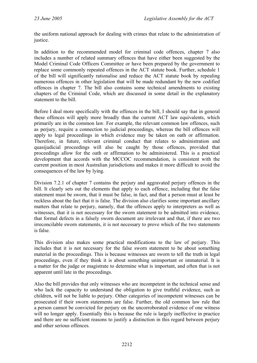the uniform national approach for dealing with crimes that relate to the administration of justice.

In addition to the recommended model for criminal code offences, chapter 7 also includes a number of related summary offences that have either been suggested by the Model Criminal Code Officers Committee or have been prepared by the government to replace some commonly repeated offences in the ACT statute book. Further, schedule 1 of the bill will significantly rationalise and reduce the ACT statute book by repealing numerous offences in other legislation that will be made redundant by the new codified offences in chapter 7. The bill also contains some technical amendments to existing chapters of the Criminal Code, which are discussed in some detail in the explanatory statement to the bill.

Before I deal more specifically with the offences in the bill, I should say that in general these offences will apply more broadly than the current ACT law equivalents, which primarily are in the common law. For example, the relevant common law offences, such as perjury, require a connection to judicial proceedings, whereas the bill offences will apply to legal proceedings in which evidence may be taken on oath or affirmation. Therefore, in future, relevant criminal conduct that relates to administration and quasijudicial proceedings will also be caught by those offences, provided that proceedings allow for the oath or affirmation to be administered. This is a practical development that accords with the MCCOC recommendation, is consistent with the current position in most Australian jurisdictions and makes it more difficult to avoid the consequences of the law by lying.

Division 7.2.1 of chapter 7 contains the perjury and aggravated perjury offences in the bill. It clearly sets out the elements that apply to each offence, including that the false statement must be sworn, that it must be false, in fact, and that a person must at least be reckless about the fact that it is false. The division also clarifies some important ancillary matters that relate to perjury, namely, that the offences apply to interpreters as well as witnesses, that it is not necessary for the sworn statement to be admitted into evidence, that formal defects in a falsely sworn document are irrelevant and that, if there are two irreconcilable sworn statements, it is not necessary to prove which of the two statements is false.

This division also makes some practical modifications to the law of perjury. This includes that it is not necessary for the false sworn statement to be about something material in the proceedings. This is because witnesses are sworn to tell the truth in legal proceedings, even if they think it is about something unimportant or immaterial. It is a matter for the judge or magistrate to determine what is important, and often that is not apparent until late in the proceedings.

Also the bill provides that only witnesses who are incompetent in the technical sense and who lack the capacity to understand the obligation to give truthful evidence, such as children, will not be liable to perjury. Other categories of incompetent witnesses can be prosecuted if their sworn statements are false. Further, the old common law rule that a person cannot be convicted for perjury on the uncorroborated evidence of one witness will no longer apply. Essentially this is because the rule is largely ineffective in practice and there are no sufficient reasons to justify a distinction in this regard between perjury and other serious offences.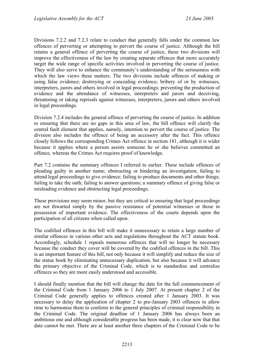Divisions 7.2.2 and 7.2.3 relate to conduct that generally falls under the common law offences of perverting or attempting to pervert the course of justice. Although the bill retains a general offence of perverting the course of justice, these two divisions will improve the effectiveness of the law by creating separate offences that more accurately target the wide range of specific activities involved in perverting the course of justice. They will also serve to enhance the community's understanding of the seriousness with which the law views these matters. The two divisions include offences of making or using false evidence; destroying or concealing evidence; bribery of or by witnesses, interpreters, jurors and others involved in legal proceedings; preventing the production of evidence and the attendance of witnesses, interpreters and jurors and deceiving, threatening or taking reprisals against witnesses, interpreters, jurors and others involved in legal proceedings.

Division 7.2.4 includes the general offence of perverting the course of justice. In addition to ensuring that there are no gaps in this area of law, the bill offence will clarify the central fault element that applies, namely, intention to pervert the course of justice. The division also includes the offence of being an accessory after the fact. This offence closely follows the corresponding Crimes Act offence in section 181, although it is wider because it applies where a person assists someone he or she believes committed an offence, whereas the Crimes Act requires proof of knowledge.

Part 7.2 contains the summary offences I referred to earlier. These include offences of pleading guilty in another name; obstructing or hindering an investigation; failing to attend legal proceedings to give evidence; failing to produce documents and other things; failing to take the oath; failing to answer questions; a summary offence of giving false or misleading evidence and obstructing legal proceedings.

These provisions may seem minor, but they are critical to ensuring that legal proceedings are not thwarted simply by the passive resistance of potential witnesses or those in possession of important evidence. The effectiveness of the courts depends upon the participation of all citizens when called upon.

The codified offences in this bill will make it unnecessary to retain a large number of similar offences in various other acts and regulations throughout the ACT statute book. Accordingly, schedule 1 repeals numerous offences that will no longer be necessary because the conduct they cover will be covered by the codified offences in the bill. This is an important feature of this bill, not only because it will simplify and reduce the size of the statue book by eliminating unnecessary duplication, but also because it will advance the primary objective of the Criminal Code, which is to standardise and centralise offences so they are more easily understood and accessible.

I should finally mention that the bill will change the date for the full commencement of the Criminal Code from 1 January 2006 to 1 July 2007. At present chapter 2 of the Criminal Code generally applies to offences created after 1 January 2003. It was necessary to delay the application of chapter 2 to pre-January 2003 offences to allow time to harmonise them to conform to the general principles of criminal responsibility in the Criminal Code. The original deadline of 1 January 2006 has always been an ambitious one and although considerable progress has been made, it is clear now that that date cannot be met. There are at least another three chapters of the Criminal Code to be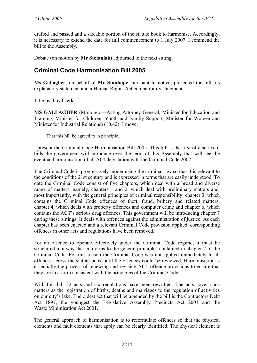drafted and passed and a sizeable portion of the statute book to harmonise. Accordingly, it is necessary to extend the date for full commencement to 1 July 2007. I commend the bill to the Assembly.

Debate (on motion by **Mr Stefaniak**) adjourned to the next sitting.

# <span id="page-6-0"></span>**Criminal Code Harmonisation Bill 2005**

**Ms Gallagher**, on behalf of **Mr Stanhope**, pursuant to notice, presented the bill, its explanatory statement and a Human Rights Act compatibility statement.

Title read by Clerk.

**MS GALLAGHER** (Molonglo—Acting Attorney-General, Minister for Education and Training, Minister for Children, Youth and Family Support, Minister for Women and Minister for Industrial Relations) (10.42): I move:

That this bill be agreed to in principle.

I present the Criminal Code Harmonisation Bill 2005. This bill is the first of a series of bills the government will introduce over the term of this Assembly that will see the eventual harmonisation of all ACT legislation with the Criminal Code 2002.

The Criminal Code is progressively modernising the criminal law so that it is relevant to the conditions of the 21st century and is expressed in terms that are easily understood. To date the Criminal Code consist of five chapters, which deal with a broad and diverse range of matters, namely, chapters 1 and 2, which deal with preliminary matters and, most importantly, with the general principles of criminal responsibility; chapter 3, which contains the Criminal Code offences of theft, fraud, bribery and related matters; chapter 4, which deals with property offences and computer crime and chapter 6, which contains the ACT's serious drug offences. This government will be introducing chapter 7 during these sittings. It deals with offences against the administration of justice. As each chapter has been enacted and a relevant Criminal Code provision applied, corresponding offences in other acts and regulations have been removed.

For an offence to operate effectively under the Criminal Code regime, it must be structured in a way that conforms to the general principles contained in chapter 2 of the Criminal Code. For this reason the Criminal Code was not applied immediately to all offences across the statute book until the offences could be reviewed. Harmonisation is essentially the process of renewing and revising ACT offence provisions to ensure that they are in a form consistent with the principles of the Criminal Code.

With this bill 32 acts and six regulations have been rewritten. The acts cover such matters as the registration of births, deaths and marriages to the regulation of activities on our city's lake. The oldest act that will be amended by the bill is the Contractors Debt Act 1897, the youngest the Legislative Assembly Precincts Act 2001 and the Waste Minimisation Act 2001.

The general approach of harmonisation is to reformulate offences so that the physical elements and fault elements that apply can be clearly identified. The physical element is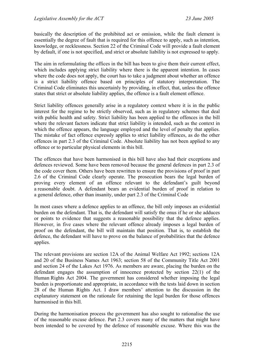basically the description of the prohibited act or omission, while the fault element is essentially the degree of fault that is required for this offence to apply, such as intention, knowledge, or recklessness. Section 22 of the Criminal Code will provide a fault element by default, if one is not specified, and strict or absolute liability is not expressed to apply.

The aim in reformulating the offices in the bill has been to give them their current effect, which includes applying strict liability where there is the apparent intention. In cases where the code does not apply, the court has to take a judgment about whether an offence is a strict liability offence based on principles of statutory interpretation. The Criminal Code eliminates this uncertainly by providing, in effect, that, unless the offence states that strict or absolute liability applies, the offence is a fault element offence.

Strict liability offences generally arise in a regulatory context where it is in the public interest for the regime to be strictly observed, such as in regulatory schemes that deal with public health and safety. Strict liability has been applied to the offences in the bill where the relevant factors indicate that strict liability is intended, such as the context in which the offence appears, the language employed and the level of penalty that applies. The mistake of fact offence expressly applies to strict liability offences, as do the other offences in part 2.3 of the Criminal Code. Absolute liability has not been applied to any offence or to particular physical elements in this bill.

The offences that have been harmonised in this bill have also had their exceptions and defences reviewed. Some have been removed because the general defences in part 2.3 of the code cover them. Others have been rewritten to ensure the provisions of proof in part 2.6 of the Criminal Code clearly operate. The prosecution bears the legal burden of proving every element of an offence relevant to the defendant's guilt beyond a reasonable doubt. A defendant bears an evidential burden of proof in relation to a general defence, other than insanity, under part 2.3 of the Criminal Code

In most cases where a defence applies to an offence, the bill only imposes an evidential burden on the defendant. That is, the defendant will satisfy the onus if he or she adduces or points to evidence that suggests a reasonable possibility that the defence applies. However, in five cases where the relevant offence already imposes a legal burden of proof on the defendant, the bill will maintain that position. That is, to establish the defence, the defendant will have to prove on the balance of probabilities that the defence applies.

The relevant provisions are section 12A of the Animal Welfare Act 1992; sections 12A and 20 of the Business Names Act 1963; section 58 of the Community Title Act 2001 and section 24 of the Lakes Act 1976. As members are aware, placing the burden on the defendant engages the assumption of innocence protected by section 22(1) of the Human Rights Act 2004. The government has considered whether imposing the legal burden is proportionate and appropriate, in accordance with the tests laid down in section 28 of the Human Rights Act. I draw members' attention to the discussion in the explanatory statement on the rationale for retaining the legal burden for those offences harmonised in this bill.

During the harmonisation process the government has also sought to rationalise the use of the reasonable excuse defence. Part 2.3 covers many of the matters that might have been intended to be covered by the defence of reasonable excuse. Where this was the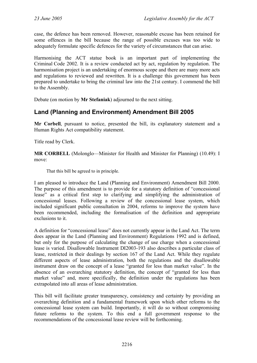case, the defence has been removed. However, reasonable excuse has been retained for some offences in the bill because the range of possible excuses was too wide to adequately formulate specific defences for the variety of circumstances that can arise.

Harmonising the ACT statue book is an important part of implementing the Criminal Code 2002. It is a review conducted act by act, regulation by regulation. The harmonisation project is an undertaking of enormous scope and there are many more acts and regulations to reviewed and rewritten. It is a challenge this government has been prepared to undertake to bring the criminal law into the 21st century. I commend the bill to the Assembly.

Debate (on motion by **Mr Stefaniak**) adjourned to the next sitting.

## <span id="page-8-0"></span>**Land (Planning and Environment) Amendment Bill 2005**

**Mr Corbell**, pursuant to notice, presented the bill, its explanatory statement and a Human Rights Act compatibility statement.

Title read by Clerk.

**MR CORBELL** (Molonglo—Minister for Health and Minister for Planning) (10.49): I move:

That this bill be agreed to in principle.

I am pleased to introduce the Land (Planning and Environment) Amendment Bill 2000. The purpose of this amendment is to provide for a statutory definition of "concessional lease" as a critical first step to clarifying and simplifying the administration of concessional leases. Following a review of the concessional lease system, which included significant public consultation in 2004, reforms to improve the system have been recommended, including the formalisation of the definition and appropriate exclusions to it.

A definition for "concessional lease" does not currently appear in the Land Act. The term does appear in the Land (Planning and Environment) Regulations 1992 and is defined, but only for the purpose of calculating the change of use charge when a concessional lease is varied. Disallowable Instrument DI2003-193 also describes a particular class of lease, restricted in their dealings by section 167 of the Land Act. While they regulate different aspects of lease administration, both the regulations and the disallowable instrument draw on the concept of a lease "granted for less than market value". In the absence of an overarching statutory definition, the concept of "granted for less than market value" and, more specifically, the definition under the regulations has been extrapolated into all areas of lease administration.

This bill will facilitate greater transparency, consistency and certainty by providing an overarching definition and a fundamental framework upon which other reforms to the concessional lease system can build. Importantly, it will do so without compromising future reforms to the system. To this end a full government response to the recommendations of the concessional lease review will be forthcoming.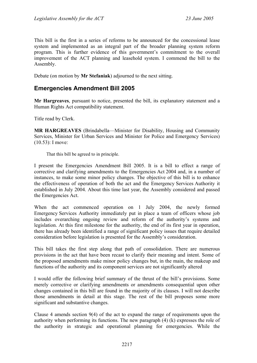This bill is the first in a series of reforms to be announced for the concessional lease system and implemented as an integral part of the broader planning system reform program. This is further evidence of this government's commitment to the overall improvement of the ACT planning and leasehold system. I commend the bill to the Assembly.

Debate (on motion by **Mr Stefaniak**) adjourned to the next sitting.

## <span id="page-9-0"></span>**Emergencies Amendment Bill 2005**

**Mr Hargreaves**, pursuant to notice, presented the bill, its explanatory statement and a Human Rights Act compatibility statement.

Title read by Clerk.

**MR HARGREAVES** (Brindabella—Minister for Disability, Housing and Community Services, Minister for Urban Services and Minister for Police and Emergency Services) (10.53): I move:

That this bill be agreed to in principle.

I present the Emergencies Amendment Bill 2005. It is a bill to effect a range of corrective and clarifying amendments to the Emergencies Act 2004 and, in a number of instances, to make some minor policy changes. The objective of this bill is to enhance the effectiveness of operation of both the act and the Emergency Services Authority it established in July 2004. About this time last year, the Assembly considered and passed the Emergencies Act.

When the act commenced operation on 1 July 2004, the newly formed Emergency Services Authority immediately put in place a team of officers whose job includes overarching ongoing review and reform of the authority's systems and legislation. At this first milestone for the authority, the end of its first year in operation, there has already been identified a range of significant policy issues that require detailed consideration before legislation is presented for the Assembly's consideration.

This bill takes the first step along that path of consolidation. There are numerous provisions in the act that have been recast to clarify their meaning and intent. Some of the proposed amendments make minor policy changes but, in the main, the makeup and functions of the authority and its component services are not significantly altered

I would offer the following brief summary of the thrust of the bill's provisions. Some merely corrective or clarifying amendments or amendments consequential upon other changes contained in this bill are found in the majority of its clauses. I will not describe those amendments in detail at this stage. The rest of the bill proposes some more significant and substantive changes.

Clause 4 amends section 9(4) of the act to expand the range of requirements upon the authority when performing its functions. The new paragraph (4) (k) expresses the role of the authority in strategic and operational planning for emergencies. While the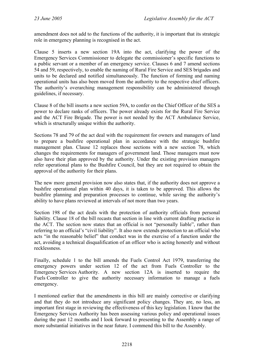amendment does not add to the functions of the authority, it is important that its strategic role in emergency planning is recognised in the act.

Clause 5 inserts a new section 19A into the act, clarifying the power of the Emergency Services Commissioner to delegate the commissioner's specific functions to a public servant or a member of an emergency service. Clauses 6 and 7 amend sections 54 and 59, respectively, to enable the naming of Rural Fire Service and SES brigades and units to be declared and notified simultaneously. The function of forming and naming operational units has also been moved from the authority to the respective chief officers. The authority's overarching management responsibility can be administered through guidelines, if necessary.

Clause 8 of the bill inserts a new section 59A, to confer on the Chief Officer of the SES a power to declare ranks of officers. The power already exists for the Rural Fire Service and the ACT Fire Brigade. The power is not needed by the ACT Ambulance Service, which is structurally unique within the authority.

Sections 78 and 79 of the act deal with the requirement for owners and managers of land to prepare a bushfire operational plan in accordance with the strategic bushfire management plan. Clause 12 replaces those sections with a new section 78, which changes the requirements for managers of government land. Those managers must now also have their plan approved by the authority. Under the existing provision managers refer operational plans to the Bushfire Council, but they are not required to obtain the approval of the authority for their plans.

The new more general provision now also states that, if the authority does not approve a bushfire operational plan within 40 days, it is taken to be approved. This allows the bushfire planning and preparation processes to continue, while saving the authority's ability to have plans reviewed at intervals of not more than two years.

Section 198 of the act deals with the protection of authority officials from personal liability. Clause 18 of the bill recasts that section in line with current drafting practice in the ACT. The section now states that an official is not "personally liable", rather than referring to an official's "civil liability". It also now extends protection to an official who acts "in the reasonable belief" that conduct was in the exercise of a function under the act, avoiding a technical disqualification of an officer who is acting honestly and without recklessness.

Finally, schedule 1 to the bill amends the Fuels Control Act 1979, transferring the emergency powers under section 12 of the act from Fuels Controller to the Emergency Services Authority. A new section 12A is inserted to require the Fuels Controller to give the authority necessary information to manage a fuels emergency.

I mentioned earlier that the amendments in this bill are mainly corrective or clarifying and that they do not introduce any significant policy changes. They are, no less, an important first stage in reviewing the effectiveness of this key legislation. I know that the Emergency Services Authority has been assessing various policy and operational issues during the past 12 months and I look forward to presenting to the Assembly a range of more substantial initiatives in the near future. I commend this bill to the Assembly.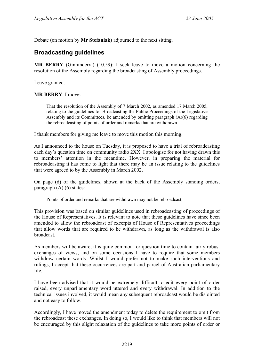Debate (on motion by **Mr Stefaniak**) adjourned to the next sitting.

## <span id="page-11-0"></span>**Broadcasting guidelines**

**MR BERRY** (Ginninderra) (10.59): I seek leave to move a motion concerning the resolution of the Assembly regarding the broadcasting of Assembly proceedings.

Leave granted.

#### **MR BERRY**: I move:

That the resolution of the Assembly of 7 March 2002, as amended 17 March 2005, relating to the guidelines for Broadcasting the Public Proceedings of the Legislative Assembly and its Committees, be amended by omitting paragraph (A)(6) regarding the rebroadcasting of points of order and remarks that are withdrawn.

I thank members for giving me leave to move this motion this morning.

As I announced to the house on Tuesday, it is proposed to have a trial of rebroadcasting each day's question time on community radio 2XX. I apologise for not having drawn this to members' attention in the meantime. However, in preparing the material for rebroadcasting it has come to light that there may be an issue relating to the guidelines that were agreed to by the Assembly in March 2002.

On page (d) of the guidelines, shown at the back of the Assembly standing orders, paragraph (A) (6) states:

Points of order and remarks that are withdrawn may not be rebroadcast;

This provision was based on similar guidelines used in rebroadcasting of proceedings of the House of Representatives. It is relevant to note that these guidelines have since been amended to allow the rebroadcast of excerpts of House of Representatives proceedings that allow words that are required to be withdrawn, as long as the withdrawal is also broadcast.

As members will be aware, it is quite common for question time to contain fairly robust exchanges of views, and on some occasions I have to require that some members withdraw certain words. Whilst I would prefer not to make such interventions and rulings, I accept that these occurrences are part and parcel of Australian parliamentary life.

I have been advised that it would be extremely difficult to edit every point of order raised, every unparliamentary word uttered and every withdrawal. In addition to the technical issues involved, it would mean any subsequent rebroadcast would be disjointed and not easy to follow.

Accordingly, I have moved the amendment today to delete the requirement to omit from the rebroadcast these exchanges. In doing so, I would like to think that members will not be encouraged by this slight relaxation of the guidelines to take more points of order or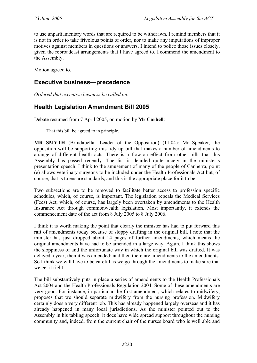to use unparliamentary words that are required to be withdrawn. I remind members that it is not in order to take frivolous points of order, nor to make any imputations of improper motives against members in questions or answers. I intend to police those issues closely, given the rebroadcast arrangements that I have agreed to. I commend the amendment to the Assembly.

Motion agreed to.

### <span id="page-12-0"></span>**Executive business—precedence**

*Ordered that executive business be called on.*

## <span id="page-12-1"></span>**Health Legislation Amendment Bill 2005**

Debate resumed from 7 April 2005, on motion by **Mr Corbell**:

That this bill be agreed to in principle.

**MR SMYTH** (Brindabella—Leader of the Opposition) (11.04): Mr Speaker, the opposition will be supporting this tidy-up bill that makes a number of amendments to a range of different health acts. There is a flow-on effect from other bills that this Assembly has passed recently. The list is detailed quite nicely in the minister's presentation speech. I think to the amusement of many of the people of Canberra, point (e) allows veterinary surgeons to be included under the Health Professionals Act but, of course, that is to ensure standards, and this is the appropriate place for it to be.

Two subsections are to be removed to facilitate better access to profession specific schedules, which, of course, is important. The legislation repeals the Medical Services (Fees) Act, which, of course, has largely been overtaken by amendments to the Health Insurance Act through commonwealth legislation. Most importantly, it extends the commencement date of the act from 8 July 2005 to 8 July 2006.

I think it is worth making the point that clearly the minister has had to put forward this raft of amendments today because of sloppy drafting in the original bill. I note that the minister has just dropped about 14 pages of further amendments, which means the original amendments have had to be amended in a large way. Again, I think this shows the sloppiness of and the unfortunate way in which the original bill was drafted. It was delayed a year; then it was amended; and then there are amendments to the amendments. So I think we will have to be careful as we go through the amendments to make sure that we get it right.

The bill substantively puts in place a series of amendments to the Health Professionals Act 2004 and the Health Professionals Regulation 2004. Some of these amendments are very good. For instance, in particular the first amendment, which relates to midwifery, proposes that we should separate midwifery from the nursing profession. Midwifery certainly does a very different job. This has already happened largely overseas and it has already happened in many local jurisdictions. As the minister pointed out to the Assembly in his tabling speech, it does have wide spread support throughout the nursing community and, indeed, from the current chair of the nurses board who is well able and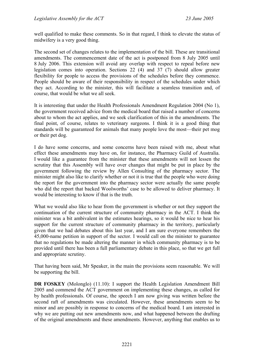well qualified to make these comments. So in that regard, I think to elevate the status of midwifery is a very good thing.

The second set of changes relates to the implementation of the bill. These are transitional amendments. The commencement date of the act is postponed from 8 July 2005 until 8 July 2006. This extension will avoid any overlap with respect to repeal before new legislation comes into operation. Sections 22 (4) and 37 (7) should allow greater flexibility for people to access the provisions of the schedules before they commence. People should be aware of their responsibility in respect of the schedules under which they act. According to the minister, this will facilitate a seamless transition and, of course, that would be what we all seek.

It is interesting that under the Health Professionals Amendment Regulation 2004 (No 1), the government received advice from the medical board that raised a number of concerns about to whom the act applies, and we seek clarification of this in the amendments. The final point, of course, relates to veterinary surgeons. I think it is a good thing that standards will be guaranteed for animals that many people love the most—their pet mog or their pet dog.

I do have some concerns, and some concerns have been raised with me, about what effect these amendments may have on, for instance, the Pharmacy Guild of Australia. I would like a guarantee from the minister that these amendments will not lessen the scrutiny that this Assembly will have over changes that might be put in place by the government following the review by Allen Consulting of the pharmacy sector. The minister might also like to clarify whether or not it is true that the people who were doing the report for the government into the pharmacy sector were actually the same people who did the report that backed Woolworths' case to be allowed to deliver pharmacy. It would be interesting to know if that is the truth.

What we would also like to hear from the government is whether or not they support the continuation of the current structure of community pharmacy in the ACT. I think the minister was a bit ambivalent in the estimates hearings, so it would be nice to hear his support for the current structure of community pharmacy in the territory, particularly given that we had debates about this last year, and I am sure everyone remembers the 45,000-name petition in support of the sector. I would call on the minister to guarantee that no regulations be made altering the manner in which community pharmacy is to be provided until there has been a full parliamentary debate in this place, so that we get full and appropriate scrutiny.

That having been said, Mr Speaker, in the main the provisions seem reasonable. We will be supporting the bill.

**DR FOSKEY** (Molonglo) (11.10): I support the Health Legislation Amendment Bill 2005 and commend the ACT government on implementing these changes, as called for by health professionals. Of course, the speech I am now giving was written before the second raft of amendments was circulated. However, these amendments seem to be minor and are possibly in response to concerns of the medical board. I am interested in why we are putting out new amendments now, and what happened between the drafting of the original amendments and these amendments. However, anything that enables us to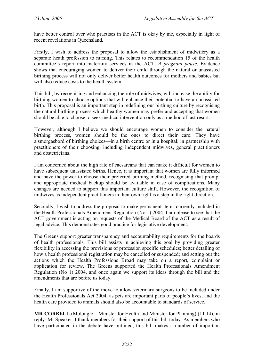have better control over who practises in the ACT is okay by me, especially in light of recent revelations in Queensland.

Firstly, I wish to address the proposal to allow the establishment of midwifery as a separate heath profession to nursing. This relates to recommendation 15 of the health committee's report into maternity services in the ACT, *A pregnant pause*. Evidence shows that encouraging women to deliver their child through the natural or unassisted birthing process will not only deliver better health outcomes for mothers and babies but will also reduce costs to the health system.

This bill, by recognising and enhancing the role of midwives, will increase the ability for birthing women to choose options that will enhance their potential to have an unassisted birth. This proposal is an important step in redefining our birthing culture by recognising the natural birthing process which healthy women may prefer and accepting that women should be able to choose to seek medical intervention only as a method of last resort.

However, although I believe we should encourage women to consider the natural birthing process, women should be the ones to direct their care. They have a smorgasbord of birthing choices—in a birth centre or in a hospital; in partnership with practitioners of their choosing, including independent midwives, general practitioners and obstetricians.

I am concerned about the high rate of caesareans that can make it difficult for women to have subsequent unassisted births. Hence, it is important that women are fully informed and have the power to choose their preferred birthing method, recognising that prompt and appropriate medical backup should be available in case of complications. Many changes are needed to support this important culture shift. However, the recognition of midwives as independent practitioners in their own right is a step in the right direction.

Secondly, I wish to address the proposal to make permanent items currently included in the Health Professionals Amendment Regulation (No 1) 2004. I am please to see that the ACT government is acting on requests of the Medical Board of the ACT as a result of legal advice. This demonstrates good practice for legislative development.

The Greens support greater transparency and accountability requirements for the boards of health professionals. This bill assists in achieving this goal by providing greater flexibility in accessing the provisions of profession specific schedules; better detailing of how a health professional registration may be cancelled or suspended; and setting out the actions which the Health Professions Broad may take on a report, complaint or application for review. The Greens supported the Health Professionals Amendment Regulation (No 1) 2004, and once again we support its ideas through the bill and the amendments that are before us today.

Finally, I am supportive of the move to allow veterinary surgeons to be included under the Health Professionals Act 2004, as pets are important parts of people's lives, and the health care provided to animals should also be accountable to standards of service.

**MR CORBELL** (Molonglo—Minister for Health and Minister for Planning) (11.14), in reply: Mr Speaker, I thank members for their support of this bill today. As members who have participated in the debate have outlined, this bill makes a number of important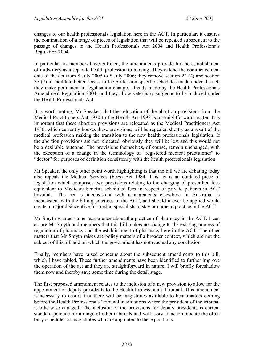changes to our health professionals legislation here in the ACT. In particular, it ensures the continuation of a range of pieces of legislation that will be repealed subsequent to the passage of changes to the Health Professionals Act 2004 and Health Professionals Regulation 2004.

In particular, as members have outlined, the amendments provide for the establishment of midwifery as a separate health profession to nursing. They extend the commencement date of the act from 8 July 2005 to 8 July 2006; they remove section 22 (4) and section 37 (7) to facilitate better access to the profession specific schedules made under the act; they make permanent in legalisation changes already made by the Health Professionals Amendment Regulation 2004; and they allow veterinary surgeons to be included under the Health Professionals Act.

It is worth noting, Mr Speaker, that the relocation of the abortion provisions from the Medical Practitioners Act 1930 to the Health Act 1993 is a straightforward matter. It is important that these abortion provisions are relocated as the Medical Practitioners Act 1930, which currently houses these provisions, will be repealed shortly as a result of the medical profession making the transition to the new health professionals legislation. If the abortion provisions are not relocated, obviously they will be lost and this would not be a desirable outcome. The provisions themselves, of course, remain unchanged, with the exception of a change in the terminology of "registered medical practitioner" to "doctor" for purposes of definition consistency with the health professionals legislation.

Mr Speaker, the only other point worth highlighting is that the bill we are debating today also repeals the Medical Services (Fees) Act 1984. This act is an outdated piece of legislation which comprises two provisions relating to the charging of prescribed fees equivalent to Medicare benefits scheduled fees in respect of private patients in ACT hospitals. The act is inconsistent with arrangements elsewhere in Australia, is inconsistent with the billing practices in the ACT, and should it ever be applied would create a major disincentive for medial specialists to stay or come to practise in the ACT.

Mr Smyth wanted some reassurance about the practice of pharmacy in the ACT. I can assure Mr Smyth and members that this bill makes no change to the existing process of regulation of pharmacy and the establishment of pharmacy here in the ACT. The other matters that Mr Smyth raises are policy matters of a broader context, which are not the subject of this bill and on which the government has not reached any conclusion.

Finally, members have raised concerns about the subsequent amendments to this bill, which I have tabled. These further amendments have been identified to further improve the operation of the act and they are straightforward in nature. I will briefly foreshadow them now and thereby save some time during the detail stage.

The first proposed amendment relates to the inclusion of a new provision to allow for the appointment of deputy presidents to the Health Professionals Tribunal. This amendment is necessary to ensure that there will be magistrates available to hear matters coming before the Health Professionals Tribunal in situations where the president of the tribunal is otherwise engaged. The inclusion of the provisions for deputy presidents is current standard practice for a range of other tribunals and will assist to accommodate the often busy schedules of magistrates who are appointed to these positions.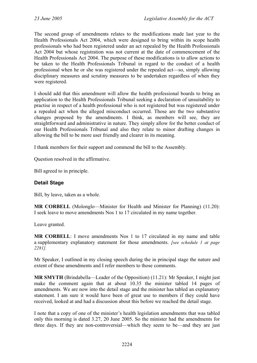The second group of amendments relates to the modifications made last year to the Health Professionals Act 2004, which were designed to bring within its scope health professionals who had been registered under an act repealed by the Health Professionals Act 2004 but whose registration was not current at the date of commencement of the Health Professionals Act 2004. The purpose of these modifications is to allow actions to be taken to the Health Professionals Tribunal in regard to the conduct of a health professional when he or she was registered under the repealed act—so, simply allowing disciplinary measures and scrutiny measures to be undertaken regardless of when they were registered.

I should add that this amendment will allow the health professional boards to bring an application to the Health Professionals Tribunal seeking a declaration of unsuitability to practise in respect of a health professional who is not registered but was registered under a repealed act when the alleged misconduct occurred. Those are the two substantive changes proposed by the amendments. I think, as members will see, they are straightforward and administrative in nature. They simply allow for the better conduct of our Health Professionals Tribunal and also they relate to minor drafting changes in allowing the bill to be more user friendly and clearer in its meaning.

I thank members for their support and commend the bill to the Assembly.

Question resolved in the affirmative.

Bill agreed to in principle.

#### **Detail Stage**

Bill, by leave, taken as a whole.

**MR CORBELL** (Molonglo—Minister for Health and Minister for Planning) (11.20): I seek leave to move amendments Nos 1 to 17 circulated in my name together.

Leave granted.

**MR CORBELL**: I move amendments Nos 1 to 17 circulated in my name and table a supplementary explanatory statement for those amendments. *[see schedule 1 at page 2281].*

Mr Speaker, I outlined in my closing speech during the in principal stage the nature and extent of these amendments and I refer members to those comments.

**MR SMYTH** (Brindabella—Leader of the Opposition) (11.21): Mr Speaker, I might just make the comment again that at about 10.35 the minister tabled 14 pages of amendments. We are now into the detail stage and the minister has tabled an explanatory statement. I am sure it would have been of great use to members if they could have received, looked at and had a discussion about this before we reached the detail stage.

I note that a copy of one of the minister's health legislation amendments that was tabled only this morning is dated 3.27, 20 June 2005. So the minister had the amendments for three days. If they are non-controversial—which they seem to be—and they are just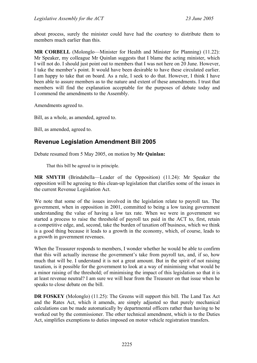about process, surely the minister could have had the courtesy to distribute them to members much earlier than this.

**MR CORBELL** (Molonglo—Minister for Health and Minister for Planning) (11.22): Mr Speaker, my colleague Mr Quinlan suggests that I blame the acting minister, which I will not do. I should just point out to members that I was not here on 20 June. However, I take the member's point. It would have been desirable to have these circulated earlier. I am happy to take that on board. As a rule, I seek to do that. However, I think I have been able to assure members as to the nature and extent of these amendments. I trust that members will find the explanation acceptable for the purposes of debate today and I commend the amendments to the Assembly.

Amendments agreed to.

Bill, as a whole, as amended, agreed to.

Bill, as amended, agreed to.

# <span id="page-17-0"></span>**Revenue Legislation Amendment Bill 2005**

Debate resumed from 5 May 2005, on motion by **Mr Quinlan:**

That this bill be agreed to in principle.

**MR SMYTH** (Brindabella—Leader of the Opposition) (11.24): Mr Speaker the opposition will be agreeing to this clean-up legislation that clarifies some of the issues in the current Revenue Legislation Act.

We note that some of the issues involved in the legislation relate to payroll tax. The government, when in opposition in 2001, committed to being a low taxing government understanding the value of having a low tax rate. When we were in government we started a process to raise the threshold of payroll tax paid in the ACT to, first, retain a competitive edge, and, second, take the burden of taxation off business, which we think is a good thing because it leads to a growth in the economy, which, of course, leads to a growth in government revenues.

When the Treasurer responds to members, I wonder whether he would be able to confirm that this will actually increase the government's take from payroll tax, and, if so, how much that will be. I understand it is not a great amount. But in the spirit of not raising taxation, is it possible for the government to look at a way of minimising what would be a minor raising of the threshold; of minimising the impact of this legislation so that it is at least revenue neutral? I am sure we will hear from the Treasurer on that issue when he speaks to close debate on the bill.

**DR FOSKEY** (Molonglo) (11.25): The Greens will support this bill. The Land Tax Act and the Rates Act, which it amends, are simply adjusted so that purely mechanical calculations can be made automatically by departmental officers rather than having to be worked out by the commissioner. The other technical amendment, which is to the Duties Act, simplifies exemptions to duties imposed on motor vehicle registration transfers.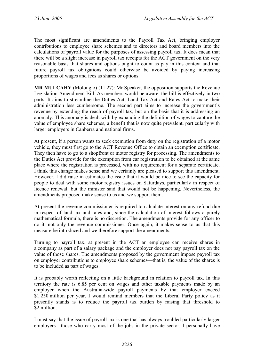The most significant are amendments to the Payroll Tax Act, bringing employer contributions to employee share schemes and to directors and board members into the calculations of payroll value for the purposes of assessing payroll tax. It does mean that there will be a slight increase in payroll tax receipts for the ACT government on the very reasonable basis that shares and options ought to count as pay in this context and that future payroll tax obligations could otherwise be avoided by paying increasing proportions of wages and fees as shares or options.

**MR MULCAHY** (Molonglo) (11.27): Mr Speaker, the opposition supports the Revenue Legislation Amendment Bill. As members would be aware, the bill is effectively in two parts. It aims to streamline the Duties Act, Land Tax Act and Rates Act to make their administration less cumbersome. The second part aims to increase the government's revenue by extending the reach of payroll tax, but on the basis that it is addressing an anomaly. This anomaly is dealt with by expanding the definition of wages to capture the value of employee share schemes, a benefit that is now quite prevalent, particularly with larger employers in Canberra and national firms.

At present, if a person wants to seek exemption from duty on the registration of a motor vehicle, they must first go to the ACT Revenue Office to obtain an exemption certificate. They then have to go to a shopfront or motor registry for processing. The amendments to the Duties Act provide for the exemption from car registration to be obtained at the same place where the registration is processed, with no requirement for a separate certificate. I think this change makes sense and we certainly are pleased to support this amendment. However, I did raise in estimates the issue that it would be nice to see the capacity for people to deal with some motor registry issues on Saturdays, particularly in respect of licence renewal, but the minister said that would not be happening. Nevertheless, the amendments proposed make sense to us and we support them.

At present the revenue commissioner is required to calculate interest on any refund due in respect of land tax and rates and, since the calculation of interest follows a purely mathematical formula, there is no discretion. The amendments provide for any officer to do it, not only the revenue commissioner. Once again, it makes sense to us that this measure be introduced and we therefore support the amendments.

Turning to payroll tax, at present in the ACT an employee can receive shares in a company as part of a salary package and the employer does not pay payroll tax on the value of those shares. The amendments proposed by the government impose payroll tax on employer contributions to employee share schemes—that is, the value of the shares is to be included as part of wages.

It is probably worth reflecting on a little background in relation to payroll tax. In this territory the rate is 6.85 per cent on wages and other taxable payments made by an employer when the Australia-wide payroll payments by that employer exceed \$1.250 million per year. I would remind members that the Liberal Party policy as it presently stands is to reduce the payroll tax burden by raising that threshold to \$2 million.

I must say that the issue of payroll tax is one that has always troubled particularly larger employers—those who carry most of the jobs in the private sector. I personally have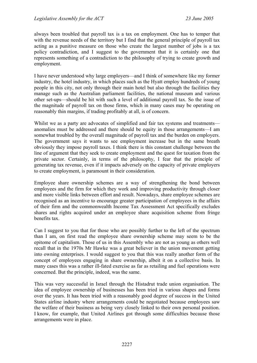always been troubled that payroll tax is a tax on employment. One has to temper that with the revenue needs of the territory but I find that the general principle of payroll tax acting as a punitive measure on those who create the largest number of jobs is a tax policy contradiction, and I suggest to the government that it is certainly one that represents something of a contradiction to the philosophy of trying to create growth and employment.

I have never understood why large employers—and I think of somewhere like my former industry, the hotel industry, in which places such as the Hyatt employ hundreds of young people in this city, not only through their main hotel but also through the facilities they manage such as the Australian parliament facilities, the national museum and various other set-ups—should be hit with such a level of additional payroll tax. So the issue of the magnitude of payroll tax on those firms, which in many cases may be operating on reasonably thin margins, if trading profitably at all, is of concern.

Whilst we as a party are advocates of simplified and fair tax systems and treatments anomalies must be addressed and there should be equity in those arrangements—I am somewhat troubled by the overall magnitude of payroll tax and the burden on employers. The government says it wants to see employment increase but in the same breath obviously they impose payroll taxes. I think there is this constant challenge between the line of argument that they seek to create employment and the quest for taxation from the private sector. Certainly, in terms of the philosophy, I fear that the principle of generating tax revenue, even if it impacts adversely on the capacity of private employers to create employment, is paramount in their consideration.

Employee share ownership schemes are a way of strengthening the bond between employees and the firm for which they work and improving productivity through closer and more visible links between effort and result. Nowadays, share employee schemes are recognised as an incentive to encourage greater participation of employees in the affairs of their firm and the commonwealth Income Tax Assessment Act specifically excludes shares and rights acquired under an employee share acquisition scheme from fringe benefits tax.

Can I suggest to you that for those who are possibly further to the left of the spectrum than I am, on first read the employee share ownership scheme may seem to be the epitome of capitalism. Those of us in this Assembly who are not as young as others well recall that in the 1970s Mr Hawke was a great believer in the union movement getting into owning enterprises. I would suggest to you that this was really another form of the concept of employees engaging in share ownership, albeit it on a collective basis. In many cases this was a rather ill-fated exercise as far as retailing and fuel operations were concerned. But the principle, indeed, was the same.

This was very successful in Israel through the Histadrut trade union organisation. The idea of employee ownership of businesses has been tried in various shapes and forms over the years. It has been tried with a reasonably good degree of success in the United States airline industry where arrangements could be negotiated because employees saw the welfare of their business as being very closely linked to their own personal position. I know, for example, that United Airlines got through some difficulties because those arrangements were in place.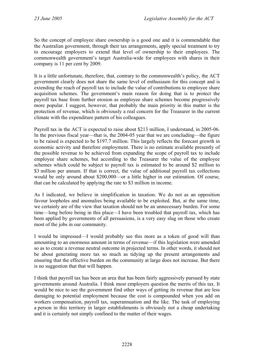So the concept of employee share ownership is a good one and it is commendable that the Australian government, through their tax arrangements, apply special treatment to try to encourage employers to extend that level of ownership to their employees. The commonwealth government's target Australia-wide for employees with shares in their company is 11 per cent by 2009.

It is a little unfortunate, therefore, that, contrary to the commonwealth's policy, the ACT government clearly does not share the same level of enthusiasm for this concept and is extending the reach of payroll tax to include the value of contributions to employee share acquisition schemes. The government's main reason for doing that is to protect the payroll tax base from further erosion as employee share schemes become progressively more popular. I suggest, however, that probably the main priority in this matter is the protection of revenue, which is obviously a real concern for the Treasurer in the current climate with the expenditure pattern of his colleagues.

Payroll tax in the ACT is expected to raise about \$213 million, I understand, in 2005-06. In the previous fiscal year—that is, the 2004-05 year that we are concluding—the figure to be raised is expected to be \$197.7 million. This largely reflects the forecast growth in economic activity and therefore employment. There is no estimate available presently of the possible revenue to be achieved from expanding the scope of payroll tax to include employee share schemes, but according to the Treasurer the value of the employee schemes which could be subject to payroll tax is estimated to be around \$2 million to \$3 million per annum. If that is correct, the value of additional payroll tax collections would be only around about \$200,000—or a little higher in our estimation. Of course, that can be calculated by applying the rate to \$3 million in income.

As I indicated, we believe in simplification in taxation. We do not as an opposition favour loopholes and anomalies being available to be exploited. But, at the same time, we certainly are of the view that taxation should not be an unnecessary burden. For some time—long before being in this place—I have been troubled that payroll tax, which has been applied by governments of all persuasions, is a very easy slug on those who create most of the jobs in our community.

I would be impressed—I would probably see this more as a token of good will than amounting to an enormous amount in terms of revenue—if this legislation were amended so as to create a revenue neutral outcome in projected terms. In other words, it should not be about generating more tax so much as tidying up the present arrangements and ensuring that the effective burden on the community at large does not increase. But there is no suggestion that that will happen.

I think that payroll tax has been an area that has been fairly aggressively pursued by state governments around Australia. I think most employers question the merits of this tax. It would be nice to see the government find other ways of getting its revenue that are less damaging to potential employment because the cost is compounded when you add on workers compensation, payroll tax, superannuation and the like. The task of employing a person in this territory in larger establishments is obviously not a cheap undertaking and it is certainly not simply confined to the matter of their wages.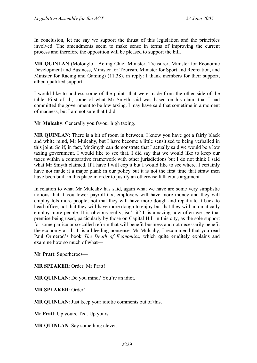In conclusion, let me say we support the thrust of this legislation and the principles involved. The amendments seem to make sense in terms of improving the current process and therefore the opposition will be pleased to support the bill.

**MR QUINLAN** (Molonglo—Acting Chief Minister, Treasurer, Minister for Economic Development and Business, Minister for Tourism, Minister for Sport and Recreation, and Minister for Racing and Gaming) (11.38), in reply: I thank members for their support, albeit qualified support.

I would like to address some of the points that were made from the other side of the table. First of all, some of what Mr Smyth said was based on his claim that I had committed the government to be low taxing. I may have said that sometime in a moment of madness, but I am not sure that I did.

**Mr Mulcahy**: Generally you favour high taxing.

**MR QUINLAN**: There is a bit of room in between. I know you have got a fairly black and white mind, Mr Mulcahy, but I have become a little sensitised to being verballed in this joint. So if, in fact, Mr Smyth can demonstrate that I actually said we would be a low taxing government, I would like to see that. I did say that we would like to keep our taxes within a comparative framework with other jurisdictions but I do not think I said what Mr Smyth claimed. If I have I will cop it but I would like to see where. I certainly have not made it a major plank in our policy but it is not the first time that straw men have been built in this place in order to justify an otherwise fallacious argument.

In relation to what Mr Mulcahy has said, again what we have are some very simplistic notions that if you lower payroll tax, employers will have more money and they will employ lots more people; not that they will have more dough and repatriate it back to head office, not that they will have more dough to enjoy but that they will automatically employ more people. It is obvious really, isn't it? It is amazing how often we see that premise being used, particularly by those on Capital Hill in this city, as the sole support for some particular so-called reform that will benefit business and not necessarily benefit the economy at all. It is a bleeding nonsense. Mr Mulcahy, I recommend that you read Paul Ormerod's book *The Death of Economics,* which quite eruditely explains and examine how so much of what—

**Mr Pratt**: Superheroes—

**MR SPEAKER**: Order, Mr Pratt!

**MR QUINLAN**: Do you mind? You're an idiot.

**MR SPEAKER**: Order!

**MR QUINLAN**: Just keep your idiotic comments out of this.

**Mr Pratt**: Up yours, Ted. Up yours.

**MR QUINLAN**: Say something clever.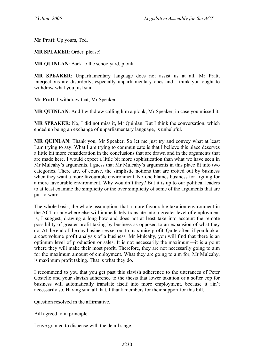**Mr Pratt**: Up yours, Ted.

**MR SPEAKER**: Order, please!

**MR QUINLAN**: Back to the schoolyard, plonk.

**MR SPEAKER**: Unparliamentary language does not assist us at all. Mr Pratt, interjections are disorderly, especially unparliamentary ones and I think you ought to withdraw what you just said.

**Mr Pratt**: I withdraw that, Mr Speaker.

**MR QUINLAN**: And I withdraw calling him a plonk, Mr Speaker, in case you missed it.

**MR SPEAKER**: No, I did not miss it, Mr Quinlan. But I think the conversation, which ended up being an exchange of unparliamentary language, is unhelpful.

**MR QUINLAN**: Thank you, Mr Speaker. So let me just try and convey what at least I am trying to say. What I am trying to communicate is that I believe this place deserves a little bit more consideration in the conclusions that are drawn and in the arguments that are made here. I would expect a little bit more sophistication than what we have seen in Mr Mulcahy's arguments. I guess that Mr Mulcahy's arguments in this place fit into two categories. There are, of course, the simplistic notions that are trotted out by business when they want a more favourable environment. No-one blames business for arguing for a more favourable environment. Why wouldn't they? But it is up to our political leaders to at least examine the simplicity or the over simplicity of some of the arguments that are put forward.

The whole basis, the whole assumption, that a more favourable taxation environment in the ACT or anywhere else will immediately translate into a greater level of employment is, I suggest, drawing a long bow and does not at least take into account the remote possibility of greater profit taking by business as opposed to an expansion of what they do. At the end of the day businesses set out to maximise profit. Quite often, if you look at a cost volume profit analysis of a business, Mr Mulcahy, you will find that there is an optimum level of production or sales. It is not necessarily the maximum—it is a point where they will make their most profit. Therefore, they are not necessarily going to aim for the maximum amount of employment. What they are going to aim for, Mr Mulcahy, is maximum profit taking. That is what they do.

I recommend to you that you get past this slavish adherence to the utterances of Peter Costello and your slavish adherence to the thesis that lower taxation or a softer cop for business will automatically translate itself into more employment, because it ain't necessarily so. Having said all that, I thank members for their support for this bill.

Question resolved in the affirmative.

Bill agreed to in principle.

Leave granted to dispense with the detail stage.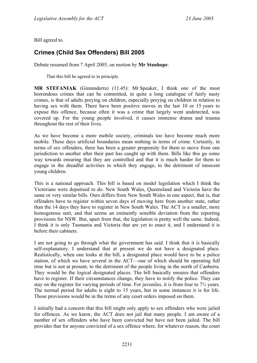Bill agreed to.

# <span id="page-23-0"></span>**Crimes (Child Sex Offenders) Bill 2005**

Debate resumed from 7 April 2005, on motion by **Mr Stanhope**:

That this bill be agreed to in principle.

**MR STEFANIAK** (Ginninderra) (11.45): Mr Speaker, I think one of the most horrendous crimes that can be committed, in quite a long catalogue of fairly nasty crimes, is that of adults preying on children, especially preying on children in relation to having sex with them. There have been positive moves in the last 10 or 15 years to expose this offence, because often it was a crime that largely went undetected, was covered up. For the young people involved, it causes immense drama and trauma throughout the rest of their lives.

As we have become a more mobile society, criminals too have become much more mobile. These days artificial boundaries mean nothing in terms of crime. Certainly, in terms of sex offenders, there has been a greater propensity for them to move from one jurisdiction to another after their past has caught up with them. Bills like this go some way towards ensuring that they are controlled and that it is much harder for them to engage in the dreadful activities in which they engage, to the detriment of innocent young children.

This is a national approach. This bill is based on model legislation which I think the Victorians were deputised to do. New South Wales, Queensland and Victoria have the same or very similar bills. Ours differs from New South Wales in one aspect, that is, that offenders have to register within seven days of moving here from another state, rather than the 14 days they have to register in New South Wales. The ACT is a smaller, more homogenous unit, and that seems an eminently sensible deviation from the reporting provisions for NSW. But, apart from that, the legislation is pretty well the same. Indeed, I think it is only Tasmania and Victoria that are yet to enact it, and I understand it is before their cabinets.

I am not going to go through what the government has said. I think that it is basically self-explanatory. I understand that at present we do not have a designated place. Realistically, when one looks at the bill, a designated place would have to be a police station, of which we have several in the ACT—one of which should be operating full time but is not at present, to the detriment of the people living in the north of Canberra. They would be the logical designated places. The bill basically ensures that offenders have to register. If their circumstances change, they have to notify the police. They can stay on the register for varying periods of time. For juveniles, it is from four to 7½ years. The normal period for adults is eight to 15 years, but in some instances it is for life. Those provisions would be in the terms of any court orders imposed on them.

I initially had a concern that this bill might only apply to sex offenders who were jailed for offences. As we know, the ACT does not jail that many people. I am aware of a number of sex offenders who have been convicted but have not been jailed. The bill provides that for anyone convicted of a sex offence where, for whatever reason, the court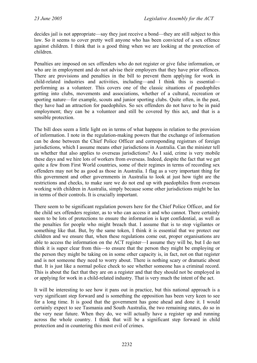decides jail is not appropriate—say they just receive a bond—they are still subject to this law. So it seems to cover pretty well anyone who has been convicted of a sex offence against children. I think that is a good thing when we are looking at the protection of children.

Penalties are imposed on sex offenders who do not register or give false information, or who are in employment and do not advise their employers that they have prior offences. There are provisions and penalties in the bill to prevent them applying for work in child-related industries and activities, including—and I think this is essential performing as a volunteer. This covers one of the classic situations of paedophiles getting into clubs, movements and associations, whether of a cultural, recreation or sporting nature—for example, scouts and junior sporting clubs. Quite often, in the past, they have had an attraction for paedophiles. So sex offenders do not have to be in paid employment; they can be a volunteer and still be covered by this act, and that is a sensible protection.

The bill does seem a little light on in terms of what happens in relation to the provision of information. I note in the regulation-making powers that the exchange of information can be done between the Chief Police Officer and corresponding registrars of foreign jurisdictions, which I assume means other jurisdictions in Australia. Can the minister tell us whether that also applies to overseas jurisdictions? As I said, crime is very mobile these days and we hire lots of workers from overseas. Indeed, despite the fact that we get quite a few from First World countries, some of their regimes in terms of recording sex offenders may not be as good as those in Australia. I flag as a very important thing for this government and other governments in Australia to look at just how tight are the restrictions and checks, to make sure we do not end up with paedophiles from overseas working with children in Australia, simply because some other jurisdictions might be lax in terms of their controls. It is crucially important.

There seem to be significant regulation powers here for the Chief Police Officer, and for the child sex offenders register, as to who can access it and who cannot. There certainly seem to be lots of protections to ensure the information is kept confidential, as well as the penalties for people who might breach that. I assume that is to stop vigilantes or something like that. But, by the same token, I think it is essential that we protect our children and we ensure that, when these regulations come out, proper organisations are able to access the information on the ACT register—I assume they will be, but I do not think it is super clear from this—to ensure that the person they might be employing or the person they might be taking on in some other capacity is, in fact, not on that register and is not someone they need to worry about. There is nothing scary or dramatic about that. It is just like a normal police check to see whether someone has a criminal record. This is about the fact that they are on a register and that they should not be employed in or applying for work in a child-related industry. That is very much the intent of the act.

It will be interesting to see how it pans out in practice, but this national approach is a very significant step forward and is something the opposition has been very keen to see for a long time. It is good that the government has gone ahead and done it. I would certainly expect to see Tasmania and South Australia, the two remaining states, do so in the very near future. When they do, we will actually have a register up and running across the whole country. I think that will be a significant step forward in child protection and in countering this most evil of crimes.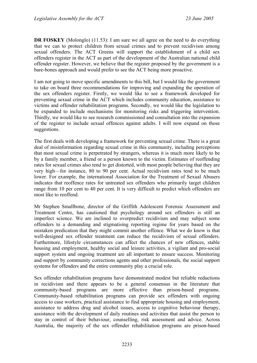**DR FOSKEY** (Molonglo) (11.53): I am sure we all agree on the need to do everything that we can to protect children from sexual crimes and to prevent recidivism among sexual offenders. The ACT Greens will support the establishment of a child sex offenders register in the ACT as part of the development of the Australian national child offender register. However, we believe that the register proposed by the government is a bare-bones approach and would prefer to see the ACT being more proactive.

I am not going to move specific amendments to this bill, but I would like the government to take on board three recommendations for improving and expanding the operation of the sex offenders register. Firstly, we would like to see a framework developed for preventing sexual crime in the ACT which includes community education, assistance to victims and offender rehabilitation programs. Secondly, we would like the legislation to be expanded to include mechanisms for monitoring risks and triggering intervention. Thirdly, we would like to see research commissioned and consultation into the expansion of the register to include sexual offences against adults. I will now expand on those suggestions.

The first deals with developing a framework for preventing sexual crime. There is a great deal of misinformation regarding sexual crime in this community, including perceptions that most sexual crime is perpetrated by strangers, whereas it is much more likely to be by a family member, a friend or a person known to the victim. Estimates of reoffending rates for sexual crimes also tend to get distorted, with most people believing that they are very high—for instance, 80 to 90 per cent. Actual recidivism rates tend to be much lower. For example, the international Association for the Treatment of Sexual Abusers indicates that reoffence rates for untreated sex offenders who primarily target children range from 10 per cent to 40 per cent. It is very difficult to predict which offenders are most like to reoffend.

Mr Stephen Smallbone, director of the Griffith Adolescent Forensic Assessment and Treatment Centre, has cautioned that psychology around sex offenders is still an imperfect science. We are inclined to overpredict recidivism and may subject some offenders to a demanding and stigmatising reporting regime for years based on the mistaken predication that they might commit another offence. What we do know is that well-designed sex offender treatment can reduce the recidivism of sexual offenders. Furthermore, lifestyle circumstances can affect the chances of new offences, stable housing and employment, healthy social and leisure activities, a vigilant and pro-social support system and ongoing treatment are all important to ensure success. Monitoring and support by community corrections agents and other professionals, the social support systems for offenders and the entire community play a crucial role.

Sex offender rehabilitation programs have demonstrated modest but reliable reductions in recidivism and there appears to be a general consensus in the literature that community-based programs are more effective than prison-based programs. Community-based rehabilitation programs can provide sex offenders with ongoing access to case workers, practical assistance to find appropriate housing and employment, assistance to address drug and alcohol issues, access to cognitive behaviour therapy, assistance with the development of daily routines and activities that assist the person to stay in control of their behaviour, counselling, risk assessment and advice. Across Australia, the majority of the sex offender rehabilitation programs are prison-based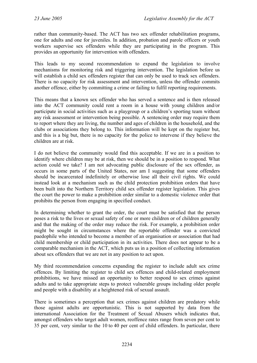rather than community-based. The ACT has two sex offender rehabilitation programs, one for adults and one for juveniles. In addition, probation and parole officers or youth workers supervise sex offenders while they are participating in the program. This provides an opportunity for intervention with offenders.

This leads to my second recommendation to expand the legislation to involve mechanisms for monitoring risk and triggering intervention. The legislation before us will establish a child sex offenders register that can only be used to track sex offenders. There is no capacity for risk assessment and intervention, unless the offender commits another offence, either by committing a crime or failing to fulfil reporting requirements.

This means that a known sex offender who has served a sentence and is then released into the ACT community could rent a room in a house with young children and/or participate in social activities such as a playgroup or a children's sporting team without any risk assessment or intervention being possible. A sentencing order may require them to report where they are living, the number and ages of children in the household, and the clubs or associations they belong to. This information will be kept on the register but, and this is a big but, there is no capacity for the police to intervene if they believe the children are at risk.

I do not believe the community would find this acceptable. If we are in a position to identify where children may be at risk, then we should be in a position to respond. What action could we take? I am not advocating public disclosure of the sex offender, as occurs in some parts of the United States, nor am I suggesting that some offenders should be incarcerated indefinitely or otherwise lose all their civil rights. We could instead look at a mechanism such as the child protection prohibition orders that have been built into the Northern Territory child sex offender register legislation. This gives the court the power to make a prohibition order similar to a domestic violence order that prohibits the person from engaging in specified conduct.

In determining whether to grant the order, the court must be satisfied that the person poses a risk to the lives or sexual safety of one or more children or of children generally and that the making of the order may reduce the risk. For example, a prohibition order might be sought in circumstances where the reportable offender was a convicted paedophile who intended to become a member of an organisation or association that had child membership or child participation in its activities. There does not appear to be a comparable mechanism in the ACT, which puts us in a position of collecting information about sex offenders that we are not in any position to act upon.

My third recommendation concerns expanding the register to include adult sex crime offences. By limiting the register to child sex offences and child-related employment prohibitions, we have missed an opportunity to better respond to sex crimes against adults and to take appropriate steps to protect vulnerable groups including older people and people with a disability at a heightened risk of sexual assault.

There is sometimes a perception that sex crimes against children are predatory while those against adults are opportunistic. This is not supported by data from the international Association for the Treatment of Sexual Abusers which indicates that, amongst offenders who target adult women, reoffence rates range from seven per cent to 35 per cent, very similar to the 10 to 40 per cent of child offenders. In particular, there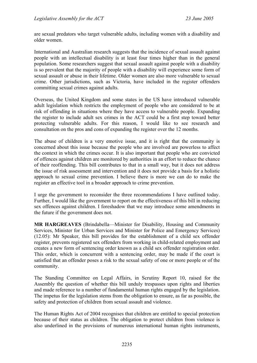are sexual predators who target vulnerable adults, including women with a disability and older women.

International and Australian research suggests that the incidence of sexual assault against people with an intellectual disability is at least four times higher than in the general population. Some researchers suggest that sexual assault against people with a disability is so prevalent that the majority of people with a disability will experience some form of sexual assault or abuse in their lifetime. Older women are also more vulnerable to sexual crime. Other jurisdictions, such as Victoria, have included in the register offenders committing sexual crimes against adults.

Overseas, the United Kingdom and some states in the US have introduced vulnerable adult legislation which restricts the employment of people who are considered to be at risk of offending in situations where they have access to vulnerable people. Expanding the register to include adult sex crimes in the ACT could be a first step toward better protecting vulnerable adults. For this reason, I would like to see research and consultation on the pros and cons of expanding the register over the 12 months.

The abuse of children is a very emotive issue, and it is right that the community is concerned about this issue because the people who are involved are powerless to affect the context in which the crimes occur. It is also important that people who are convicted of offences against children are monitored by authorities in an effort to reduce the chance of their reoffending. This bill contributes to that in a small way, but it does not address the issue of risk assessment and intervention and it does not provide a basis for a holistic approach to sexual crime prevention. I believe there is more we can do to make the register an effective tool in a broader approach to crime prevention.

I urge the government to reconsider the three recommendations I have outlined today. Further, I would like the government to report on the effectiveness of this bill in reducing sex offences against children. I foreshadow that we may introduce some amendments in the future if the government does not.

**MR HARGREAVES** (Brindabella—Minister for Disability, Housing and Community Services, Minister for Urban Services and Minister for Police and Emergency Services) (12.05): Mr Speaker, this bill provides for the establishment of a child sex offender register, prevents registered sex offenders from working in child-related employment and creates a new form of sentencing order known as a child sex offender registration order. This order, which is concurrent with a sentencing order, may be made if the court is satisfied that an offender poses a risk to the sexual safety of one or more people or of the community.

The Standing Committee on Legal Affairs, in Scrutiny Report 10, raised for the Assembly the question of whether this bill unduly trespasses upon rights and liberties and made reference to a number of fundamental human rights engaged by the legislation. The impetus for the legislation stems from the obligation to ensure, as far as possible, the safety and protection of children from sexual assault and violence.

The Human Rights Act of 2004 recognises that children are entitled to special protection because of their status as children. The obligation to protect children from violence is also underlined in the provisions of numerous international human rights instruments,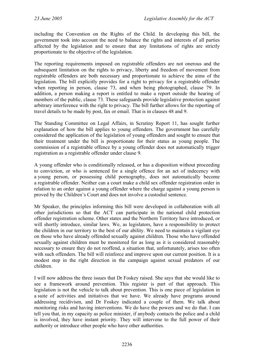including the Convention on the Rights of the Child. In developing this bill, the government took into account the need to balance the rights and interests of all parties affected by the legislation and to ensure that any limitations of rights are strictly proportionate to the objective of the legislation.

The reporting requirements imposed on registrable offenders are not onerous and the subsequent limitation on the rights to privacy, liberty and freedom of movement from registrable offenders are both necessary and proportionate to achieve the aims of the legislation. The bill explicitly provides for a right to privacy for a registrable offender when reporting in person, clause 73, and when being photographed, clause 79. In addition, a person making a report is entitled to make a report outside the hearing of members of the public, clause 73. These safeguards provide legislative protection against arbitrary interference with the right to privacy. The bill further allows for the reporting of travel details to be made by post, fax or email. That is in clauses 48 and 9.

The Standing Committee on Legal Affairs, in Scrutiny Report 11, has sought further explanation of how the bill applies to young offenders. The government has carefully considered the application of the legislation of young offenders and sought to ensure that their treatment under the bill is proportionate for their status as young people. The commission of a registrable offence by a young offender does not automatically trigger registration as a registrable offender under clause 9.

A young offender who is conditionally released, or has a disposition without proceeding to conviction, or who is sentenced for a single offence for an act of indecency with a young person, or possessing child pornography, does not automatically become a registrable offender. Neither can a court make a child sex offender registration order in relation to an order against a young offender where the charge against a young person is proved by the Children's Court and does not involve a custodial sentence.

Mr Speaker, the principles informing this bill were developed in collaboration with all other jurisdictions so that the ACT can participate in the national child protection offender registration scheme. Other states and the Northern Territory have introduced, or will shortly introduce, similar laws. We, as legislators, have a responsibility to protect the children in our territory to the best of our ability. We need to maintain a vigilant eye on those who have already offended sexually against children. Those who have offended sexually against children must be monitored for as long as it is considered reasonably necessary to ensure they do not reoffend, a situation that, unfortunately, arises too often with such offenders. The bill will reinforce and improve upon our current position. It is a modest step in the right direction in the campaign against sexual predators of our children.

I will now address the three issues that Dr Foskey raised. She says that she would like to see a framework around prevention. This register is part of that approach. This legislation is not the vehicle to talk about prevention. This is one piece of legislation in a suite of activities and initiatives that we have. We already have programs around addressing recidivism, and Dr Foskey indicated a couple of them. We talk about monitoring risks and having interventions. We do have the powers and we do that. I can tell you that, in my capacity as police minister, if anybody contacts the police and a child is involved, they have instant priority. They will intervene to the full power of their authority or introduce other people who have other authorities.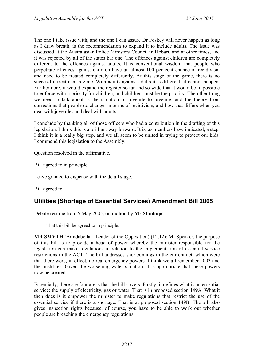The one I take issue with, and the one I can assure Dr Foskey will never happen as long as I draw breath, is the recommendation to expand it to include adults. The issue was discussed at the Australasian Police Ministers Council in Hobart, and at other times, and it was rejected by all of the states bar one. The offences against children are completely different to the offences against adults. It is conventional wisdom that people who perpetrate offences against children have an almost 100 per cent chance of recidivism and need to be treated completely differently. At this stage of the game, there is no successful treatment regime. With adults against adults it is different; it cannot happen. Furthermore, it would expand the register so far and so wide that it would be impossible to enforce with a priority for children, and children must be the priority. The other thing we need to talk about is the situation of juvenile to juvenile, and the theory from corrections that people do change, in terms of recidivism, and how that differs when you deal with juveniles and deal with adults.

I conclude by thanking all of those officers who had a contribution in the drafting of this legislation. I think this is a brilliant way forward. It is, as members have indicated, a step. I think it is a really big step, and we all seem to be united in trying to protect our kids. I commend this legislation to the Assembly.

Question resolved in the affirmative.

Bill agreed to in principle.

Leave granted to dispense with the detail stage.

Bill agreed to.

## <span id="page-29-0"></span>**Utilities (Shortage of Essential Services) Amendment Bill 2005**

Debate resume from 5 May 2005, on motion by **Mr Stanhope**:

That this bill be agreed to in principle.

**MR SMYTH** (Brindabella—Leader of the Opposition) (12.12): Mr Speaker, the purpose of this bill is to provide a head of power whereby the minister responsible for the legislation can make regulations in relation to the implementation of essential service restrictions in the ACT. The bill addresses shortcomings in the current act, which were that there were, in effect, no real emergency powers. I think we all remember 2003 and the bushfires. Given the worsening water situation, it is appropriate that these powers now be created.

Essentially, there are four areas that the bill covers. Firstly, it defines what is an essential service: the supply of electricity, gas or water. That is in proposed section 149A. What it then does is it empower the minister to make regulations that restrict the use of the essential service if there is a shortage. That is at proposed section 149B. The bill also gives inspection rights because, of course, you have to be able to work out whether people are breaching the emergency regulations.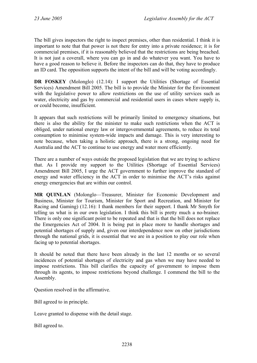The bill gives inspectors the right to inspect premises, other than residential. I think it is important to note that that power is not there for entry into a private residence; it is for commercial premises, if it is reasonably believed that the restrictions are being breached. It is not just a coverall, where you can go in and do whatever you want. You have to have a good reason to believe it. Before the inspectors can do that, they have to produce an ID card. The opposition supports the intent of the bill and will be voting accordingly.

**DR FOSKEY** (Molonglo) (12.14): I support the Utilities (Shortage of Essential Services) Amendment Bill 2005. The bill is to provide the Minister for the Environment with the legislative power to allow restrictions on the use of utility services such as water, electricity and gas by commercial and residential users in cases where supply is, or could become, insufficient.

It appears that such restrictions will be primarily limited to emergency situations, but there is also the ability for the minister to make such restrictions when the ACT is obliged, under national energy law or intergovernmental agreements, to reduce its total consumption to minimise system-wide impacts and damage. This is very interesting to note because, when taking a holistic approach, there is a strong, ongoing need for Australia and the ACT to continue to use energy and water more efficiently.

There are a number of ways outside the proposed legislation that we are trying to achieve that. As I provide my support to the Utilities (Shortage of Essential Services) Amendment Bill 2005, I urge the ACT government to further improve the standard of energy and water efficiency in the ACT in order to minimise the ACT's risks against energy emergencies that are within our control.

**MR QUINLAN** (Molonglo—Treasurer, Minister for Economic Development and Business, Minister for Tourism, Minister for Sport and Recreation, and Minister for Racing and Gaming) (12.16): I thank members for their support. I thank Mr Smyth for telling us what is in our own legislation. I think this bill is pretty much a no-brainer. There is only one significant point to be repeated and that is that the bill does not replace the Emergencies Act of 2004. It is being put in place more to handle shortages and potential shortages of supply and, given our interdependence now on other jurisdictions through the national grids, it is essential that we are in a position to play our role when facing up to potential shortages.

It should be noted that there have been already in the last 12 months or so several incidences of potential shortages of electricity and gas when we may have needed to impose restrictions. This bill clarifies the capacity of government to impose them through its agents, to impose restrictions beyond challenge. I commend the bill to the Assembly.

Question resolved in the affirmative.

Bill agreed to in principle.

Leave granted to dispense with the detail stage.

Bill agreed to.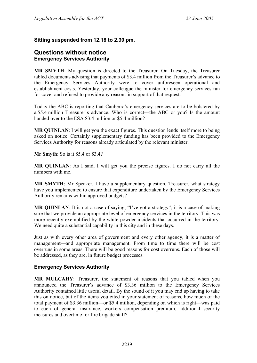### **Sitting suspended from 12.18 to 2.30 pm.**

### <span id="page-31-0"></span>**Questions without notice Emergency Services Authority**

**MR SMYTH**: My question is directed to the Treasurer. On Tuesday, the Treasurer tabled documents advising that payments of \$3.4 million from the Treasurer's advance to the Emergency Services Authority were to cover unforeseen operational and establishment costs. Yesterday, your colleague the minister for emergency services ran for cover and refused to provide any reasons in support of that request.

Today the ABC is reporting that Canberra's emergency services are to be bolstered by a \$5.4 million Treasurer's advance. Who is correct—the ABC or you? Is the amount handed over to the ESA \$3.4 million or \$5.4 million?

**MR QUINLAN**: I will get you the exact figures. This question lends itself more to being asked on notice. Certainly supplementary funding has been provided to the Emergency Services Authority for reasons already articulated by the relevant minister.

**Mr Smyth**: So is it \$5.4 or \$3.4?

**MR QUINLAN**: As I said, I will get you the precise figures. I do not carry all the numbers with me.

**MR SMYTH**: Mr Speaker, I have a supplementary question. Treasurer, what strategy have you implemented to ensure that expenditure undertaken by the Emergency Services Authority remains within approved budgets?

**MR QUINLAN**: It is not a case of saying, "I've got a strategy"; it is a case of making sure that we provide an appropriate level of emergency services in the territory. This was more recently exemplified by the white powder incidents that occurred in the territory. We need quite a substantial capability in this city and in these days.

Just as with every other area of government and every other agency, it is a matter of management—and appropriate management. From time to time there will be cost overruns in some areas. There will be good reasons for cost overruns. Each of those will be addressed, as they are, in future budget processes.

#### <span id="page-31-1"></span>**Emergency Services Authority**

**MR MULCAHY**: Treasurer, the statement of reasons that you tabled when you announced the Treasurer's advance of \$3.36 million to the Emergency Services Authority contained little useful detail. By the sound of it you may end up having to take this on notice, but of the items you cited in your statement of reasons, how much of the total payment of \$3.36 million—or \$5.4 million, depending on which is right—was paid to each of general insurance, workers compensation premium, additional security measures and overtime for fire brigade staff?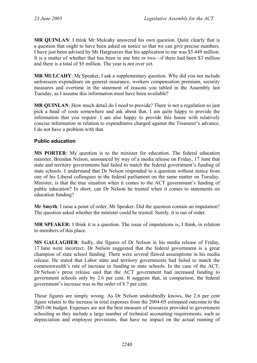**MR QUINLAN**: I think Mr Mulcahy answered his own question. Quite clearly that is a question that ought to have been asked on notice so that we can give precise numbers. I have just been advised by Mr Hargreaves that his application to me was \$5.449 million. It is a matter of whether that has been in one bite or two—if there had been \$3 million and there is a total of \$5 million. The year is not over yet.

**MR MULCAHY**: Mr Speaker, I ask a supplementary question. Why did you not include unforeseen expenditure on general insurance, workers compensation premium, security measures and overtime in the statement of reasons you tabled in the Assembly last Tuesday, as I assume this information must have been available?

**MR QUINLAN**: How much detail do I need to provide? There is not a regulation so just pick a head of costs somewhere and ask about that. I am quite happy to provide the information that you require. I am also happy to provide this house with relatively concise information in relation to expenditures charged against the Treasurer's advance. I do not have a problem with that.

### <span id="page-32-0"></span>**Public education**

**MS PORTER**: My question is to the minister for education. The federal education minister, Brendan Nelson, announced by way of a media release on Friday, 17 June that state and territory governments had failed to match the federal government's funding of state schools. I understand that Dr Nelson responded to a question without notice from one of his Liberal colleagues in the federal parliament on the same matter on Tuesday. Minister, is that the true situation when it comes to the ACT government's funding of public education? In short, can Dr Nelson be trusted when it comes to statements on education funding?

**Mr Smyth**: I raise a point of order, Mr Speaker. Did the question contain an imputation? The question asked whether the minister could be trusted. Surely, it is out of order.

**MR SPEAKER:** I think it is a question. The issue of imputations is, I think, in relation to members of this place.

**MS GALLAGHER**: Sadly, the figures of Dr Nelson in his media release of Friday, 17 June were incorrect. Dr Nelson suggested that the federal government is a great champion of state school funding. There were several flawed assumptions in his media release. He stated that Labor state and territory governments had failed to match the commonwealth's rate of increase in funding to state schools. In the case of the ACT, Dr Nelson's press release said that the ACT government had increased funding to government schools only by 2.6 per cent. It suggests that, in comparison, the federal government's increase was in the order of 8.7 per cent.

Those figures are simply wrong. As Dr Nelson undoubtedly knows, the 2.6 per cent figure relates to the increase in total expenses from the 2004-05 estimated outcome to the 2005-06 budget. Expenses are not the best measure of resources provided to government schooling as they include a large number of technical accounting requirements, such as depreciation and employee provisions, that have no impact on the actual running of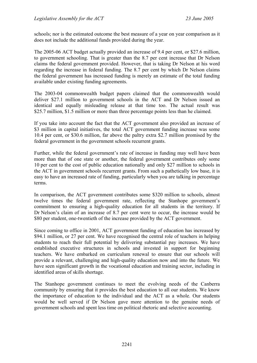schools; nor is the estimated outcome the best measure of a year on year comparison as it does not include the additional funds provided during the year.

The 2005-06 ACT budget actually provided an increase of 9.4 per cent, or \$27.6 million, to government schooling. That is greater than the 8.7 per cent increase that Dr Nelson claims the federal government provided. However, that is taking Dr Nelson at his word regarding the increase in federal funding. The 8.7 per cent by which Dr Nelson claims the federal government has increased funding is merely an estimate of the total funding available under existing funding agreements.

The 2003-04 commonwealth budget papers claimed that the commonwealth would deliver \$27.1 million to government schools in the ACT and Dr Nelson issued an identical and equally misleading release at that time too. The actual result was \$25.7 million, \$1.5 million or more than three percentage points less than he claimed.

If you take into account the fact that the ACT government also provided an increase of \$3 million in capital initiatives, the total ACT government funding increase was some 10.4 per cent, or \$30.6 million, far above the paltry extra \$2.7 million promised by the federal government in the government schools recurrent grants.

Further, while the federal government's rate of increase in funding may well have been more than that of one state or another, the federal government contributes only some 10 per cent to the cost of public education nationally and only \$27 million to schools in the ACT in government schools recurrent grants. From such a pathetically low base, it is easy to have an increased rate of funding, particularly when you are talking in percentage terms.

In comparison, the ACT government contributes some \$320 million to schools, almost twelve times the federal government rate, reflecting the Stanhope government's commitment to ensuring a high-quality education for all students in the territory. If Dr Nelson's claim of an increase of 8.7 per cent were to occur, the increase would be \$80 per student, one-twentieth of the increase provided by the ACT government.

Since coming to office in 2001, ACT government funding of education has increased by \$94.1 million, or 27 per cent. We have recognised the central role of teachers in helping students to reach their full potential by delivering substantial pay increases. We have established executive structures in schools and invested in support for beginning teachers. We have embarked on curriculum renewal to ensure that our schools will provide a relevant, challenging and high-quality education now and into the future. We have seen significant growth in the vocational education and training sector, including in identified areas of skills shortage.

The Stanhope government continues to meet the evolving needs of the Canberra community by ensuring that it provides the best education to all our students. We know the importance of education to the individual and the ACT as a whole. Our students would be well served if Dr Nelson gave more attention to the genuine needs of government schools and spent less time on political rhetoric and selective accounting.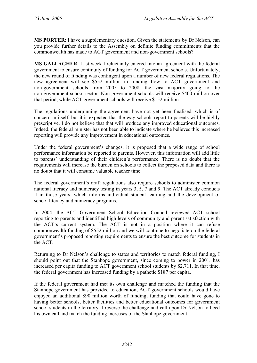**MS PORTER**: I have a supplementary question. Given the statements by Dr Nelson, can you provide further details to the Assembly on definite funding commitments that the commonwealth has made to ACT government and non-government schools?

**MS GALLAGHER**: Last week I reluctantly entered into an agreement with the federal government to ensure continuity of funding for ACT government schools. Unfortunately, the new round of funding was contingent upon a number of new federal regulations. The new agreement will see \$552 million in funding flow to ACT government and non-government schools from 2005 to 2008, the vast majority going to the non-government school sector. Non-government schools will receive \$400 million over that period, while ACT government schools will receive \$152 million.

The regulations underpinning the agreement have not yet been finalised, which is of concern in itself, but it is expected that the way schools report to parents will be highly prescriptive. I do not believe that that will produce any improved educational outcomes. Indeed, the federal minister has not been able to indicate where he believes this increased reporting will provide any improvement in educational outcomes.

Under the federal government's changes, it is proposed that a wide range of school performance information be reported to parents. However, this information will add little to parents' understanding of their children's performance. There is no doubt that the requirements will increase the burden on schools to collect the proposed data and there is no doubt that it will consume valuable teacher time.

The federal government's draft regulations also require schools to administer common national literacy and numeracy testing in years 3, 5, 7 and 9. The ACT already conducts it in those years, which informs individual student learning and the development of school literacy and numeracy programs.

In 2004, the ACT Government School Education Council reviewed ACT school reporting to parents and identified high levels of community and parent satisfaction with the ACT's current system. The ACT is not in a position where it can refuse commonwealth funding of \$552 million and we will continue to negotiate on the federal government's proposed reporting requirements to ensure the best outcome for students in the ACT.

Returning to Dr Nelson's challenge to states and territories to match federal funding, I should point out that the Stanhope government, since coming to power in 2001, has increased per capita funding to ACT government school students by \$2,711. In that time, the federal government has increased funding by a pathetic \$187 per capita.

If the federal government had met its own challenge and matched the funding that the Stanhope government has provided to education, ACT government schools would have enjoyed an additional \$90 million worth of funding, funding that could have gone to having better schools, better facilities and better educational outcomes for government school students in the territory. I reverse the challenge and call upon Dr Nelson to heed his own call and match the funding increases of the Stanhope government.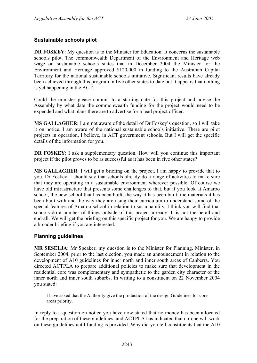### <span id="page-35-0"></span>**Sustainable schools pilot**

**DR FOSKEY:** My question is to the Minister for Education. It concerns the sustainable schools pilot. The commonwealth Department of the Environment and Heritage web wage on sustainable schools states that in December 2004 the Minister for the Environment and Heritage approved \$120,000 in funding to the Australian Capital Territory for the national sustainable schools initiative. Significant results have already been achieved through this program in five other states to date but it appears that nothing is yet happening in the ACT.

Could the minister please commit to a starting date for this project and advise the Assembly by what date the commonwealth funding for the project would need to be expended and what plans there are to advertise for a lead project officer.

**MS GALLAGHER**: I am not aware of the detail of Dr Foskey's question, so I will take it on notice. I am aware of the national sustainable schools initiative. There are pilot projects in operation, I believe, in ACT government schools. But I will get the specific details of the information for you.

**DR FOSKEY**: I ask a supplementary question. How will you continue this important project if the pilot proves to be as successful as it has been in five other states?

**MS GALLAGHER**: I will get a briefing on the project. I am happy to provide that to you, Dr Foskey. I should say that schools already do a range of activities to make sure that they are operating in a sustainable environment wherever possible. Of course we have old infrastructure that presents some challenges to that, but if you look at Amaroo school, the new school that has been built, the way it has been built, the materials it has been built with and the way they are using their curriculum to understand some of the special features of Amaroo school in relation to sustainability, I think you will find that schools do a number of things outside of this project already. It is not the be-all and end-all. We will get the briefing on this specific project for you. We are happy to provide a broader briefing if you are interested.

### <span id="page-35-1"></span>**Planning guidelines**

**MR SESELJA**: Mr Speaker, my question is to the Minister for Planning. Minister, in September 2004, prior to the last election, you made an announcement in relation to the development of A10 guidelines for inner north and inner south areas of Canberra. You directed ACTPLA to prepare additional policies to make sure that development in the residential core was complementary and sympathetic to the garden city character of the inner north and inner south suburbs. In writing to a constituent on 22 November 2004 you stated:

I have asked that the Authority give the production of the design Guidelines for core areas priority.

In reply to a question on notice you have now stated that no money has been allocated for the preparation of these guidelines, and ACTPLA has indicated that no-one will work on these guidelines until funding is provided. Why did you tell constituents that the A10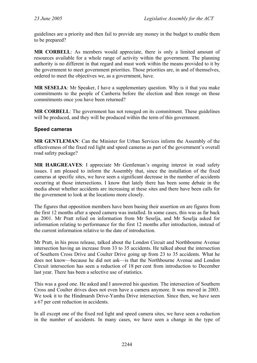guidelines are a priority and then fail to provide any money in the budget to enable them to be prepared?

**MR CORBELL**: As members would appreciate, there is only a limited amount of resources available for a whole range of activity within the government. The planning authority is no different in that regard and must work within the means provided to it by the government to meet government priorities. Those priorities are, in and of themselves, ordered to meet the objectives we, as a government, have.

**MR SESELJA:** Mr Speaker, I have a supplementary question. Why is it that you make commitments to the people of Canberra before the election and then renege on those commitments once you have been returned?

**MR CORBELL:** The government has not reneged on its commitment. These guidelines will be produced, and they will be produced within the term of this government.

### **Speed cameras**

**MR GENTLEMAN**: Can the Minister for Urban Services inform the Assembly of the effectiveness of the fixed red light and speed cameras as part of the government's overall road safety package?

**MR HARGREAVES**: I appreciate Mr Gentleman's ongoing interest in road safety issues. I am pleased to inform the Assembly that, since the installation of the fixed cameras at specific sites, we have seen a significant decrease in the number of accidents occurring at those intersections. I know that lately there has been some debate in the media about whether accidents are increasing at these sites and there have been calls for the government to look at the locations more closely.

The figures that opposition members have been basing their assertion on are figures from the first 12 months after a speed camera was installed. In some cases, this was as far back as 2001. Mr Pratt relied on information from Mr Seselja, and Mr Seselja asked for information relating to performance for the first 12 months after introduction, instead of the current information relative to the date of introduction.

Mr Pratt, in his press release, talked about the London Circuit and Northbourne Avenue intersection having an increase from 33 to 35 accidents. He talked about the intersection of Southern Cross Drive and Coulter Drive going up from 23 to 35 accidents. What he does not know—because he did not ask—is that the Northbourne Avenue and London Circuit intersection has seen a reduction of 18 per cent from introduction to December last year. There has been a selective use of statistics.

This was a good one. He asked and I answered his question. The intersection of Southern Cross and Coulter drives does not even have a camera anymore. It was moved in 2003. We took it to the Hindmarsh Drive-Yamba Drive intersection. Since then, we have seen a 67 per cent reduction in accidents.

In all except one of the fixed red light and speed camera sites, we have seen a reduction in the number of accidents. In many cases, we have seen a change in the type of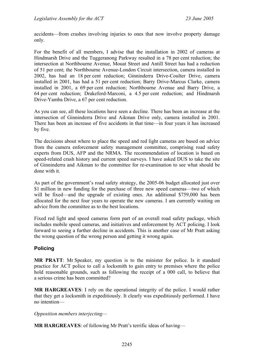accidents—from crashes involving injuries to ones that now involve property damage only.

For the benefit of all members, I advise that the installation in 2002 of cameras at Hindmarsh Drive and the Tuggeranong Parkway resulted in a 78 per cent reduction; the intersection at Northbourne Avenue, Mouat Street and Antill Street has had a reduction of 51 per cent; the Northbourne Avenue-London Circuit intersection, camera installed in 2002, has had an 18 per cent reduction; Ginninderra Drive-Coulter Drive, camera installed in 2001, has had a 51 per cent reduction; Barry Drive-Marcus Clarke, camera installed in 2001, a 69 per cent reduction; Northbourne Avenue and Barry Drive, a 64 per cent reduction; Drakeford-Marconi, a 4.5 per cent reduction; and Hindmarsh Drive-Yamba Drive, a 67 per cent reduction.

As you can see, all these locations have seen a decline. There has been an increase at the intersection of Ginninderra Drive and Aikman Drive only, camera installed in 2001. There has been an increase of five accidents in that time—in four years it has increased by five.

The decisions about where to place the speed and red light cameras are based on advice from the camera enforcement safety management committee, comprising road safety experts from DUS, AFP and the NRMA. The recommendation of location is based on speed-related crash history and current speed surveys. I have asked DUS to take the site of Ginninderra and Aikman to the committee for re-examination to see what should be done with it.

As part of the government's road safety strategy, the 2005-06 budget allocated just over \$1 million in new funding for the purchase of three new speed cameras—two of which will be fixed—and the upgrade of existing ones. An additional \$759,000 has been allocated for the next four years to operate the new cameras. I am currently waiting on advice from the committee as to the best locations.

Fixed red light and speed cameras form part of an overall road safety package, which includes mobile speed cameras, and initiatives and enforcement by ACT policing. I look forward to seeing a further decline in accidents. This is another case of Mr Pratt asking the wrong question of the wrong person and getting it wrong again.

### **Policing**

**MR PRATT**: Mr Speaker, my question is to the minister for police. Is it standard practice for ACT police to call a locksmith to gain entry to premises where the police hold reasonable grounds, such as following the receipt of a 000 call, to believe that a serious crime has been committed?

**MR HARGREAVES**: I rely on the operational integrity of the police. I would rather that they get a locksmith in expeditiously. It clearly was expeditiously performed. I have no intention—

*Opposition members interjecting—*

**MR HARGREAVES**: of following Mr Pratt's terrific ideas of having—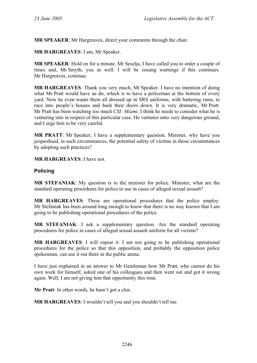**MR SPEAKER**: Mr Hargreaves, direct your comments through the chair.

**MR HARGREAVES**: I am, Mr Speaker.

**MR SPEAKER**: Hold on for a minute. Mr Seselja, I have called you to order a couple of times and, Mr Smyth, you as well. I will be issuing warnings if this continues. Mr Hargreaves, continue.

**MR HARGREAVES**: Thank you very much, Mr Speaker. I have no intention of doing what Mr Pratt would have us do, which is to have a policeman at the bottom of every yard. Now he even wants them all dressed up in SRS uniforms, with battering rams, to race into people's houses and bash their doors down. It is very dramatic, Mr Pratt. Mr Pratt has been watching too much *CSI: Miami*. I think he needs to consider what he is venturing into in respect of this particular case. He ventures onto very dangerous ground, and I urge him to be very careful.

**MR PRATT**: Mr Speaker, I have a supplementary question. Minister, why have you jeopardised, in such circumstances, the potential safety of victims in those circumstances by adopting such practices?

**MR HARGREAVES**: I have not.

### **Policing**

**MR STEFANIAK**: My question is to the minister for police. Minister, what are the standard operating procedures for police to use in cases of alleged sexual assault?

**MR HARGREAVES**: These are operational procedures that the police employ. Mr Stefaniak has been around long enough to know that there is no way known that I am going to be publishing operational procedures of the police.

**MR STEFANIAK**: I ask a supplementary question. Are the standard operating procedures for police in cases of alleged sexual assault uniform for all victims?

**MR HARGREAVES**: I will repeat it: I am not going to be publishing operational procedures for the police so that this opposition, and probably the opposition police spokesman, can use it out there in the public arena.

I have just explained in an answer to Mr Gentleman how Mr Pratt, who cannot do his own work for himself, asked one of his colleagues and then went out and got it wrong again. Well, I am not giving him that opportunity this time.

**Mr Pratt**: In other words, he hasn't got a clue.

**MR HARGREAVES**: I wouldn't tell you and you shouldn't tell me.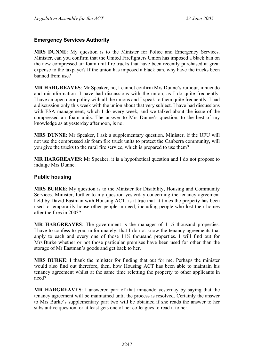### **Emergency Services Authority**

**MRS DUNNE**: My question is to the Minister for Police and Emergency Services. Minister, can you confirm that the United Firefighters Union has imposed a black ban on the new compressed air foam unit fire trucks that have been recently purchased at great expense to the taxpayer? If the union has imposed a black ban, why have the trucks been banned from use?

**MR HARGREAVES**: Mr Speaker, no, I cannot confirm Mrs Dunne's rumour, innuendo and misinformation. I have had discussions with the union, as I do quite frequently. I have an open door policy with all the unions and I speak to them quite frequently. I had a discussion only this week with the union about that very subject. I have had discussions with ESA management, which I do every week, and we talked about the issue of the compressed air foam units. The answer to Mrs Dunne's question, to the best of my knowledge as at yesterday afternoon, is no.

**MRS DUNNE**: Mr Speaker, I ask a supplementary question. Minister, if the UFU will not use the compressed air foam fire truck units to protect the Canberra community, will you give the trucks to the rural fire service, which is prepared to use them?

**MR HARGREAVES**: Mr Speaker, it is a hypothetical question and I do not propose to indulge Mrs Dunne.

#### **Public housing**

**MRS BURKE**: My question is to the Minister for Disability, Housing and Community Services. Minister, further to my question yesterday concerning the tenancy agreement held by David Eastman with Housing ACT, is it true that at times the property has been used to temporarily house other people in need, including people who lost their homes after the fires in 2003?

**MR HARGREAVES**: The government is the manager of 11½ thousand properties. I have to confess to you, unfortunately, that I do not know the tenancy agreements that apply to each and every one of those 11½ thousand properties. I will find out for Mrs Burke whether or not those particular premises have been used for other than the storage of Mr Eastman's goods and get back to her.

**MRS BURKE**: I thank the minister for finding that out for me. Perhaps the minister would also find out therefore, then, how Housing ACT has been able to maintain his tenancy agreement whilst at the same time reletting the property to other applicants in need?

**MR HARGREAVES**: I answered part of that innuendo yesterday by saying that the tenancy agreement will be maintained until the process is resolved. Certainly the answer to Mrs Burke's supplementary part two will be obtained if she reads the answer to her substantive question, or at least gets one of her colleagues to read it to her.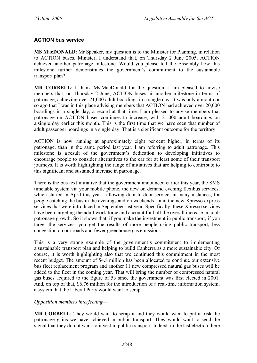# **ACTION bus service**

**MS MacDONALD**: Mr Speaker, my question is to the Minister for Planning, in relation to ACTION buses. Minister, I understand that, on Thursday 2 June 2005, ACTION achieved another patronage milestone. Would you please tell the Assembly how this milestone further demonstrates the government's commitment to the sustainable transport plan?

**MR CORBELL**: I thank Ms MacDonald for the question. I am pleased to advise members that, on Thursday 2 June, ACTION buses hit another milestone in terms of patronage, achieving over 21,000 adult boardings in a single day. It was only a month or so ago that I was in this place advising members that ACTION had achieved over 20,000 boardings in a single day, a record at that time. I am pleased to advise members that patronage on ACTION buses continues to increase, with 21,000 adult boardings on a single day earlier this month. This is the first time that we have seen that number of adult passenger boardings in a single day. That is a significant outcome for the territory.

ACTION is now running at approximately eight per cent higher, in terms of its patronage, than in the same period last year. I am referring to adult patronage. This milestone is a result of the government's dedication to developing initiatives to encourage people to consider alternatives to the car for at least some of their transport journeys. It is worth highlighting the range of initiatives that are helping to contribute to this significant and sustained increase in patronage.

There is the bus text initiative that the government announced earlier this year, the SMS timetable system via your mobile phone, the new on demand evening flexibus services, which started in April this year—allowing door-to-door service, in many instances, for people catching the bus in the evenings and on weekends—and the new Xpresso express services that were introduced in September last year. Specifically, these Xpresso services have been targeting the adult work force and account for half the overall increase in adult patronage growth. So it shows that, if you make the investment in public transport, if you target the services, you get the results of more people using public transport, less congestion on our roads and fewer greenhouse gas emissions.

This is a very strong example of the government's commitment to implementing a sustainable transport plan and helping to build Canberra as a more sustainable city. Of course, it is worth highlighting also that we continued this commitment in the most recent budget. The amount of \$4.8 million has been allocated to continue our extensive bus fleet replacement program and another 11 new compressed natural gas buses will be added to the fleet in the coming year. That will bring the number of compressed natural gas buses acquired to the figure of 53 since the government was first elected in 2001. And, on top of that, \$6.76 million for the introduction of a real-time information system, a system that the Liberal Party would want to scrap.

#### *Opposition members interjecting—*

**MR CORBELL**: They would want to scrap it and they would want to put at risk the patronage gains we have achieved in public transport. They would want to send the signal that they do not want to invest in public transport. Indeed, in the last election there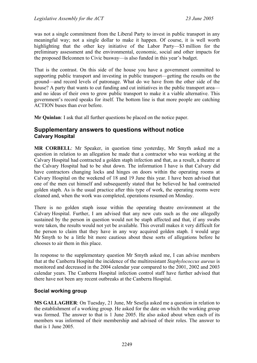was not a single commitment from the Liberal Party to invest in public transport in any meaningful way; not a single dollar to make it happen. Of course, it is well worth highlighting that the other key initiative of the Labor Party—\$3 million for the preliminary assessment and the environmental, economic, social and other impacts for the proposed Belconnen to Civic busway—is also funded in this year's budget.

That is the contrast. On this side of the house you have a government committed to supporting public transport and investing in public transport—getting the results on the ground—and record levels of patronage. What do we have from the other side of the house? A party that wants to cut funding and cut initiatives in the public transport area and no ideas of their own to grow public transport to make it a viable alternative. This government's record speaks for itself. The bottom line is that more people are catching ACTION buses than ever before.

**Mr Quinlan**: I ask that all further questions be placed on the notice paper.

# **Supplementary answers to questions without notice Calvary Hospital**

**MR CORBELL**: Mr Speaker, in question time yesterday, Mr Smyth asked me a question in relation to an allegation he made that a contractor who was working at the Calvary Hospital had contracted a golden staph infection and that, as a result, a theatre at the Calvary Hospital had to be shut down. The information I have is that Calvary did have contractors changing locks and hinges on doors within the operating rooms at Calvary Hospital on the weekend of 18 and 19 June this year. I have been advised that one of the men cut himself and subsequently stated that he believed he had contracted golden staph. As is the usual practice after this type of work, the operating rooms were cleaned and, when the work was completed, operations resumed on Monday.

There is no golden staph issue within the operating theatre environment at the Calvary Hospital. Further, I am advised that any new cuts such as the one allegedly sustained by the person in question would not be staph affected and that, if any swabs were taken, the results would not yet be available. This overall makes it very difficult for the person to claim that they have in any way acquired golden staph. I would urge Mr Smyth to be a little bit more cautious about these sorts of allegations before he chooses to air them in this place.

In response to the supplementary question Mr Smyth asked me, I can advise members that at the Canberra Hospital the incidence of the multiresistant *Staphylococcus aureus* is monitored and decreased in the 2004 calendar year compared to the 2001, 2002 and 2003 calendar years. The Canberra Hospital infection control staff have further advised that there have not been any recent outbreaks at the Canberra Hospital.

### **Social working group**

**MS GALLAGHER**: On Tuesday, 21 June, Mr Seselja asked me a question in relation to the establishment of a working group. He asked for the date on which the working group was formed. The answer to that is 1 June 2005. He also asked about when each of its members was informed of their membership and advised of their roles. The answer to that is 1 June 2005.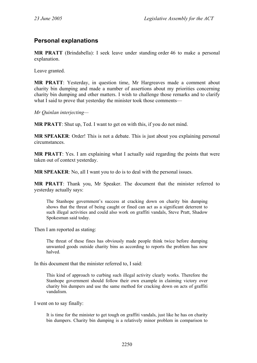# **Personal explanations**

**MR PRATT** (Brindabella): I seek leave under standing order 46 to make a personal explanation.

Leave granted.

**MR PRATT**: Yesterday, in question time, Mr Hargreaves made a comment about charity bin dumping and made a number of assertions about my priorities concerning charity bin dumping and other matters. I wish to challenge those remarks and to clarify what I said to prove that vesterday the minister took those comments—

*Mr Quinlan interjecting—* 

**MR PRATT**: Shut up, Ted. I want to get on with this, if you do not mind.

**MR SPEAKER**: Order! This is not a debate. This is just about you explaining personal circumstances.

**MR PRATT**: Yes. I am explaining what I actually said regarding the points that were taken out of context yesterday.

**MR SPEAKER**: No, all I want you to do is to deal with the personal issues.

**MR PRATT**: Thank you, Mr Speaker. The document that the minister referred to yesterday actually says:

The Stanhope government's success at cracking down on charity bin dumping shows that the threat of being caught or fined can act as a significant deterrent to such illegal activities and could also work on graffiti vandals, Steve Pratt, Shadow Spokesman said today.

Then I am reported as stating:

The threat of these fines has obviously made people think twice before dumping unwanted goods outside charity bins as according to reports the problem has now halved.

In this document that the minister referred to, I said:

This kind of approach to curbing such illegal activity clearly works. Therefore the Stanhope government should follow their own example in claiming victory over charity bin dumpers and use the same method for cracking down on acts of graffiti vandalism.

I went on to say finally:

It is time for the minister to get tough on graffiti vandals, just like he has on charity bin dumpers. Charity bin dumping is a relatively minor problem in comparison to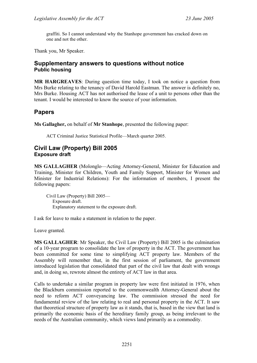graffiti. So I cannot understand why the Stanhope government has cracked down on one and not the other.

Thank you, Mr Speaker.

# **Supplementary answers to questions without notice Public housing**

**MR HARGREAVES**: During question time today, I took on notice a question from Mrs Burke relating to the tenancy of David Harold Eastman. The answer is definitely no, Mrs Burke. Housing ACT has not authorised the lease of a unit to persons other than the tenant. I would be interested to know the source of your information.

# **Papers**

**Ms Gallagher,** on behalf of **Mr Stanhope**, presented the following paper:

ACT Criminal Justice Statistical Profile—March quarter 2005.

# **Civil Law (Property) Bill 2005 Exposure draft**

**MS GALLAGHER** (Molonglo—Acting Attorney-General, Minister for Education and Training, Minister for Children, Youth and Family Support, Minister for Women and Minister for Industrial Relations): For the information of members, I present the following papers:

Civil Law (Property) Bill 2005— Exposure draft. Explanatory statement to the exposure draft.

I ask for leave to make a statement in relation to the paper.

Leave granted.

**MS GALLAGHER**: Mr Speaker, the Civil Law (Property) Bill 2005 is the culmination of a 10-year program to consolidate the law of property in the ACT. The government has been committed for some time to simplifying ACT property law. Members of the Assembly will remember that, in the first session of parliament, the government introduced legislation that consolidated that part of the civil law that dealt with wrongs and, in doing so, rewrote almost the entirety of ACT law in that area.

Calls to undertake a similar program in property law were first initiated in 1976, when the Blackburn commission reported to the commonwealth Attorney-General about the need to reform ACT conveyancing law. The commission stressed the need for fundamental review of the law relating to real and personal property in the ACT. It saw that theoretical structure of property law as it stands, that is, based in the view that land is primarily the economic basis of the hereditary family group, as being irrelevant to the needs of the Australian community, which views land primarily as a commodity.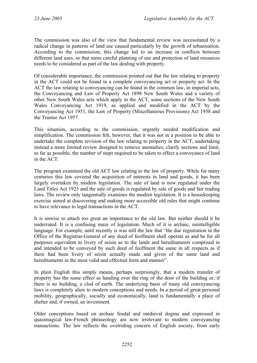The commission was also of the view that fundamental review was necessitated by a radical change in patterns of land use caused particularly by the growth of urbanisation. According to the commission, this change led to an increase in conflicts between different land uses, so that more careful planning of use and protection of land resources needs to be considered as part of the law dealing with property.

Of considerable importance, the commission pointed out that the law relating to property in the ACT could not be found in a complete conveyancing act or property act. In the ACT the law relating to conveyancing can be found in the common law, in imperial acts, the Conveyancing and Law of Property Act 1898 New South Wales and a variety of other New South Wales acts which apply in the ACT, some sections of the New South Wales Conveyancing Act 1919, as applied and modified in the ACT by the Conveyancing Act 1951, the Law of Property (Miscellaneous Provisions) Act 1958 and the Trustee Act 1957.

This situation, according to the commission, urgently needed modification and simplification. The commission felt, however, that it was not in a position to be able to undertake the complete revision of the law relating to property in the ACT, undertaking instead a more limited review designed to remove anomalies, clarify sections and limit, as far as possible, the number of steps required to be taken to effect a conveyance of land in the ACT.

The program examined the old ACT law relating to the law of property. While for many centuries this law covered the acquisition of interests in land and goods, it has been largely overtaken by modern legislation. The sale of land is now regulated under the Land Titles Act 1925 and the sale of goods is regulated by sale of goods and fair trading laws. The review only tangentially examines the modern legislation. It is a housekeeping exercise aimed at discovering and making more accessible old rules that might continue to have relevance to legal transactions in the ACT.

It is unwise to attach too great an importance to the old law. But neither should it be underrated. It is a confusing maze of legislation. Much of it is archaic, unintelligible language. For example, until recently is was still the law that "the due registration in the Office of the Registrar-General of any deed of feoffment shall operate as and be for all purposes equivalent to livery of seisin as to the lands and hereditaments comprised in and intended to be conveyed by such deed of feoffment the same in all respects as if there had been livery of seisin actually made and given of the same land and hereditaments in the most valid and effectual form and manner".

In plain English this simply means, perhaps surprisingly, that a modern transfer of property has the same effect as handing over the ring of the door of the building or, if there is no building, a clod of earth. The underlying basis of many old conveyancing laws is completely alien to modern conceptions and needs. In a period of great personal mobility, geographically, socially and economically, land is fundamentally a place of shelter and, if owned, an investment.

Older conceptions based on archaic feudal and medieval dogma and expressed in quasimagical law-French phraseology are now irrelevant to modern conveyancing transactions. The law reflects the overriding concern of English society, from early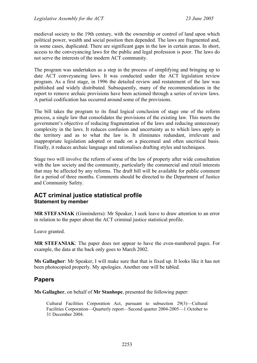medieval society to the 19th century, with the ownership or control of land upon which political power, wealth and social position then depended. The laws are fragmented and, in some cases, duplicated. There are significant gaps in the law in certain areas. In short, access to the conveyancing laws for the public and legal profession is poor. The laws do not serve the interests of the modern ACT community.

The program was undertaken as a step in the process of simplifying and bringing up to date ACT conveyancing laws. It was conducted under the ACT legislation review program. As a first stage, in 1996 the detailed review and restatement of the law was published and widely distributed. Subsequently, many of the recommendations in the report to remove archaic provisions have been actioned through a series of review laws. A partial codification has occurred around some of the provisions.

The bill takes the program to its final logical conclusion of stage one of the reform process, a single law that consolidates the provisions of the existing law. This meets the government's objective of reducing fragmentation of the laws and reducing unnecessary complexity in the laws. It reduces confusion and uncertainty as to which laws apply in the territory and as to what the law is. It eliminates redundant, irrelevant and inappropriate legislation adopted or made on a piecemeal and often uncritical basis. Finally, it reduces archaic language and rationalises drafting styles and techniques.

Stage two will involve the reform of some of the law of property after wide consultation with the law society and the community, particularly the commercial and retail interests that may be affected by any reforms. The draft bill will be available for public comment for a period of three months. Comments should be directed to the Department of Justice and Community Safety.

# **ACT criminal justice statistical profile Statement by member**

**MR STEFANIAK** (Ginninderra): Mr Speaker, I seek leave to draw attention to an error in relation to the paper about the ACT criminal justice statistical profile.

Leave granted.

**MR STEFANIAK**: The paper does not appear to have the even-numbered pages. For example, the data at the back only goes to March 2002.

**Ms Gallagher**: Mr Speaker, I will make sure that that is fixed up. It looks like it has not been photocopied properly. My apologies. Another one will be tabled.

# **Papers**

**Ms Gallagher**, on behalf of **Mr Stanhope**, presented the following paper:

Cultural Facilities Corporation Act, pursuant to subsection 29(3)—Cultural Facilities Corporation—Quarterly report—Second quarter 2004-2005—1 October to 31 December 2004.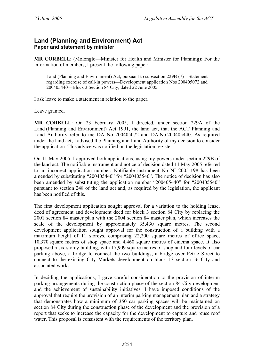# **Land (Planning and Environment) Act Paper and statement by minister**

**MR CORBELL**: (Molonglo—Minister for Health and Minister for Planning): For the information of members, I present the following paper:

Land (Planning and Environment) Act, pursuant to subsection 229B (7)—Statement regarding exercise of call-in powers—Development application Nos 200405072 and 200405440—Block 3 Section 84 City, dated 22 June 2005.

I ask leave to make a statement in relation to the paper.

Leave granted.

**MR CORBELL**: On 23 February 2005, I directed, under section 229A of the Land (Planning and Environment) Act 1991, the land act, that the ACT Planning and Land Authority refer to me DA No 200405072 and DA No 200405440. As required under the land act, I advised the Planning and Land Authority of my decision to consider the application. This advice was notified on the legislation register.

On 11 May 2005, I approved both applications, using my powers under section 229B of the land act. The notifiable instrument and notice of decision dated 11 May 2005 referred to an incorrect application number. Notifiable instrument No NI 2005-198 has been amended by substituting "200405440" for "200405540". The notice of decision has also been amended by substituting the application number "200405440" for "200405540" pursuant to section 248 of the land act and, as required by the legislation, the applicant has been notified of this.

The first development application sought approval for a variation to the holding lease, deed of agreement and development deed for block 3 section 84 City by replacing the 2001 section 84 master plan with the 2004 section 84 master plan, which increases the scale of the development by approximately 35,430 square metres. The second development application sought approval for the construction of a building with a maximum height of 11 storeys, comprising 22,200 square metres of office space, 10,370 square metres of shop space and 4,460 square metres of cinema space. It also proposed a six-storey building, with 17,909 square metres of shop and four levels of car parking above, a bridge to connect the two buildings, a bridge over Petrie Street to connect to the existing City Markets development on block 13 section 56 City and associated works.

In deciding the applications, I gave careful consideration to the provision of interim parking arrangements during the construction phase of the section 84 City development and the achievement of sustainability initiatives. I have imposed conditions of the approval that require the provision of an interim parking management plan and a strategy that demonstrates how a minimum of 350 car parking spaces will be maintained on section 84 City during the construction phase of the development and the provision of a report that seeks to increase the capacity for the development to capture and reuse roof water. This proposal is consistent with the requirements of the territory plan.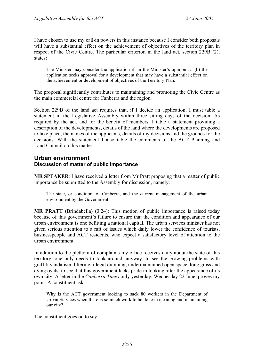I have chosen to use my call-in powers in this instance because I consider both proposals will have a substantial effect on the achievement of objectives of the territory plan in respect of the Civic Centre. The particular criterion in the land act, section 229B (2), states:

The Minister may consider the application if, in the Minister's opinion … (b) the application seeks approval for a development that may have a substantial effect on the achievement or development of objectives of the Territory Plan.

The proposal significantly contributes to maintaining and promoting the Civic Centre as the main commercial centre for Canberra and the region.

Section 229B of the land act requires that, if I decide an application, I must table a statement in the Legislative Assembly within three sitting days of the decision. As required by the act, and for the benefit of members, I table a statement providing a description of the developments, details of the land where the developments are proposed to take place, the names of the applicants, details of my decisions and the grounds for the decisions. With the statement I also table the comments of the ACT Planning and Land Council on this matter.

# **Urban environment Discussion of matter of public importance**

**MR SPEAKER**: I have received a letter from Mr Pratt proposing that a matter of public importance be submitted to the Assembly for discussion, namely:

The state, or condition, of Canberra, and the current management of the urban environment by the Government.

**MR PRATT** (Brindabella) (3.24): This motion of public importance is raised today because of this government's failure to ensure that the condition and appearance of our urban environment is one befitting a national capital. The urban services minister has not given serious attention to a raft of issues which daily lower the confidence of tourists, businesspeople and ACT residents, who expect a satisfactory level of attention to the urban environment.

In addition to the plethora of complaints my office receives daily about the state of this territory, one only needs to look around, anyway, to see the growing problems with graffiti vandalism, littering, illegal dumping, undermaintained open space, long grass and dying ovals, to see that this government lacks pride in looking after the appearance of its own city. A letter in the *Canberra Times* only yesterday, Wednesday 22 June, proves my point. A constituent asks:

Why is the ACT government looking to sack 80 workers in the Department of Urban Services when there is so much work to be done in cleaning and maintaining our city?

The constituent goes on to say: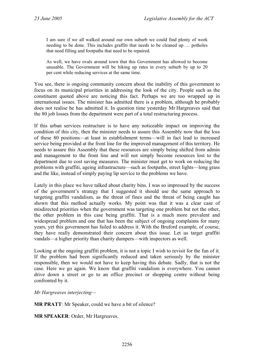I am sure if we all walked around our own suburb we could find plenty of work needing to be done. This includes graffiti that needs to be cleaned up … potholes that need filling and footpaths that need to be repaired.

As well, we have ovals around town that this Government has allowed to become unusable. The Government will be hiking up rates in every suburb by up to 20 per cent while reducing services at the same time.

You see, there is ongoing community concern about the inability of this government to focus on its municipal priorities in addressing the look of the city. People such as the constituent quoted above are noticing this fact. Perhaps we are too wrapped up in international issues. The minister has admitted there is a problem, although he probably does not realise he has admitted it. In question time yesterday Mr Hargreaves said that the 80 job losses from the department were part of a total restructuring process.

If this urban services restructure is to have any noticeable impact on improving the condition of this city, then the minister needs to assure this Assembly now that the loss of these 80 positions—at least in establishment terms—will in fact lead to increased service being provided at the front line for the improved management of this territory. He needs to assure this Assembly that these resources are simply being shifted from admin and management to the front line and will not simply become resources lost to the department due to cost saving measures. The minister must get to work on reducing the problems with graffiti, ageing infrastructure—such as footpaths, street lights—long grass and the like, instead of simply paying lip service to the problems we have.

Lately in this place we have talked about charity bins. I was so impressed by the success of the government's strategy that I suggested it should use the same approach to targeting graffiti vandalism, as the threat of fines and the threat of being caught has shown that this method actually works. My point was that it was a clear case of misdirected priorities when the government was targeting one problem but not the other, the other problem in this case being graffiti. That is a much more prevalent and widespread problem and one that has been the subject of ongoing complaints for many years, yet this government has failed to address it. With the Bruford example, of course, they have really demonstrated their concern about this issue. Let us target graffiti vandals—a higher priority than charity dumpers—with inspectors as well.

Looking at the ongoing graffiti problem, it is not a topic I wish to revisit for the fun of it. If the problem had been significantly reduced and taken seriously by the minister responsible, then we would not have to keep having this debate. Sadly, that is not the case. Here we go again. We know that graffiti vandalism is everywhere. You cannot drive down a street or go to an office precinct or shopping centre without being confronted by it.

*Mr Hargreaves interjecting—* 

**MR PRATT:** Mr Speaker, could we have a bit of silence?

**MR SPEAKER**: Order, Mr Hargreaves.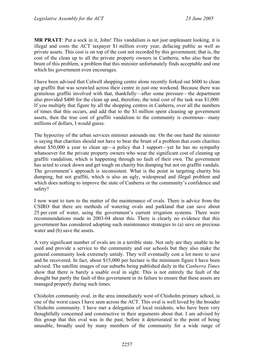**MR PRATT**: Put a sock in it, John! This vandalism is not just unpleasant looking, it is illegal and costs the ACT taxpayer \$1 million every year, defacing public as well as private assets. This cost is on top of the cost not recorded by this government; that is, the cost of the clean up to all the private property owners in Canberra, who also bear the brunt of this problem, a problem that this minister unfortunately finds acceptable and one which his government even encourages.

I have been advised that Calwell shopping centre alone recently forked out \$600 to clean up graffiti that was scrawled across their centre in just one weekend. Because there was gratuitous graffiti involved with that, thankfully—after some pressure—the department also provided \$400 for the clean up and, therefore, the total cost of the task was \$1,000. If you multiply that figure by all the shopping centres in Canberra, over all the numbers of times that this occurs, and add that to the \$1 million spent cleaning up government assets, then the true cost of graffiti vandalism to the community is enormous—many millions of dollars, I would guess.

The hypocrisy of the urban services minister astounds me. On the one hand the minister is saying that charities should not have to bear the brunt of a problem that costs charities about \$50,000 a year to clean up—a policy that I support—yet he has no sympathy whatsoever for the private property owners who wear the significant cost of cleaning up graffiti vandalism, which is happening through no fault of their own. The government has acted to crack down and get tough on charity bin dumping but not on graffiti vandals. The government's approach is inconsistent. What is the point in targeting charity bin dumping, but not graffiti, which is also an ugly, widespread and illegal problem and which does nothing to improve the state of Canberra or the community's confidence and safety?

I now want to turn to the matter of the maintenance of ovals. There is advice from the CSIRO that there are methods of watering ovals and parkland that can save about 25 per cent of water, using the government's current irrigation systems. There were recommendations made in 2003-04 about this. There is clearly no evidence that this government has considered adopting such maintenance strategies to (a) save on precious water and (b) save the assets.

A very significant number of ovals are in a terrible state. Not only are they unable to be used and provide a service to the community and our schools but they also make the general community look extremely untidy. They will eventually cost a lot more to save and be recovered. In fact, about \$15,000 per hectare is the minimum figure I have been advised. The satellite images of our suburbs being published daily in the *Canberra Times* show that there is barely a usable oval in sight. This is not entirely the fault of the drought but partly the fault of this government in its failure to ensure that these assets are managed properly during such times.

Chisholm community oval, in the area immediately west of Chisholm primary school, is one of the worst cases I have seen across the ACT. This oval is well loved by the broader Chisholm community. I have met a delegation of local residents, who have been very thoughtfully concerned and constructive in their arguments about that. I am advised by this group that this oval was in the past, before it deteriorated to the point of being unusable, broadly used by many members of the community for a wide range of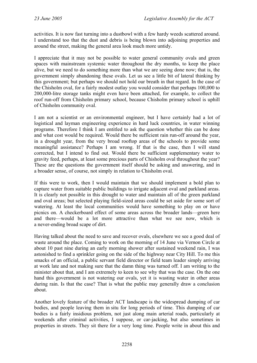activities. It is now fast turning into a dustbowl with a few hardy weeds scattered around. I understand too that the dust and debris is being blown into adjoining properties and around the street, making the general area look much more untidy.

I appreciate that it may not be possible to water general community ovals and green spaces with mainstream systemic water throughout the dry months, to keep the place alive, but we need to do something more than what we are seeing done now; that is, the government simply abandoning these ovals. Let us see a little bit of lateral thinking by this government; but perhaps we should not hold our breath in that regard. In the case of the Chisholm oval, for a fairly modest outlay you would consider that perhaps 100,000 to 200,000-litre storage tanks might even have been attached, for example, to collect the roof run-off from Chisholm primary school, because Chisholm primary school is uphill of Chisholm community oval.

I am not a scientist or an environmental engineer, but I have certainly had a lot of logistical and layman engineering experience in hard luck countries, in water winning programs. Therefore I think I am entitled to ask the question whether this can be done and what cost would be required. Would there be sufficient rain run-off around the year, in a drought year, from the very broad rooftop areas of the schools to provide some meaningful assistance? Perhaps I am wrong. If that is the case, then I will stand corrected, but I intend to find out. Would there be sufficient supplementary water to gravity feed, perhaps, at least some precious parts of Chisholm oval throughout the year? These are the questions the government itself should be asking and answering, and in a broader sense, of course, not simply in relation to Chisholm oval.

If this were to work, then I would maintain that we should implement a bold plan to capture water from suitable public buildings to irrigate adjacent oval and parkland areas. It is clearly not possible in this drought to water and maintain all of the green parkland and oval areas; but selected playing field-sized areas could be set aside for some sort of watering. At least the local communities would have something to play on or have picnics on. A checkerboard effect of some areas across the broader lands—green here and there—would be a lot more attractive than what we see now, which is a never-ending broad scape of dirt.

Having talked about the need to save and recover ovals, elsewhere we see a good deal of waste around the place. Coming to work on the morning of 14 June via Vernon Circle at about 10 past nine during an early morning shower after sustained weekend rain, I was astonished to find a sprinkler going on the side of the highway near City Hill. To me this smacks of an official, a public servant field director or field team leader simply arriving at work late and not making sure that the damn thing was turned off. I am writing to the minister about that, and I am extremely to keen to see why that was the case. On the one hand this government is not watering our ovals, yet it is wasting water in other areas during rain. Is that the case? That is what the public may generally draw a conclusion about.

Another lovely feature of the broader ACT landscape is the widespread dumping of car bodies, and people leaving them in situ for long periods of time. This dumping of car bodies is a fairly insidious problem, not just along main arterial roads, particularly at weekends after criminal activities, I suppose, or car-jacking, but also sometimes in properties in streets. They sit there for a very long time. People write in about this and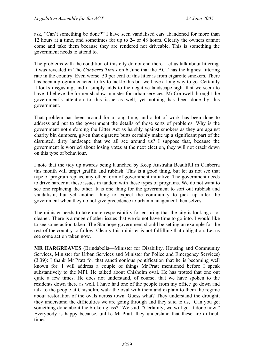ask, "Can't something be done?" I have seen vandalised cars abandoned for more than 12 hours at a time, and sometimes for up to 24 or 48 hours. Clearly the owners cannot come and take them because they are rendered not driveable. This is something the government needs to attend to.

The problems with the condition of this city do not end there. Let us talk about littering. It was revealed in The *Canberra Times* on 6 June that the ACT has the highest littering rate in the country. Even worse, 50 per cent of this litter is from cigarette smokers. There has been a program enacted to try to tackle this but we have a long way to go. Certainly it looks disgusting, and it simply adds to the negative landscape sight that we seem to have. I believe the former shadow minister for urban services, Mr Cornwell, brought the government's attention to this issue as well, yet nothing has been done by this government.

That problem has been around for a long time, and a lot of work has been done to address and put to the government the details of those sorts of problems. Why is the government not enforcing the Litter Act as harshly against smokers as they are against charity bin dumpers, given that cigarette butts certainly make up a significant part of the disrupted, dirty landscape that we all see around us? I suppose that, because the government is worried about losing votes at the next election, they will not crack down on this type of behaviour.

I note that the tidy up awards being launched by Keep Australia Beautiful in Canberra this month will target graffiti and rubbish. This is a good thing, but let us not see that type of program replace any other form of government initiative. The government needs to drive harder at these issues in tandem with these types of programs. We do not want to see one replacing the other. It is one thing for the government to sort out rubbish and vandalism, but yet another thing to expect the community to pick up after the government when they do not give precedence to urban management themselves.

The minister needs to take more responsibility for ensuring that the city is looking a lot cleaner. There is a range of other issues that we do not have time to go into. I would like to see some action taken. The Stanhope government should be setting an example for the rest of the country to follow. Clearly this minister is not fulfilling that obligation. Let us see some action taken now.

**MR HARGREAVES** (Brindabella—Minister for Disability, Housing and Community Services, Minister for Urban Services and Minister for Police and Emergency Services) (3.39): I thank Mr Pratt for that sanctimonious pontification that he is becoming well known for. I will address a couple of things Mr Pratt mentioned before I speak substantively to the MPI. He talked about Chisholm oval. He has trotted that one out quite a few times. He does not understand, of course, that we have spoken to the residents down there as well. I have had one of the people from my office go down and talk to the people at Chisholm, walk the oval with them and explain to them the regime about restoration of the ovals across town. Guess what? They understand the drought; they understand the difficulties we are going through and they said to us, "Can you get something done about the broken glass?" We said, "Certainly; we will get it done now." Everybody is happy because, unlike Mr Pratt, they understand that these are difficult times.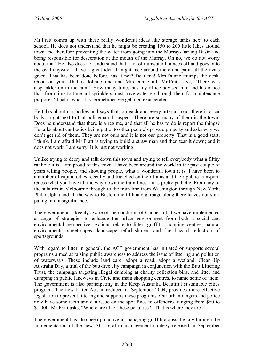Mr Pratt comes up with these really wonderful ideas like storage tanks next to each school. He does not understand that he might be creating 150 to 200 little lakes around town and therefore preventing the water from going into the Murray-Darling Basin and being responsible for desecration at the mouth of the Murray. Oh no, we do not worry about that! He also does not understand that a lot of rainwater bounces off and goes onto the oval anyway. I have a great idea: I might race around there and paint all the ovals green. That has been done before, has it not? Dear me! Mrs Dunne thumps the desk. Good on you! That is Johnno one and Mrs Dunne nil. Mr Pratt says, "There was a sprinkler on in the rain!" How many times has my office advised him and his office that, from time to time, all sprinklers must have water go through them for maintenance purposes? That is what it is. Sometimes we get a bit exasperated.

He talks about car bodies and says that, on each and every arterial road, there is a car body—right next to that policeman, I suspect. There are so many of them in the town! Does he understand that there is a regime, and that all he has to do is report the things? He talks about car bodies being put onto other people's private property and asks why we don't get rid of them. They are not ours and it is not our property. That is a good start, I think. I am afraid Mr Pratt is trying to build a straw man and then tear it down; and it does not work, I am sorry. It is just not working.

Unlike trying to decry and talk down this town and trying to tell everybody what a filthy rat hole it is, I am proud of this town. I have been around the world in the past couple of years telling people, and showing people, what a wonderful town it is. I have been to a number of capital cities recently and travelled on their trains and their public transport. Guess what you have all the way down the train lines—it is pretty pathetic. From any of the suburbs in Melbourne through to the train line from Washington through New York, Philadelphia and all the way to Boston, the filth and garbage along there leaves our stuff paling into insignificance.

The government is keenly aware of the condition of Canberra but we have implemented a range of strategies to enhance the urban environment from both a social and environmental perspective. Actions relate to litter, graffiti, shopping centres, natural environments, streetscapes, landscape refurbishment and fire hazard reduction of sportsgrounds.

With regard to litter in general, the ACT government has initiated or supports several programs aimed at raising public awareness to address the issue of littering and pollution of waterways. These include land care, adopt a road, adopt a wetland, Clean Up Australia Day, a trial of the butt-free city campaign in conjunction with the Butt Littering Trust, the campaign targeting illegal dumping at charity collection bins, and litter and dumping in public laneways in Civic and main shopping centres, to name some of them. The government is also participating in the Keep Australia Beautiful sustainable cities program. The new Litter Act, introduced in September 2004, provides more effective legislation to prevent littering and supports these programs. Our urban rangers and police now have some teeth and can issue on-the-spot fines to offenders, ranging from \$60 to \$1,000. Mr Pratt asks, "Where are all of these penalties?" That is where they are.

The government has also been proactive in managing graffiti across the city through the implementation of the new ACT graffiti management strategy released in September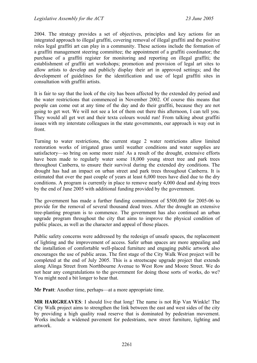2004. The strategy provides a set of objectives, principles and key actions for an integrated approach to illegal graffiti, covering removal of illegal graffiti and the positive roles legal graffiti art can play in a community. These actions include the formation of a graffiti management steering committee; the appointment of a graffiti coordinator; the purchase of a graffiti register for monitoring and reporting on illegal graffiti; the establishment of graffiti art workshops; promotion and provision of legal art sites to allow artists to develop and publicly display their art in approved settings; and the development of guidelines for the identification and use of legal graffiti sites in consultation with graffiti artists.

It is fair to say that the look of the city has been affected by the extended dry period and the water restrictions that commenced in November 2002. Of course this means that people can come out at any time of the day and do their graffiti, because they are not going to get wet. We will not see a lot of them out there this afternoon, I can tell you. They would all get wet and their texta colours would run! From talking about graffiti issues with my interstate colleagues in the state governments, our approach is way out in front.

Turning to water restrictions, the current stage 2 water restrictions allow limited restoration works of irrigated grass until weather conditions and water supplies are satisfactory—so bring on some more rain! As a result of the drought, extensive efforts have been made to regularly water some 18,000 young street tree and park trees throughout Canberra, to ensure their survival during the extended dry conditions. The drought has had an impact on urban street and park trees throughout Canberra. It is estimated that over the past couple of years at least 6,000 trees have died due to the dry conditions. A program is currently in place to remove nearly 4,000 dead and dying trees by the end of June 2005 with additional funding provided by the government.

The government has made a further funding commitment of \$500,000 for 2005-06 to provide for the removal of several thousand dead trees. After the drought an extensive tree-planting program is to commence. The government has also continued an urban upgrade program throughout the city that aims to improve the physical condition of public places, as well as the character and appeal of those places.

Public safety concerns were addressed by the redesign of unsafe spaces, the replacement of lighting and the improvement of access. Safer urban spaces are more appealing and the installation of comfortable well-placed furniture and engaging public artwork also encourages the use of public areas. The first stage of the City Walk West project will be completed at the end of July 2005. This is a streetscape upgrade project that extends along Alinga Street from Northbourne Avenue to West Row and Moore Street. We do not hear any congratulations to the government for doing those sorts of works, do we? You might need a bit longer to hear that.

**Mr Pratt**: Another time, perhaps—at a more appropriate time.

**MR HARGREAVES**: I should live that long! The name is not Rip Van Winkle! The City Walk project aims to strengthen the link between the east and west sides of the city by providing a high quality road reserve that is dominated by pedestrian movement. Works include a widened pavement for pedestrians, new street furniture, lighting and artwork.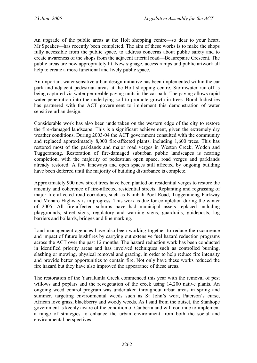An upgrade of the public areas at the Holt shopping centre—so dear to your heart, Mr Speaker—has recently been completed. The aim of these works is to make the shops fully accessible from the public space, to address concerns about public safety and to create awareness of the shops from the adjacent arterial road—Beaurepaire Crescent. The public areas are now appropriately lit. New signage, access ramps and public artwork all help to create a more functional and lively public space.

An important water sensitive urban design initiative has been implemented within the car park and adjacent pedestrian areas at the Holt shopping centre. Stormwater run-off is being captured via water permeable paving units in the car park. The paving allows rapid water penetration into the underlying soil to promote growth in trees. Boral Industries has partnered with the ACT government to implement this demonstration of water sensitive urban design.

Considerable work has also been undertaken on the western edge of the city to restore the fire-damaged landscape. This is a significant achievement, given the extremely dry weather conditions. During 2003-04 the ACT government consulted with the community and replaced approximately 8,000 fire-affected plants, including 1,600 trees. This has restored most of the parklands and major road verges in Weston Creek, Woden and Tuggeranong. Restoration of fire-damaged suburban public landscapes is nearing completion, with the majority of pedestrian open space, road verges and parklands already restored. A few laneways and open spaces still affected by ongoing building have been deferred until the majority of building disturbance is complete.

Approximately 900 new street trees have been planted on residential verges to restore the amenity and coherence of fire-affected residential streets. Replanting and regrassing of major fire-affected road corridors, such as Kambah Pool Road, Tuggeranong Parkway and Monaro Highway is in progress. This work is due for completion during the winter of 2005. All fire-affected suburbs have had municipal assets replaced including playgrounds, street signs, regulatory and warning signs, guardrails, guideposts, log barriers and bollards, bridges and line marking.

Land management agencies have also been working together to reduce the occurrence and impact of future bushfires by carrying out extensive fuel hazard reduction programs across the ACT over the past 12 months. The hazard reduction work has been conducted in identified priority areas and has involved techniques such as controlled burning, slashing or mowing, physical removal and grazing, in order to help reduce fire intensity and provide better opportunities to contain fire. Not only have these works reduced the fire hazard but they have also improved the appearance of these areas.

The restoration of the Yarralumla Creek commenced this year with the removal of pest willows and poplars and the revegetation of the creek using 14,200 native plants. An ongoing weed control program was undertaken throughout urban areas in spring and summer, targeting environmental weeds such as St John's wort, Paterson's curse, African love grass, blackberry and woody weeds. As I said from the outset, the Stanhope government is keenly aware of the condition of Canberra and will continue to implement a range of strategies to enhance the urban environment from both the social and environmental perspectives.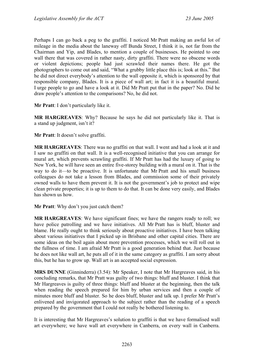Perhaps I can go back a peg to the graffiti. I noticed Mr Pratt making an awful lot of mileage in the media about the laneway off Bunda Street, I think it is, not far from the Chairman and Yip, and Blades, to mention a couple of businesses. He pointed to one wall there that was covered in rather nasty, dirty graffiti. There were no obscene words or violent depictions; people had just scrawled their names there. He got the photographers to come out and said, "What a grubby little place this is; look at this." But he did not direct everybody's attention to the wall opposite it, which is sponsored by that responsible company, Blades. It is a piece of wall art; in fact it is a beautiful mural. I urge people to go and have a look at it. Did Mr Pratt put that in the paper? No. Did he draw people's attention to the comparisons? No, he did not.

**Mr Pratt**: I don't particularly like it.

**MR HARGREAVES**: Why? Because he says he did not particularly like it. That is a stand up judgment, isn't it?

**Mr Pratt**: It doesn't solve graffiti.

**MR HARGREAVES**: There was no graffiti on that wall. I went and had a look at it and I saw no graffiti on that wall. It is a well-recognised initiative that you can arrange for mural art, which prevents scrawling graffiti. If Mr Pratt has had the luxury of going to New York, he will have seen an entire five-storey building with a mural on it. That is the way to do it—to be proactive. It is unfortunate that Mr Pratt and his small business colleagues do not take a lesson from Blades, and commission some of their privately owned walls to have them prevent it. It is not the government's job to protect and wipe clean private properties; it is up to them to do that. It can be done very easily, and Blades has shown us how.

**Mr Pratt**: Why don't you just catch them?

**MR HARGREAVES**: We have significant fines; we have the rangers ready to roll; we have police patrolling and we have initiatives. All Mr Pratt has is bluff, bluster and blame. He really ought to think seriously about proactive initiatives. I have been talking about various initiatives that I picked up in Brisbane and other capital cities. There are some ideas on the boil again about more prevention processes, which we will roll out in the fullness of time. I am afraid Mr Pratt is a good generation behind that. Just because he does not like wall art, he puts all of it in the same category as graffiti. I am sorry about this, but he has to grow up. Wall art is an accepted social expression.

**MRS DUNNE** (Ginninderra) (3.54): Mr Speaker, I note that Mr Hargreaves said, in his concluding remarks, that Mr Pratt was guilty of two things: bluff and bluster. I think that Mr Hargreaves is guilty of three things: bluff and bluster at the beginning, then the talk when reading the speech prepared for him by urban services and then a couple of minutes more bluff and bluster. So he does bluff, bluster and talk up. I prefer Mr Pratt's enlivened and invigorated approach to the subject rather than the reading of a speech prepared by the government that I could not really be bothered listening to.

It is interesting that Mr Hargreaves's solution to graffiti is that we have formalised wall art everywhere; we have wall art everywhere in Canberra, on every wall in Canberra.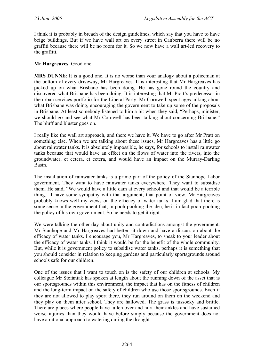I think it is probably in breach of the design guidelines, which say that you have to have beige buildings. But if we have wall art on every street in Canberra there will be no graffiti because there will be no room for it. So we now have a wall art-led recovery to the graffiti.

### **Mr Hargreaves**: Good one.

**MRS DUNNE**: It is a good one. It is no worse than your analogy about a policeman at the bottom of every driveway, Mr Hargreaves. It is interesting that Mr Hargreaves has picked up on what Brisbane has been doing. He has gone round the country and discovered what Brisbane has been doing. It is interesting that Mr Pratt's predecessor in the urban services portfolio for the Liberal Party, Mr Cornwell, spent ages talking about what Brisbane was doing, encouraging the government to take up some of the proposals in Brisbane. At least somebody listened to him a bit when they said, "Perhaps, minister, we should go and see what Mr Cornwell has been talking about concerning Brisbane." The bluff and bluster goes on.

I really like the wall art approach, and there we have it. We have to go after Mr Pratt on something else. When we are talking about these issues, Mr Hargreaves has a little go about rainwater tanks. It is absolutely impossible, he says, for schools to install rainwater tanks because that would have an effect on the flows of water into the rivers, into the groundwater, et cetera, et cetera, and would have an impact on the Murray-Darling Basin.

The installation of rainwater tanks is a prime part of the policy of the Stanhope Labor government. They want to have rainwater tanks everywhere. They want to subsidise them. He said, "We would have a little dam at every school and that would be a terrible thing." I have some sympathy with that argument, that point of view. Mr Hargreaves probably knows well my views on the efficacy of water tanks. I am glad that there is some sense in the government that, in pooh-poohing the idea, he is in fact pooh-poohing the policy of his own government. So he needs to get it right.

We were talking the other day about unity and contradictions amongst the government. Mr Stanhope and Mr Hargreaves had better sit down and have a discussion about the efficacy of water tanks. I encourage you, Mr Hargreaves, to speak to your leader about the efficacy of water tanks. I think it would be for the benefit of the whole community. But, while it is government policy to subsidise water tanks, perhaps it is something that you should consider in relation to keeping gardens and particularly sportsgrounds around schools safe for our children.

One of the issues that I want to touch on is the safety of our children at schools. My colleague Mr Stefaniak has spoken at length about the running down of the asset that is our sportsgrounds within this environment, the impact that has on the fitness of children and the long-term impact on the safety of children who use those sportsgrounds. Even if they are not allowed to play sport there, they run around on them on the weekend and they play on them after school. They are hallowed. The grass is tussocky and brittle. There are places where people have fallen over and hurt their ankles and have sustained worse injuries than they would have before simply because the government does not have a rational approach to watering during the drought.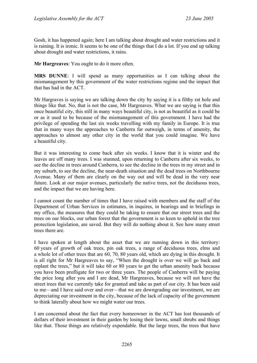Gosh, it has happened again; here I am talking about drought and water restrictions and it is raining. It is ironic. It seems to be one of the things that I do a lot. If you end up talking about drought and water restrictions, it rains.

**Mr Hargreaves**: You ought to do it more often.

**MRS DUNNE**: I will spend as many opportunities as I can talking about the mismanagement by this government of the water restrictions regime and the impact that that has had in the ACT.

Mr Hargraves is saying we are talking down the city by saying it is a filthy rat hole and things like that. No, that is not the case, Mr Hargreaves. What we are saying is that this once beautiful city, this still in many ways beautiful city, is not as beautiful as it could be or as it used to be because of the mismanagement of this government. I have had the privilege of spending the last six weeks travelling with my family in Europe. It is true that in many ways the approaches to Canberra far outweigh, in terms of amenity, the approaches to almost any other city in the world that you could imagine. We have a beautiful city.

But it was interesting to come back after six weeks. I know that it is winter and the leaves are off many trees. I was stunned, upon returning to Canberra after six weeks, to see the decline in trees around Canberra, to see the decline in the trees in my street and in my suburb, to see the decline, the near-death situation and the dead trees on Northbourne Avenue. Many of them are clearly on the way out and will be dead in the very near future. Look at our major avenues, particularly the native trees, not the deciduous trees, and the impact that we are having here.

I cannot count the number of times that I have raised with members and the staff of the Department of Urban Services in estimates, in inquires, in hearings and in briefings in my office, the measures that they could be taking to ensure that our street trees and the trees on our blocks, our urban forest that the government is so keen to uphold in the tree protection legislation, are saved. But they will do nothing about it. See how many street trees there are.

I have spoken at length about the asset that we are running down in this territory: 60 years of growth of oak trees, pin oak trees, a range of deciduous trees, elms and a whole lot of other trees that are 60, 70, 80 years old, which are dying in this drought. It is all right for Mr Hargreaves to say, "When the drought is over we will go back and replant the trees," but it will take 60 or 80 years to get the urban amenity back because you have been profligate for two or three years. The people of Canberra will be paying the price long after you and I are dead, Mr Hargreaves, because we will not have the street trees that we currently take for granted and take as part of our city. It has been said to me—and I have said over and over—that we are downgrading our investment, we are depreciating our investment in the city, because of the lack of capacity of the government to think laterally about how we might water our trees.

I am concerned about the fact that every homeowner in the ACT has lost thousands of dollars of their investment in their garden by losing their lawns, small shrubs and things like that. Those things are relatively expendable. But the large trees, the trees that have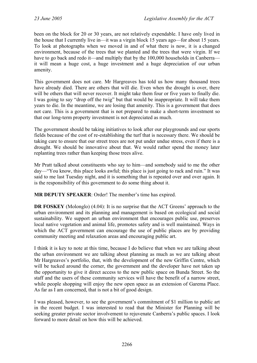been on the block for 20 or 30 years, are not relatively expendable. I have only lived in the house that I currently live in—it was a virgin block 15 years ago—for about 15 years. To look at photographs when we moved in and of what there is now, it is a changed environment, because of the trees that we planted and the trees that were virgin. If we have to go back and redo it—and multiply that by the 100,000 households in Canberra it will mean a huge cost, a huge investment and a huge depreciation of our urban amenity.

This government does not care. Mr Hargreaves has told us how many thousand trees have already died. There are others that will die. Even when the drought is over, there will be others that will never recover. It might take them four or five years to finally die. I was going to say "drop off the twig" but that would be inappropriate. It will take them years to die. In the meantime, we are losing that amenity. This is a government that does not care. This is a government that is not prepared to make a short-term investment so that our long-term property investment is not depreciated as much.

The government should be taking initiatives to look after our playgrounds and our sports fields because of the cost of re-establishing the turf that is necessary there. We should be taking care to ensure that our street trees are not put under undue stress, even if there is a drought. We should be innovative about that. We would rather spend the money later replanting trees rather than keeping those trees alive.

Mr Pratt talked about constituents who say to him—and somebody said to me the other day—"You know, this place looks awful; this place is just going to rack and ruin." It was said to me last Tuesday night, and it is something that is repeated over and over again. It is the responsibility of this government to do some thing about it.

**MR DEPUTY SPEAKER**: Order! The member's time has expired.

**DR FOSKEY** (Molonglo) (4.04): It is no surprise that the ACT Greens' approach to the urban environment and its planning and management is based on ecological and social sustainability. We support an urban environment that encourages public use, preserves local native vegetation and animal life, promotes safety and is well maintained. Ways in which the ACT government can encourage the use of public places are by providing community meeting and relaxation areas and encouraging public art.

I think it is key to note at this time, because I do believe that when we are talking about the urban environment we are talking about planning as much as we are talking about Mr Hargreaves's portfolio, that, with the development of the new Griffin Centre, which will be tucked around the corner, the government and the developer have not taken up the opportunity to give it direct access to the new public space on Bunda Street. So the staff and the users of these community services will have the benefit of a narrow street, while people shopping will enjoy the new open space as an extension of Garema Place. As far as I am concerned, that is not a bit of good design.

I was pleased, however, to see the government's commitment of \$1 million to public art in the recent budget. I was interested to read that the Minister for Planning will be seeking greater private sector involvement to rejuvenate Canberra's public spaces. I look forward to more detail on how this will be achieved.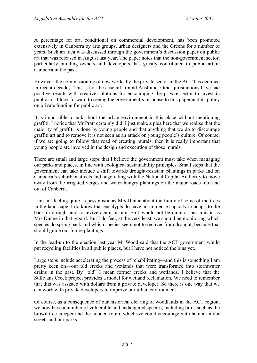A percentage for art, conditional on commercial development, has been promoted extensively in Canberra by arts groups, urban designers and the Greens for a number of years. Such an idea was discussed through the government's discussion paper on public art that was released in August last year. The paper notes that the non-government sector, particularly building owners and developers, has greatly contributed to public art in Canberra in the past.

However, the commissioning of new works by the private sector in the ACT has declined in recent decades. This is not the case all around Australia. Other jurisdictions have had positive results with creative solutions for encouraging the private sector to invest in public art. I look forward to seeing the government's response to this paper and its policy on private funding for public art.

It is impossible to talk about the urban environment in this place without mentioning graffiti. I notice that Mr Pratt certainly did. I just make a plea here that we realise that the majority of graffiti is done by young people and that anything that we do to discourage graffiti art and to remove it is not seen as an attack on young people's culture. Of course, if we are going to follow that road of creating murals, then it is really important that young people are involved in the design and execution of those murals.

There are small and large steps that I believe the government must take when managing our parks and places, in line with ecological sustainability principles. Small steps that the government can take include a shift towards drought-resistant plantings in parks and on Canberra's suburban streets and negotiating with the National Capital Authority to move away from the irrigated verges and water-hungry plantings on the major roads into and out of Canberra.

I am not feeling quite as pessimistic as Mrs Dunne about the future of some of the trees in the landscape. I do know that eucalypts do have an immense capacity to adapt, to die back in drought and to revive again in rain. So I would not be quite as pessimistic as Mrs Dunne in that regard. But I do feel, at the very least, we should be monitoring which species do spring back and which species seem not to recover from drought, because that should guide our future plantings.

In the lead-up to the election last year Mr Wood said that the ACT government would put recycling facilities in all public places, but I have not noticed the bins yet.

Large steps include accelerating the process of rehabilitating—and this is something I am pretty keen on—our old creeks and wetlands that were transformed into stormwater drains in the past. By "old" I mean former creeks and wetlands. I believe that the Sullivans Creek project provides a model for wetland reclamation. We need to remember that this was assisted with dollars from a private developer. So there is one way that we can work with private developers to improve our urban environment.

Of course, as a consequence of our historical clearing of woodlands in the ACT region, we now have a number of vulnerable and endangered species, including birds such as the brown tree-creeper and the hooded robin, which we could encourage with habitat in our streets and our parks.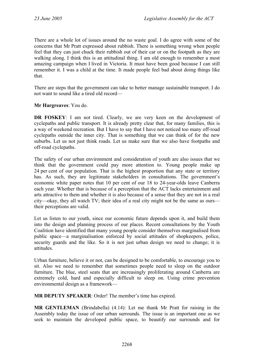There are a whole lot of issues around the no waste goal. I do agree with some of the concerns that Mr Pratt expressed about rubbish. There is something wrong when people feel that they can just chuck their rubbish out of their car or on the footpath as they are walking along. I think this is an attitudinal thing. I am old enough to remember a most amazing campaign when I lived in Victoria. It must have been good because I can still remember it. I was a child at the time. It made people feel bad about doing things like that.

There are steps that the government can take to better manage sustainable transport. I do not want to sound like a tired old record—

**Mr Hargreaves**: You do.

**DR FOSKEY**: I am not tired. Clearly, we are very keen on the development of cyclepaths and public transport. It is already pretty clear that, for many families, this is a way of weekend recreation. But I have to say that I have not noticed too many off-road cyclepaths outside the inner city. That is something that we can think of for the new suburbs. Let us not just think roads. Let us make sure that we also have footpaths and off-road cyclepaths.

The safety of our urban environment and consideration of youth are also issues that we think that the government could pay more attention to. Young people make up 24 per cent of our population. That is the highest proportion that any state or territory has. As such, they are legitimate stakeholders in consultations. The government's economic white paper notes that 10 per cent of our 18 to 24-year-olds leave Canberra each year. Whether that is because of a perception that the ACT lacks entertainment and arts attractive to them and whether it is also because of a sense that they are not in a real city—okay, they all watch TV; their idea of a real city might not be the same as ours their perceptions are valid.

Let us listen to our youth, since our economic future depends upon it, and build them into the design and planning process of our places. Recent consultations by the Youth Coalition have identified that many young people consider themselves marginalised from public space—a marginalisation enforced by social attitudes of shopkeepers, police, security guards and the like. So it is not just urban design we need to change; it is attitudes.

Urban furniture, believe it or not, can be designed to be comfortable, to encourage you to sit. Also we need to remember that sometimes people need to sleep on the outdoor furniture. The blue, steel seats that are increasingly proliferating around Canberra are extremely cold, hard and especially difficult to sleep on. Using crime prevention environmental design as a framework—

**MR DEPUTY SPEAKER**: Order! The member's time has expired.

**MR GENTLEMAN** (Brindabella) (4.14): Let me thank Mr Pratt for raising in the Assembly today the issue of our urban surrounds. The issue is an important one as we seek to maintain the developed public space, to beautify our surrounds and for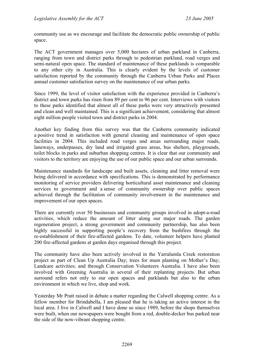community use as we encourage and facilitate the democratic public ownership of public space.

The ACT government manages over 5,000 hectares of urban parkland in Canberra, ranging from town and district parks through to pedestrian parkland, road verges and semi-natural open space. The standard of maintenance of these parklands is comparable to any other city in Australia. This is clearly evident by the levels of customer satisfaction reported by the community through the Canberra Urban Parks and Places annual customer satisfaction survey on the maintenance of our urban parks.

Since 1999, the level of visitor satisfaction with the experience provided in Canberra's district and town parks has risen from 89 per cent to 96 per cent. Interviews with visitors to these parks identified that almost all of these parks were very attractively presented and clean and well maintained. This is a significant achievement, considering that almost eight million people visited town and district parks in 2004.

Another key finding from this survey was that the Canberra community indicated a positive trend in satisfaction with general cleaning and maintenance of open space facilities in 2004. This included road verges and areas surrounding major roads, laneways, underpasses, dry land and irrigated grass areas, bus shelters, playgrounds, toilet blocks in parks and suburban shopping centres. It is clear that our community and visitors to the territory are enjoying the use of our public space and our urban surrounds.

Maintenance standards for landscape and built assets, cleaning and litter removal were being delivered in accordance with specifications. This is demonstrated by performance monitoring of service providers delivering horticultural asset maintenance and cleaning services to government and a sense of community ownership over public spaces achieved through the facilitation of community involvement in the maintenance and improvement of our open spaces.

There are currently over 50 businesses and community groups involved in adopt-a-road activities, which reduce the amount of litter along our major roads. The garden regeneration project, a strong government and community partnership, has also been highly successful in supporting people's recovery from the bushfires through the re-establishment of their fire-affected gardens. To date, volunteer helpers have planted 200 fire-affected gardens at garden days organised through this project.

The community have also been actively involved in the Yarralumla Creek restoration project as part of Clean Up Australia Day; trees for mum planting on Mother's Day; Landcare activities; and through Conservation Volunteers Australia. I have also been involved with Greening Australia in several of their replanting projects. But urban surround refers not only to our open spaces and parklands but also to the urban environment in which we live, shop and work.

Yesterday Mr Pratt raised in debate a matter regarding the Calwell shopping centre. As a fellow member for Brindabella, I am pleased that he is taking an active interest in the local area. I live in Calwell and I have done so since 1989, before the shops themselves were built, when our newspapers were bought from a red, double-decker bus parked near the side of the now-vibrant shopping centre.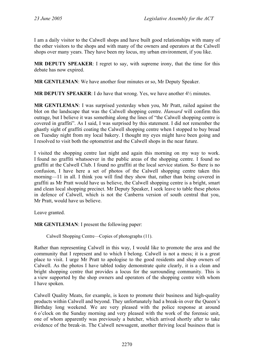I am a daily visitor to the Calwell shops and have built good relationships with many of the other visitors to the shops and with many of the owners and operators at the Calwell shops over many years. They have been my locus, my urban environment, if you like.

**MR DEPUTY SPEAKER**: I regret to say, with supreme irony, that the time for this debate has now expired.

**MR GENTLEMAN**: We have another four minutes or so, Mr Deputy Speaker.

**MR DEPUTY SPEAKER**: I do have that wrong. Yes, we have another 4½ minutes.

**MR GENTLEMAN**: I was surprised yesterday when you, Mr Pratt, railed against the blot on the landscape that was the Calwell shopping centre. *Hansard* will confirm this outrage, but I believe it was something along the lines of "the Calwell shopping centre is covered in graffiti". As I said, I was surprised by this statement. I did not remember the ghastly sight of graffiti coating the Calwell shopping centre when I stopped to buy bread on Tuesday night from my local bakery. I thought my eyes might have been going and I resolved to visit both the optometrist and the Calwell shops in the near future.

I visited the shopping centre last night and again this morning on my way to work. I found no graffiti whatsoever in the public areas of the shopping centre. I found no graffiti at the Calwell Club. I found no graffiti at the local service station. So there is no confusion, I have here a set of photos of the Calwell shopping centre taken this morning—11 in all. I think you will find they show that, rather than being covered in graffiti as Mr Pratt would have us believe, the Calwell shopping centre is a bright, smart and clean local shopping precinct. Mr Deputy Speaker, I seek leave to table these photos in defence of Calwell, which is not the Canberra version of south central that you, Mr Pratt, would have us believe.

Leave granted.

**MR GENTLEMAN**: I present the following paper:

Calwell Shopping Centre—Copies of photographs (11).

Rather than representing Calwell in this way, I would like to promote the area and the community that I represent and to which I belong. Calwell is not a mess; it is a great place to visit. I urge Mr Pratt to apologise to the good residents and shop owners of Calwell. As the photos I have tabled today demonstrate quite clearly, it is a clean and bright shopping centre that provides a locus for the surrounding community. This is a view supported by the shop owners and operators of the shopping centre with whom I have spoken.

Calwell Quality Meats, for example, is keen to promote their business and high-quality products within Calwell and beyond. They unfortunately had a break-in over the Queen's Birthday long weekend. We are very pleased with the police response at around 6 o'clock on the Sunday morning and very pleased with the work of the forensic unit, one of whom apparently was previously a butcher, which arrived shortly after to take evidence of the break-in. The Calwell newsagent, another thriving local business that is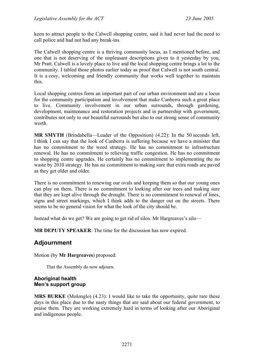keen to attract people to the Calwell shopping centre, said it had never had the need to call police and had not had any break-ins.

The Calwell shopping centre is a thriving community locus, as I mentioned before, and one that is not deserving of the unpleasant descriptions given to it yesterday by you, Mr Pratt. Calwell is a lovely place to live and the local shopping centre brings a lot to the community. I tabled those photos earlier today as proof that Calwell is not south central. It is a cosy, welcoming and friendly community that works well together to maintain this.

Local shopping centres form an important part of our urban environment and are a locus for the community participation and involvement that make Canberra such a great place to live. Community involvement in our urban surrounds, through gardening, development, maintenance and restoration projects and in partnership with government, contributes not only to our beautiful surrounds but also to our strong sense of community worth.

**MR SMYTH** (Brindabella—Leader of the Opposition) (4.22): In the 50 seconds left, I think I can say that the look of Canberra is suffering because we have a minister that has no commitment to the weed strategy. He has no commitment to infrastructure renewal. He has no commitment to relieving traffic congestion. He has no commitment to shopping centre upgrades. He certainly has no commitment to implementing the no waste by 2010 strategy. He has no commitment to making sure that extra roads are paved as they get older and older.

There is no commitment to renewing our ovals and keeping them so that our young ones can play on them. There is no commitment to looking after our trees and making sure that they are kept alive through the drought. There is no commitment to renewal of lines, signs and street markings, which I think adds to the danger out on the streets. There seems to be no general vision for what the look of the city should be.

Instead what do we get? We are going to get rid of silos. Mr Hargreaves's silo—

**MR DEPUTY SPEAKER**: The time for the discussion has now expired.

# **Adjournment**

Motion (by **Mr Hargreaves**) proposed:

That the Assembly do now adjourn.

#### **Aboriginal health Men's support group**

**MRS BURKE** (Molonglo) (4.23): I would like to take the opportunity, quite rare these days in this place due to the nasty things that are said about our federal government, to praise them. They are working extremely hard in terms of looking after our Aboriginal and indigenous people.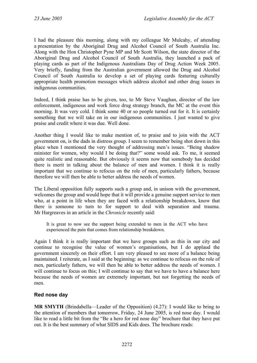I had the pleasure this morning, along with my colleague Mr Mulcahy, of attending a presentation by the Aboriginal Drug and Alcohol Council of South Australia Inc. Along with the Hon Christopher Pyne MP and Mr Scott Wilson, the state director of the Aboriginal Drug and Alcohol Council of South Australia, they launched a pack of playing cards as part of the Indigenous Australians Day of Drug Action Week 2005. Very briefly, funding from the Australian government allowed the Drug and Alcohol Council of South Australia to develop a set of playing cards featuring culturally appropriate health promotion messages which address alcohol and other drug issues in indigenous communities.

Indeed, I think praise has to be given, too, to Mr Steve Vaughan, director of the law enforcement, indigenous and work force drug strategy branch, the MC at the event this morning. It was very cold. I think some 40 or so people turned out for it. It is certainly something that we will take on in our indigenous communities. I just wanted to give praise and credit where it was due. Well done.

Another thing I would like to make mention of, to praise and to join with the ACT government on, is the dads in distress group. I seem to remember being shot down in this place when I mentioned the very thought of addressing men's issues. "Being shadow minister for women, why would I be doing that?" some would ask. To me, it seemed quite realistic and reasonable. But obviously it seems now that somebody has decided there is merit in talking about the balance of men and women. I think it is really important that we continue to refocus on the role of men, particularly fathers, because therefore we will then be able to better address the needs of women.

The Liberal opposition fully supports such a group and, in unison with the government, welcomes the group and would hope that it will provide a genuine support service to men who, at a point in life when they are faced with a relationship breakdown, know that there is someone to turn to for support to deal with separation and trauma. Mr Hargreaves in an article in the *Chronicle* recently said:

It is great to now see the support being extended to men in the ACT who have experienced the pain that comes from relationship breakdown.

Again I think it is really important that we have groups such as this in our city and continue to recognise the value of women's organisations, but I do applaud the government sincerely on their effort. I am very pleased to see more of a balance being maintained. I reiterate, as I said at the beginning: as we continue to refocus on the role of men, particularly fathers, we will then be able to better address the needs of women. I will continue to focus on this; I will continue to say that we have to have a balance here because the needs of women are extremely important, but not forgetting the needs of men.

### **Red nose day**

**MR SMYTH** (Brindabella—Leader of the Opposition) (4.27): I would like to bring to the attention of members that tomorrow, Friday, 24 June 2005, is red nose day. I would like to read a little bit from the "Be a hero for red nose day" brochure that they have put out. It is the best summary of what SIDS and Kids does. The brochure reads: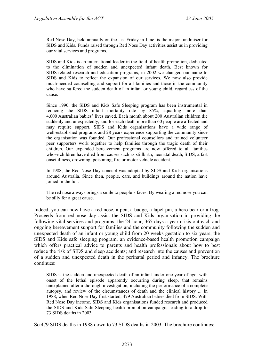Red Nose Day, held annually on the last Friday in June, is the major fundraiser for SIDS and Kids. Funds raised through Red Nose Day activities assist us in providing our vital services and programs.

SIDS and Kids is an international leader in the field of health promotion, dedicated to the elimination of sudden and unexpected infant death. Best known for SIDS-related research and education programs, in 2002 we changed our name to SIDS and Kids to reflect the expansion of our services. We now also provide much-needed counselling and support for all families and those in the community who have suffered the sudden death of an infant or young child, regardless of the cause.

Since 1990, the SIDS and Kids Safe Sleeping program has been instrumental in reducing the SIDS infant mortality rate by 85%, equalling more than 4,000 Australian babies' lives saved. Each month about 200 Australian children die suddenly and unexpectedly, and for each death more than 60 people are affected and may require support. SIDS and Kids organisations have a wide range of well-established programs and 28 years experience supporting the community since the organisation was founded. Our professional counsellors and trained volunteer peer supporters work together to help families through the tragic death of their children. Our expanded bereavement programs are now offered to all families whose children have died from causes such as stillbirth, neonatal death, SIDS, a fast onset illness, drowning, poisoning, fire or motor vehicle accident.

In 1988, the Red Nose Day concept was adopted by SIDS and Kids organisations around Australia. Since then, people, cars, and buildings around the nation have joined in the fun.

The red nose always brings a smile to people's faces. By wearing a red nose you can be silly for a great cause.

Indeed, you can now have a red nose, a pen, a badge, a lapel pin, a hero bear or a frog. Proceeds from red nose day assist the SIDS and Kids organisation in providing the following vital services and programs: the 24-hour, 365 days a year crisis outreach and ongoing bereavement support for families and the community following the sudden and unexpected death of an infant or young child from 20 weeks gestation to six years; the SIDS and Kids safe sleeping program, an evidence-based health promotion campaign which offers practical advice to parents and health professionals about how to best reduce the risk of SIDS and sleep accidents; and research into the causes and prevention of a sudden and unexpected death in the perinatal period and infancy. The brochure continues:

SIDS is the sudden and unexpected death of an infant under one year of age, with onset of the lethal episode apparently occurring during sleep, that remains unexplained after a thorough investigation, including the performance of a complete autopsy, and review of the circumstances of death and the clinical history ... In 1988, when Red Nose Day first started, 479 Australian babies died from SIDS. With Red Nose Day income, SIDS and Kids organisations funded research and produced the SIDS and Kids Safe Sleeping health promotion campaign, leading to a drop to 73 SIDS deaths in 2003.

So 479 SIDS deaths in 1988 down to 73 SIDS deaths in 2003. The brochure continues: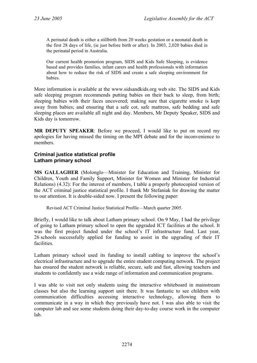A perinatal death is either a stillbirth from 20 weeks gestation or a neonatal death in the first 28 days of life, (ie just before birth or after). In 2003, 2,020 babies died in the perinatal period in Australia.

Our current health promotion program, SIDS and Kids Safe Sleeping, is evidence based and provides families, infant carers and health professionals with information about how to reduce the risk of SIDS and create a safe sleeping environment for babies.

More information is available at the www.sidsandkids.org web site. The SIDS and Kids safe sleeping program recommends putting babies on their back to sleep, from birth; sleeping babies with their faces uncovered; making sure that cigarette smoke is kept away from babies; and ensuring that a safe cot, safe mattress, safe bedding and safe sleeping places are available all night and day. Members, Mr Deputy Speaker, SIDS and Kids day is tomorrow.

**MR DEPUTY SPEAKER**: Before we proceed, I would like to put on record my apologies for having missed the timing on the MPI debate and for the inconvenience to members.

### **Criminal justice statistical profile Latham primary school**

**MS GALLAGHER** (Molonglo—Minister for Education and Training, Minister for Children, Youth and Family Support, Minister for Women and Minister for Industrial Relations) (4.32): For the interest of members, I table a properly photocopied version of the ACT criminal justice statistical profile. I thank Mr Stefaniak for drawing the matter to our attention. It is double-sided now. I present the following paper:

Revised ACT Criminal Justice Statistical Profile—March quarter 2005.

Briefly, I would like to talk about Latham primary school. On 9 May, I had the privilege of going to Latham primary school to open the upgraded ICT facilities at the school. It was the first project funded under the school's IT infrastructure fund. Last year, 26 schools successfully applied for funding to assist in the upgrading of their IT facilities.

Latham primary school used its funding to install cabling to improve the school's electrical infrastructure and to upgrade the entire student computing network. The project has ensured the student network is reliable, secure, safe and fast, allowing teachers and students to confidently use a wide range of information and communication programs.

I was able to visit not only students using the interactive whiteboard in mainstream classes but also the learning support unit there. It was fantastic to see children with communication difficulties accessing interactive technology, allowing them to communicate in a way in which they previously have not. I was also able to visit the computer lab and see some students doing their day-to-day course work in the computer lab.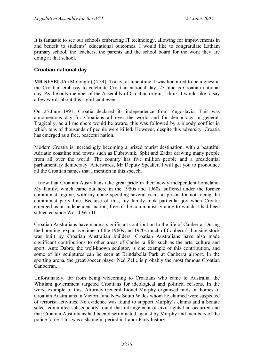It is fantastic to see our schools embracing IT technology, allowing for improvements in and benefit to students' educational outcomes. I would like to congratulate Latham primary school, the teachers, the parents and the school board for the work they are doing at that school.

### **Croatian national day**

**MR SESELJA** (Molonglo) (4.34): Today, at lunchtime, I was honoured to be a guest at the Croatian embassy to celebrate Croatian national day. 25 June is Croatian national day. As the only member of the Assembly of Croatian origin, I think, I would like to say a few words about this significant event.

On 25 June 1991, Croatia declared its independence from Yugoslavia. This was a momentous day for Croatians all over the world and for democracy in general. Tragically, as all members would be aware, this was followed by a bloody conflict in which tens of thousands of people were killed. However, despite this adversity, Croatia has emerged as a free, peaceful nation.

Modern Croatia is increasingly becoming a prized tourist destination, with a beautiful Adriatic coastline and towns such as Dubrovnik, Split and Zadar drawing many people from all over the world. The country has five million people and a presidential parliamentary democracy. Afterwards, Mr Deputy Speaker, I will get you to pronounce all the Croatian names that I mention in this speech.

I know that Croatian Australians take great pride in their newly independent homeland. My family, which came out here in the 1950s and 1960s, suffered under the former communist regime, with my uncle spending several years in prison for not toeing the communist party line. Because of this, my family took particular joy when Croatia emerged as an independent nation, free of the communist tyranny to which it had been subjected since World War II.

Croatian Australians have made a significant contribution to the life of Canberra. During the booming, expansive times of the 1960s and 1970s much of Canberra's housing stock was built by Croatian Australian builders. Croatian Australians have also made significant contributions to other areas of Canberra life, such as the arts, culture and sport. Ante Dabro, the well-known sculptor, is one example of this contribution, and some of his sculptures can be seen at Brindabella Park at Canberra airport. In the sporting arena, the great soccer player Ned Zelic is probably the most famous Croatian Canberran.

Unfortunately, far from being welcoming to Croatians who came to Australia, the Whitlam government targeted Croatians for ideological and political reasons. In the worst example of this, Attorney-General Lionel Murphy organised raids on homes of Croatian Australians in Victoria and New South Wales whom he claimed were suspected of terrorist activities. No evidence was found to support Murphy's claims and a Senate select committee subsequently found that infringement of civil rights had occurred and that Croatian Australians had been discriminated against by Murphy and members of the police force. This was a shameful period in Labor Party history.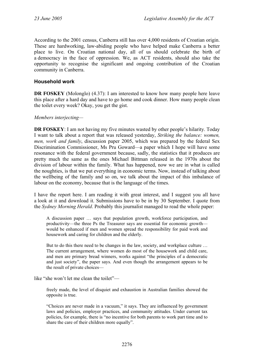According to the 2001 census, Canberra still has over 4,000 residents of Croatian origin. These are hardworking, law-abiding people who have helped make Canberra a better place to live. On Croatian national day, all of us should celebrate the birth of a democracy in the face of oppression. We, as ACT residents, should also take the opportunity to recognise the significant and ongoing contribution of the Croatian community in Canberra.

### **Household work**

**DR FOSKEY** (Molonglo) (4.37): I am interested to know how many people here leave this place after a hard day and have to go home and cook dinner. How many people clean the toilet every week? Okay, you get the gist.

#### *Members interjecting—*

**DR FOSKEY**: I am not having my five minutes wasted by other people's hilarity. Today I want to talk about a report that was released yesterday, *Striking the balance: women, men, work and family*, discussion paper 2005, which was prepared by the federal Sex Discrimination Commissioner, Ms Pru Goward—a paper which I hope will have some resonance with the federal government because, sadly, the statistics that it produces are pretty much the same as the ones Michael Bittman released in the 1970s about the division of labour within the family. What has happened, now we are in what is called the noughties, is that we put everything in economic terms. Now, instead of talking about the wellbeing of the family and so on, we talk about the impact of this imbalance of labour on the economy, because that is the language of the times.

I have the report here. I am reading it with great interest, and I suggest you all have a look at it and download it. Submissions have to be in by 30 September. I quote from the *Sydney Morning Herald*. Probably this journalist managed to read the whole paper:

A discussion paper … says that population growth, workforce participation, and productivity—the three Ps the Treasurer says are essential for economic growth would be enhanced if men and women spread the responsibility for paid work and housework and caring for children and the elderly.

But to do this there need to be changes in the law, society, and workplace culture ... The current arrangement, where women do most of the housework and child care, and men are primary bread winners, works against "the principles of a democratic and just society", the paper says. And even though the arrangement appears to be the result of private choices—

like "she won't let me clean the toilet"—

freely made, the level of disquiet and exhaustion in Australian families showed the opposite is true.

"Choices are never made in a vacuum," it says. They are influenced by government laws and policies, employer practices, and community attitudes. Under current tax policies, for example, there is "no incentive for both parents to work part time and to share the care of their children more equally".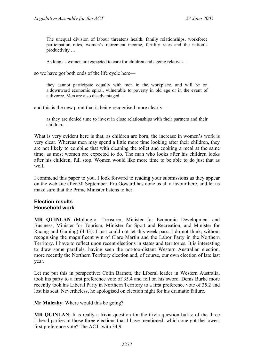…

The unequal division of labour threatens health, family relationships, workforce participation rates, women's retirement income, fertility rates and the nation's productivity …

As long as women are expected to care for children and ageing relatives—

so we have got both ends of the life cycle here—

they cannot participate equally with men in the workplace, and will be on a downward economic spiral, vulnerable to poverty in old age or in the event of a divorce. Men are also disadvantaged—

and this is the new point that is being recognised more clearly—

as they are denied time to invest in close relationships with their partners and their children.

What is very evident here is that, as children are born, the increase in women's work is very clear. Whereas men may spend a little more time looking after their children, they are not likely to combine that with cleaning the toilet and cooking a meal at the same time, as most women are expected to do. The man who looks after his children looks after his children, full stop. Women would like more time to be able to do just that as well.

I commend this paper to you. I look forward to reading your submissions as they appear on the web site after 30 September. Pru Goward has done us all a favour here, and let us make sure that the Prime Minister listens to her.

#### **Election results Household work**

**MR QUINLAN** (Molonglo—Treasurer, Minister for Economic Development and Business, Minister for Tourism, Minister for Sport and Recreation, and Minister for Racing and Gaming) (4.43): I just could not let this week pass, I do not think, without recognising the magnificent win of Clare Martin and the Labor Party in the Northern Territory. I have to reflect upon recent elections in states and territories. It is interesting to draw some parallels, having seen the not-too-distant Western Australian election, more recently the Northern Territory election and, of course, our own election of late last year.

Let me put this in perspective: Colin Barnett, the Liberal leader in Western Australia, took his party to a first preference vote of 35.4 and fell on his sword. Denis Burke more recently took his Liberal Party in Northern Territory to a first preference vote of 35.2 and lost his seat. Nevertheless, he apologised on election night for his dramatic failure.

**Mr Mulcahy**: Where would this be going?

**MR QUINLAN**: It is really a trivia question for the trivia question buffs: of the three Liberal parties in those three elections that I have mentioned, which one got the lowest first preference vote? The ACT, with 34.9.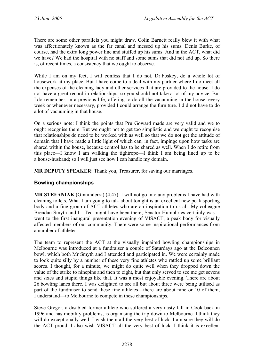There are some other parallels you might draw. Colin Barnett really blew it with what was affectionately known as the far canal and messed up his sums. Denis Burke, of course, had the extra long power line and stuffed up his sums. And in the ACT, what did we have? We had the hospital with no staff and some sums that did not add up. So there is, of recent times, a consistency that we ought to observe.

While I am on my feet, I will confess that I do not, Dr Foskey, do a whole lot of housework at my place. But I have come to a deal with my partner where I do meet all the expenses of the cleaning lady and other services that are provided to the house. I do not have a great record in relationships, so you should not take a lot of my advice. But I do remember, in a previous life, offering to do all the vacuuming in the house, every week or whenever necessary, provided I could arrange the furniture. I did not have to do a lot of vacuuming in that house.

On a serious note: I think the points that Pru Goward made are very valid and we to ought recognise them. But we ought not to get too simplistic and we ought to recognise that relationships do need to be worked with as well so that we do not get the attitude of domain that I have made a little light of which can, in fact, impinge upon how tasks are shared within the house, because control has to be shared as well. When I do retire from this place—I know I am walking the tightrope—I think I am being lined up to be a house-husband; so I will just see how I can handle my domain.

**MR DEPUTY SPEAKER**: Thank you, Treasurer, for saving our marriages.

### **Bowling championships**

**MR STEFANIAK** (Ginninderra) (4.47): I will not go into any problems I have had with cleaning toilets. What I am going to talk about tonight is an excellent new peak sporting body and a fine group of ACT athletes who are an inspiration to us all. My colleague Brendan Smyth and I—Ted might have been there; Senator Humphries certainly was went to the first inaugural presentation evening of VISACT, a peak body for visually affected members of our community. There were some inspirational performances from a number of athletes.

The team to represent the ACT at the visually impaired bowling championships in Melbourne was introduced at a fundraiser a couple of Saturdays ago at the Belconnen bowl, which both Mr Smyth and I attended and participated in. We were certainly made to look quite silly by a number of these very fine athletes who rattled up some brilliant scores. I thought, for a minute, we might do quite well when they dropped down the value of the strike to ninepins and then to eight, but that only served to see me get sevens and sixes and stupid things like that. It was a most enjoyable evening. There are about 26 bowling lanes there. I was delighted to see all but about three were being utilised as part of the fundraiser to send these fine athletes—there are about nine or 10 of them, I understand—to Melbourne to compete in these championships.

Steve Gregor, a disabled former athlete who suffered a very nasty fall in Cook back in 1996 and has mobility problems, is organising the trip down to Melbourne. I think they will do exceptionally well. I wish them all the very best of luck. I am sure they will do the ACT proud. I also wish VISACT all the very best of luck. I think it is excellent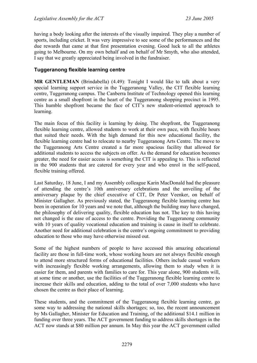having a body looking after the interests of the visually impaired. They play a number of sports, including cricket. It was very impressive to see some of the performances and the due rewards that came at that first presentation evening. Good luck to all the athletes going to Melbourne. On my own behalf and on behalf of Mr Smyth, who also attended, I say that we greatly appreciated being involved in the fundraiser.

# **Tuggeranong flexible learning centre**

**MR GENTLEMAN** (Brindabella) (4.49): Tonight I would like to talk about a very special learning support service in the Tuggeranong Valley, the CIT flexible learning centre, Tuggeranong campus. The Canberra Institute of Technology opened this learning centre as a small shopfront in the heart of the Tuggeranong shopping precinct in 1995. This humble shopfront became the face of CIT's new student-oriented approach to learning.

The main focus of this facility is learning by doing. The shopfront, the Tuggeranong flexible learning centre, allowed students to work at their own pace, with flexible hours that suited their needs. With the high demand for this new educational facility, the flexible learning centre had to relocate to nearby Tuggeranong Arts Centre. The move to the Tuggeranong Arts Centre created a far more spacious facility that allowed for additional students to access the subjects on offer. As the demand for education becomes greater, the need for easier access is something the CIT is appealing to. This is reflected in the 900 students that are catered for every year and who enrol in the self-paced, flexible training offered.

Last Saturday, 18 June, I and my Assembly colleague Karin MacDonald had the pleasure of attending the centre's 10th anniversary celebrations and the unveiling of the anniversary plaque by the chief executive of CIT, Dr Peter Veenker, on behalf of Minister Gallagher. As previously stated, the Tuggeranong flexible learning centre has been in operation for 10 years and we note that, although the building may have changed, the philosophy of delivering quality, flexible education has not. The key to this having not changed is the ease of access to the centre. Providing the Tuggeranong community with 10 years of quality vocational education and training is cause in itself to celebrate. Another need for additional celebration is the centre's ongoing commitment to providing education to those who may have otherwise missed out.

Some of the highest numbers of people to have accessed this amazing educational facility are those in full-time work, whose working hours are not always flexible enough to attend more structured forms of educational facilities. Others include casual workers with increasingly flexible working arrangements, allowing them to study when it is easier for them, and parents with families to care for. This year alone, 900 students will, at some time or another, use the facilities of the Tuggeranong flexible learning centre to increase their skills and education, adding to the total of over 7,000 students who have chosen the centre as their place of learning.

These students, and the commitment of the Tuggeranong flexible learning centre, go some way to addressing the national skills shortages; so, too, the recent announcement by Ms Gallagher, Minister for Education and Training, of the additional \$14.1 million in funding over three years. The ACT government funding to address skills shortages in the ACT now stands at \$80 million per annum. In May this year the ACT government called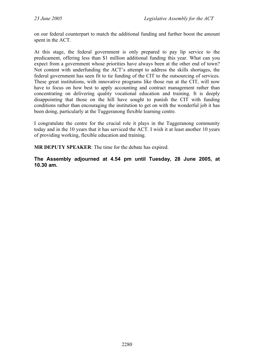on our federal counterpart to match the additional funding and further boost the amount spent in the ACT.

At this stage, the federal government is only prepared to pay lip service to the predicament, offering less than \$1 million additional funding this year. What can you expect from a government whose priorities have always been at the other end of town? Not content with underfunding the ACT's attempt to address the skills shortages, the federal government has seen fit to tie funding of the CIT to the outsourcing of services. These great institutions, with innovative programs like those run at the CIT, will now have to focus on how best to apply accounting and contract management rather than concentrating on delivering quality vocational education and training. It is deeply disappointing that those on the hill have sought to punish the CIT with funding conditions rather than encouraging the institution to get on with the wonderful job it has been doing, particularly at the Tuggeranong flexible learning centre.

I congratulate the centre for the crucial role it plays in the Tuggeranong community today and in the 10 years that it has serviced the ACT. I wish it at least another 10 years of providing working, flexible education and training.

**MR DEPUTY SPEAKER**: The time for the debate has expired.

**The Assembly adjourned at 4.54 pm until Tuesday, 28 June 2005, at 10.30 am.**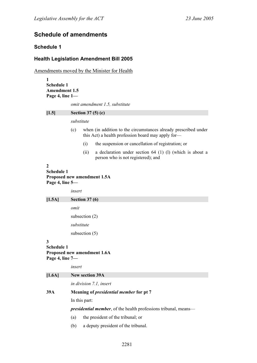# **Schedule of amendments**

# **Schedule 1**

### **Health Legislation Amendment Bill 2005**

Amendments moved by the Minister for Health

**1 Schedule 1 Amendment 1.5 Page 4, line 1**  *omit amendment 1.5, substitute*  **[1.5] Section 37 (5) (c)**  *substitute*  (c) when (in addition to the circumstances already prescribed under this Act) a health profession board may apply for— (i) the suspension or cancellation of registration; or (ii) a declaration under section 64 (1) (l) (which is about a person who is not registered); and **2 Schedule 1 Proposed new amendment 1.5A Page 4, line 5**  *insert*  **[1.5A] Section 37 (6)**  *omit*  subsection (2) *substitute*  subsection (5) **3 Schedule 1 Proposed new amendment 1.6A Page 4, line 7**  *insert*  **[1.6A] New section 39A**  *in division 7.1, insert*  **39A Meaning of** *presidential member* **for pt 7**  In this part: *presidential member*, of the health professions tribunal, means— (a) the president of the tribunal; or (b) a deputy president of the tribunal.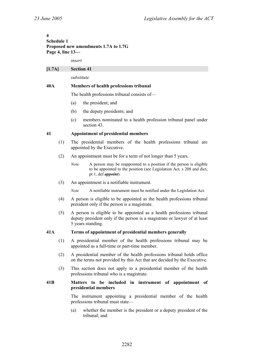### **4 Schedule 1 Proposed new amendments 1.7A to 1.7G Page 4, line 13—**

*insert* 

### **[1.7A] Section 41**

*substitute* 

### **40A Members of health professions tribunal**

The health professions tribunal consists of—

- (a) the president; and
- (b) the deputy presidents; and
- (c) members nominated to a health profession tribunal panel under section 43.

### **41 Appointment of presidential members**

- (1) The presidential members of the health professions tribunal are appointed by the Executive.
- (2) An appointment must be for a term of not longer than 5 years.
	- *Note* A person may be reappointed to a position if the person is eligible to be appointed to the position (see Legislation Act, s 208 and dict, pt 1, def *appoint*).
- (3) An appointment is a notifiable instrument.

*Note* A notifiable instrument must be notified under the Legislation Act.

- (4) A person is eligible to be appointed as the health professions tribunal president only if the person is a magistrate.
- (5) A person is eligible to be appointed as a health professions tribunal deputy president only if the person is a magistrate or lawyer of at least 5 years standing.

#### **41A Terms of appointment of presidential members generally**

- (1) A presidential member of the health professions tribunal may be appointed as a full-time or part-time member.
- (2) A presidential member of the health professions tribunal holds office on the terms not provided by this Act that are decided by the Executive.
- (3) This section does not apply to a presidential member of the health professions tribunal who is a magistrate.

#### **41B Matters to be included in instrument of appointment of presidential members**

The instrument appointing a presidential member of the health professions tribunal must state—

(a) whether the member is the president or a deputy president of the tribunal; and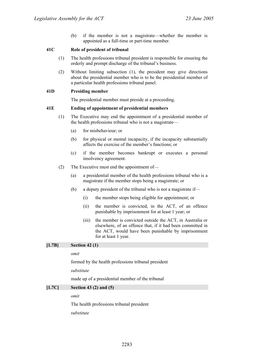(b) if the member is not a magistrate—whether the member is appointed as a full-time or part-time member.

#### **41C Role of president of tribunal**

- (1) The health professions tribunal president is responsible for ensuring the orderly and prompt discharge of the tribunal's business.
- (2) Without limiting subsection (1), the president may give directions about the presidential member who is to be the presidential member of a particular health professions tribunal panel.

### **41D Presiding member**

The presidential member must preside at a proceeding.

### **41E Ending of appointment of presidential members**

- (1) The Executive may end the appointment of a presidential member of the health professions tribunal who is not a magistrate—
	- (a) for misbehaviour; or
	- (b) for physical or mental incapacity, if the incapacity substantially affects the exercise of the member's functions; or
	- (c) if the member becomes bankrupt or executes a personal insolvency agreement.
- (2) The Executive must end the appointment of—
	- (a) a presidential member of the health professions tribunal who is a magistrate if the member stops being a magistrate; or
	- (b) a deputy president of the tribunal who is not a magistrate if—
		- (i) the member stops being eligible for appointment; or
		- (ii) the member is convicted, in the ACT, of an offence punishable by imprisonment for at least 1 year; or
		- (iii) the member is convicted outside the ACT, in Australia or elsewhere, of an offence that, if it had been committed in the ACT, would have been punishable by imprisonment for at least 1 year.

# **[1.7B] Section 42 (1)**

*omit* 

formed by the health professions tribunal president

#### *substitute*

made up of a presidential member of the tribunal

### **[1.7C] Section 43 (2) and (5)**

*omit* 

The health professions tribunal president

*substitute*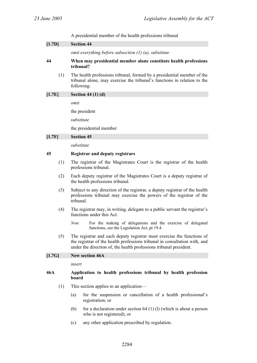A presidential member of the health professions tribunal

| [1.7D] |     | <b>Section 44</b>         |                                                                                                                                                                                                                            |
|--------|-----|---------------------------|----------------------------------------------------------------------------------------------------------------------------------------------------------------------------------------------------------------------------|
|        |     |                           | omit everything before subsection $(1)$ $(a)$ , substitute                                                                                                                                                                 |
| 44     |     | tribunal?                 | When may presidential member alone constitute health professions                                                                                                                                                           |
|        | (1) | following:                | The health professions tribunal, formed by a presidential member of the<br>tribunal alone, may exercise the tribunal's functions in relation to the                                                                        |
| [1.7E] |     | Section 44 $(1)$ $(d)$    |                                                                                                                                                                                                                            |
|        |     | omit                      |                                                                                                                                                                                                                            |
|        |     | the president             |                                                                                                                                                                                                                            |
|        |     | substitute                |                                                                                                                                                                                                                            |
|        |     | the presidential member   |                                                                                                                                                                                                                            |
| [1.7F] |     | <b>Section 45</b>         |                                                                                                                                                                                                                            |
|        |     | substitute                |                                                                                                                                                                                                                            |
| 45     |     |                           | <b>Registrar and deputy registrars</b>                                                                                                                                                                                     |
|        | (1) | professions tribunal.     | The registrar of the Magistrates Court is the registrar of the health                                                                                                                                                      |
|        | (2) |                           | Each deputy registrar of the Magistrates Court is a deputy registrar of<br>the health professions tribunal.                                                                                                                |
|        | (3) | tribunal.                 | Subject to any direction of the registrar, a deputy registrar of the health<br>professions tribunal may exercise the powers of the registrar of the                                                                        |
|        | (4) | functions under this Act. | The registrar may, in writing, delegate to a public servant the registrar's                                                                                                                                                |
|        |     | <b>Note</b>               | For the making of delegations and the exercise of delegated<br>functions, see the Legislation Act, pt 19.4.                                                                                                                |
|        | (5) |                           | The registrar and each deputy registrar must exercise the functions of<br>the registrar of the health professions tribunal in consultation with, and<br>under the direction of, the health professions tribunal president. |
| [1.7G] |     | <b>New section 46A</b>    |                                                                                                                                                                                                                            |
|        |     | insert                    |                                                                                                                                                                                                                            |
| 46A    |     | board                     | Application to health professions tribunal by health profession                                                                                                                                                            |
|        | (1) |                           | This section applies to an application—                                                                                                                                                                                    |
|        |     | (a)<br>registration; or   | for the suspension or cancellation of a health professional's                                                                                                                                                              |
|        |     | (b)                       | for a declaration under section $64$ (1) (1) (which is about a person<br>who is not registered); or                                                                                                                        |
|        |     | (c)                       | any other application prescribed by regulation.                                                                                                                                                                            |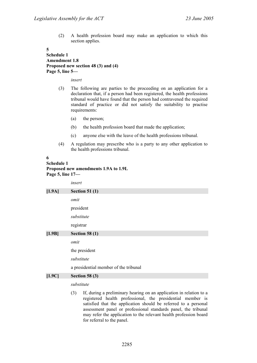(2) A health profession board may make an application to which this section applies.

#### **5**

### **Schedule 1 Amendment 1.8 Proposed new section 48 (3) and (4) Page 5, line 5—**

*insert* 

- (3) The following are parties to the proceeding on an application for a declaration that, if a person had been registered, the health professions tribunal would have found that the person had contravened the required standard of practice or did not satisfy the suitability to practise requirements:
	- (a) the person;
	- (b) the health profession board that made the application;
	- (c) anyone else with the leave of the health professions tribunal.
- (4) A regulation may prescribe who is a party to any other application to the health professions tribunal.

#### **6**

# **Schedule 1 Proposed new amendments 1.9A to 1.9L**

**Page 5, line 17—** 

|          | insert                                                                                                                                  |
|----------|-----------------------------------------------------------------------------------------------------------------------------------------|
| $[1.9A]$ | <b>Section 51 (1)</b>                                                                                                                   |
|          | omit                                                                                                                                    |
|          | president                                                                                                                               |
|          | substitute                                                                                                                              |
|          | registrar                                                                                                                               |
| $[1.9B]$ | Section 58 $(1)$                                                                                                                        |
|          | omit                                                                                                                                    |
|          | the president                                                                                                                           |
|          | substitute                                                                                                                              |
|          | a presidential member of the tribunal                                                                                                   |
| [1.9C]   | Section 58 $(3)$                                                                                                                        |
|          | substitute                                                                                                                              |
|          | If, during a preliminary hearing on an application in relation to a<br>(3)<br>registered health professional the presidential member is |

registered health professional, the presidential member is satisfied that the application should be referred to a personal assessment panel or professional standards panel, the tribunal may refer the application to the relevant health profession board for referral to the panel.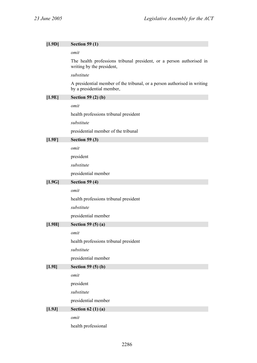| $[1.9D]$ | <b>Section 59 (1)</b>                                                                                 |
|----------|-------------------------------------------------------------------------------------------------------|
|          | omit                                                                                                  |
|          | The health professions tribunal president, or a person authorised in<br>writing by the president,     |
|          | substitute                                                                                            |
|          | A presidential member of the tribunal, or a person authorised in writing<br>by a presidential member, |
| [1.9E]   | <b>Section 59 (2) (b)</b>                                                                             |
|          | omit                                                                                                  |
|          | health professions tribunal president                                                                 |
|          | substitute                                                                                            |
|          | presidential member of the tribunal                                                                   |
| [1.9F]   | Section $59(3)$                                                                                       |
|          | omit                                                                                                  |
|          | president                                                                                             |
|          | substitute                                                                                            |
|          | presidential member                                                                                   |
| $[1.9G]$ | <b>Section 59 (4)</b>                                                                                 |
|          | omit                                                                                                  |
|          | health professions tribunal president                                                                 |
|          | substitute                                                                                            |
|          | presidential member                                                                                   |
| [1.9H]   | Section 59 $(5)(a)$                                                                                   |
|          | omit                                                                                                  |
|          | health professions tribunal president                                                                 |
|          | substitute                                                                                            |
|          | presidential member                                                                                   |
| $[1.9]$  | Section 59 $(5)$ (b)                                                                                  |
|          | omit                                                                                                  |
|          | president                                                                                             |
|          | substitute                                                                                            |
|          | presidential member                                                                                   |
| [1.9J]   | Section 62 $(1)(a)$                                                                                   |
|          | omit                                                                                                  |
|          | health professional                                                                                   |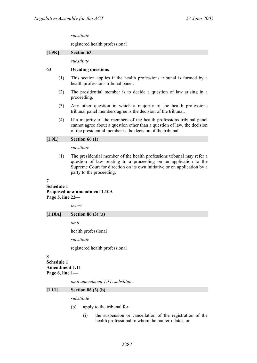#### *substitute*

registered health professional

#### **[1.9K] Section 63**

*substitute* 

#### **63 Deciding questions**

- (1) This section applies if the health professions tribunal is formed by a health professions tribunal panel.
- (2) The presidential member is to decide a question of law arising in a proceeding.
- (3) Any other question in which a majority of the health professions tribunal panel members agree is the decision of the tribunal.
- (4) If a majority of the members of the health professions tribunal panel cannot agree about a question other than a question of law, the decision of the presidential member is the decision of the tribunal.

#### **[1.9L] Section 66 (1)**

#### *substitute*

(1) The presidential member of the health professions tribunal may refer a question of law relating to a proceeding on an application to the Supreme Court for direction on its own initiative or on application by a party to the proceeding.

#### **7**

### **Schedule 1 Proposed new amendment 1.10A Page 5, line 22—**

*insert* 

#### **[1.10A] Section 86 (3) (a)**

*omit* 

health professional

*substitute* 

registered health professional

#### **8**

#### **Schedule 1 Amendment 1.11**

**Page 6, line 1—** 

*omit amendment 1.11, substitute* 

#### **[1.11] Section 86 (3) (b)**

#### *substitute*

- (b) apply to the tribunal for—
	- (i) the suspension or cancellation of the registration of the health professional to whom the matter relates; or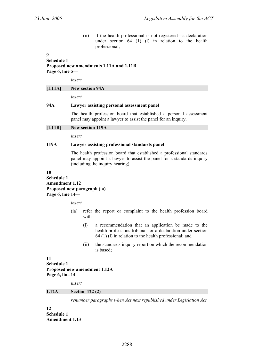(ii) if the health professional is not registered—a declaration under section 64 (1) (l) in relation to the health professional;

### **9**

# **Schedule 1 Proposed new amendments 1.11A and 1.11B Page 6, line 5—**

*insert* 

### **[1.11A] New section 94A**

*insert* 

#### **94A Lawyer assisting personal assessment panel**

The health profession board that established a personal assessment panel may appoint a lawyer to assist the panel for an inquiry.

**[1.11B] New section 119A** 

*insert* 

### **119A Lawyer assisting professional standards panel**

The health profession board that established a professional standards panel may appoint a lawyer to assist the panel for a standards inquiry (including the inquiry hearing).

#### **10**

### **Schedule 1 Amendment 1.12 Proposed new paragraph (ia) Page 6, line 14—**

*insert* 

- (ia) refer the report or complaint to the health profession board with—
	- (i) a recommendation that an application be made to the health professions tribunal for a declaration under section 64 (1) (l) in relation to the health professional; and
	- (ii) the standards inquiry report on which the recommendation is based;

### **11 Schedule 1 Proposed new amendment 1.12A Page 6, line 14—**

*insert* 

#### **1.12A Section 122 (2)**

*renumber paragraphs when Act next republished under Legislation Act* 

**12 Schedule 1 Amendment 1.13**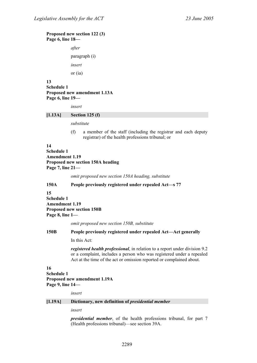#### **Proposed new section 122 (3) Page 6, line 18—**

*after*  paragraph (i) *insert*  or (ia)

**13 Schedule 1 Proposed new amendment 1.13A Page 6, line 19—** 

*insert* 

#### **[1.13A] Section 125 (f)**

*substitute* 

(f) a member of the staff (including the registrar and each deputy registrar) of the health professions tribunal; or

#### **14**

**Schedule 1 Amendment 1.19 Proposed new section 150A heading Page 7, line 21—** 

*omit proposed new section 150A heading, substitute* 

#### **150A People previously registered under repealed Act—s 77**

**15 Schedule 1 Amendment 1.19 Proposed new section 150B Page 8, line 1—** 

*omit proposed new section 150B, substitute* 

#### **150B People previously registered under repealed Act—Act generally**

In this Act:

*registered health professional*, in relation to a report under division 9.2 or a complaint, includes a person who was registered under a repealed Act at the time of the act or omission reported or complained about.

#### **16**

**Schedule 1 Proposed new amendment 1.19A Page 9, line 14—** 

*insert* 

#### **[1.19A] Dictionary, new definition of** *presidential member*

*insert* 

*presidential member*, of the health professions tribunal, for part 7 (Health professions tribunal)—see section 39A.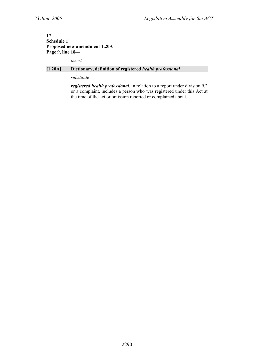### **17 Schedule 1 Proposed new amendment 1.20A Page 9, line 18—**

*insert* 

### **[1.20A] Dictionary, definition of registered** *health professional*

#### *substitute*

*registered health professional*, in relation to a report under division 9.2 or a complaint, includes a person who was registered under this Act at the time of the act or omission reported or complained about.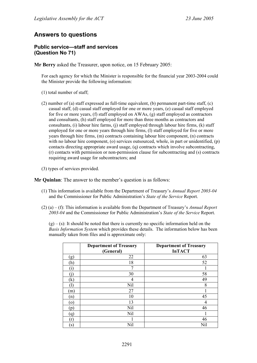# **Answers to questions**

### **Public service—staff and services (Question No 71)**

**Mr Berry** asked the Treasurer, upon notice, on 15 February 2005:

For each agency for which the Minister is responsible for the financial year 2003-2004 could the Minister provide the following information:

- (1) total number of staff;
- (2) number of (a) staff expressed as full-time equivalent, (b) permanent part-time staff, (c) casual staff, (d) casual staff employed for one or more years, (e) casual staff employed for five or more years, (f) staff employed on AWAs, (g) staff employed as contractors and consultants, (h) staff employed for more than three months as contractors and consultants, (i) labour hire farms, (j) staff employed through labour hire firms,  $(k)$  staff employed for one or more years through hire firms, (l) staff employed for five or more years through hire firms, (m) contracts containing labour hire component, (n) contracts with no labour hire component, (o) services outsourced, whole, in part or unidentified, (p) contacts directing appropriate award usage, (q) contracts which involve subcontracting, (r) contacts with permission or non-permission clause for subcontracting and (s) contracts requiring award usage for subcontractors; and
- (3) types of services provided.

**Mr Quinlan**: The answer to the member's question is as follows:

- (1) This information is available from the Department of Treasury's *Annual Report 2003-04* and the Commissioner for Public Administration's *State of the Service* Report.
- (2) (a) (f): This information is available from the Department of Treasury's *Annual Report 2003-04* and the Commissioner for Public Administration's *State of the Service* Report.

 $(g) - (s)$ : It should be noted that there is currently no specific information held on the *Basis Information System* which provides these details. The information below has been manually taken from files and is approximate only:

|                   | <b>Department of Treasury</b><br>(General) | <b>Department of Treasury</b><br><b>InTACT</b> |
|-------------------|--------------------------------------------|------------------------------------------------|
| (g)               | 22                                         | 63                                             |
| (h)               | 18                                         | 52                                             |
| $\mathbf{1}$      | 7                                          |                                                |
|                   | 30                                         | 58                                             |
| (k)               | 4                                          | 49                                             |
|                   | Nil                                        | 8                                              |
| (m)               | 27                                         |                                                |
| (n)               | 10                                         | 45                                             |
| $\left( 0\right)$ | 13                                         | 4                                              |
| (p)               | Nil                                        | 46                                             |
| (q)               | Nil                                        |                                                |
| (r)               |                                            | 46                                             |
| $\left( s\right)$ | Nil                                        | Nil                                            |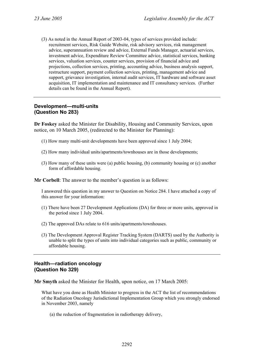(3) As noted in the Annual Report of 2003-04, types of services provided include: recruitment services, Risk Guide Website, risk advisory services, risk management advice, superannuation review and advice, External Funds Manager, actuarial services, investment advice, Expenditure Review Committee advice, statistical services, banking services, valuation services, counter services, provision of financial advice and projections, collection services, printing, accounting advice, business analysis support, restructure support, payment collection services, printing, management advice and support, grievance investigation, internal audit services, IT hardware and software asset acquisition, IT implementation and maintenance and IT consultancy services. (Further details can be found in the Annual Report).

# **Development—multi-units (Question No 283)**

**Dr Foskey** asked the Minister for Disability, Housing and Community Services, upon notice, on 10 March 2005, (redirected to the Minister for Planning):

- (1) How many multi-unit developments have been approved since 1 July 2004;
- (2) How many individual units/apartments/townhouses are in those developments;
- (3) How many of these units were (a) public housing, (b) community housing or (c) another form of affordable housing.

**Mr Corbell:** The answer to the member's question is as follows:

I answered this question in my answer to Question on Notice 284. I have attached a copy of this answer for your information:

- (1) There have been 27 Development Applications (DA) for three or more units, approved in the period since 1 July 2004.
- (2) The approved DAs relate to 616 units/apartments/townhouses.
- (3) The Development Approval Register Tracking System (DARTS) used by the Authority is unable to split the types of units into individual categories such as public, community or affordable housing.

### **Health—radiation oncology (Question No 329)**

**Mr Smyth** asked the Minister for Health, upon notice, on 17 March 2005:

What have you done as Health Minister to progress in the ACT the list of recommendations of the Radiation Oncology Jurisdictional Implementation Group which you strongly endorsed in November 2003, namely

(a) the reduction of fragmentation in radiotherapy delivery,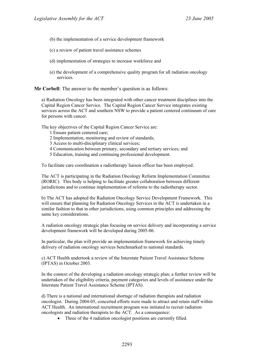- (b) the implementation of a service development framework
- (c) a review of patient travel assistance schemes
- (d) implementation of strategies to increase workforce and
- (e) the development of a comprehensive quality program for all radiation oncology services.

**Mr Corbell:** The answer to the member's question is as follows:

a) Radiation Oncology has been integrated with other cancer treatment disciplines into the Capital Region Cancer Service. The Capital Region Cancer Service integrates existing services across the ACT and southern NSW to provide a patient centered continuum of care for persons with cancer.

The key objectives of the Capital Region Cancer Service are:

- 1 Ensure patient centered care;
- 2 Implementation, monitoring and review of standards;
- 3 Access to multi-disciplinary clinical services;
- 4 Communication between primary, secondary and tertiary services; and
- 5 Education, training and continuing professional development.

To facilitate care coordination a radiotherapy liaison officer has been employed.

The ACT is participating in the Radiation Oncology Reform Implementation Committee (RORIC). This body is helping to facilitate greater collaboration between different jurisdictions and to continue implementation of reforms to the radiotherapy sector.

b) The ACT has adopted the Radiation Oncology Service Development Framework. This will ensure that planning for Radiation Oncology Services in the ACT is undertaken in a similar fashion to that in other jurisdictions, using common principles and addressing the same key considerations.

A radiation oncology strategic plan focusing on service delivery and incorporating a service development framework will be developed during 2005-06.

In particular, the plan will provide an implementation framework for achieving timely delivery of radiation oncology services benchmarked to national standards.

c) ACT Health undertook a review of the Interstate Patient Travel Assistance Scheme (IPTAS) in October 2003.

In the context of the developing a radiation oncology strategic plan; a further review will be undertaken of the eligibility criteria, payment categories and levels of assistance under the Interstate Patient Travel Assistance Scheme (IPTAS).

d) There is a national and international shortage of radiation therapists and radiation oncologist. During 2004-05, concerted efforts were made to attract and retain staff within ACT Health. An international recruitment program was initiated to recruit radiation oncologists and radiation therapists to the ACT. As a consequence:

• Three of the 4 radiation oncologist positions are currently filled.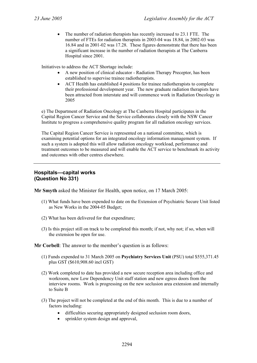• The number of radiation therapists has recently increased to 23.1 FTE. The number of FTEs for radiation therapists in 2003-04 was 18.84, in 2002-03 was 16.84 and in 2001-02 was 17.28. These figures demonstrate that there has been a significant increase in the number of radiation therapists at The Canberra Hospital since 2001.

Initiatives to address the ACT Shortage include:

- A new position of clinical educator Radiation Therapy Preceptor, has been established to supervise trainee radiotherapists.
- ACT Health has established 4 positions for trainee radiotherapists to complete their professional development year. The new graduate radiation therapists have been attracted from interstate and will commence work in Radiation Oncology in 2005

e) The Department of Radiation Oncology at The Canberra Hospital participates in the Capital Region Cancer Service and the Service collaborates closely with the NSW Cancer Institute to progress a comprehensive quality program for all radiation oncology services.

The Capital Region Cancer Service is represented on a national committee, which is examining potential options for an integrated oncology information management system. If such a system is adopted this will allow radiation oncology workload, performance and treatment outcomes to be measured and will enable the ACT service to benchmark its activity and outcomes with other centres elsewhere.

### **Hospitals—capital works (Question No 331)**

**Mr Smyth** asked the Minister for Health, upon notice, on 17 March 2005:

- (1) What funds have been expended to date on the Extension of Psychiatric Secure Unit listed as New Works in the 2004-05 Budget;
- (2) What has been delivered for that expenditure;
- (3) Is this project still on track to be completed this month; if not, why not; if so, when will the extension be open for use.

**Mr Corbell**: The answer to the member's question is as follows:

- (1) Funds expended to 31 March 2005 on **Psychiatry Services Unit** (PSU) total \$555,371.45 plus GST (\$610,908.60 incl GST)
- (2) Work completed to date has provided a new secure reception area including office and workroom, new Low Dependency Unit staff station and new egress doors from the interview rooms. Work is progressing on the new seclusion area extension and internally to Suite B
- (3) The project will not be completed at the end of this month. This is due to a number of factors including:
	- difficulties securing appropriately designed seclusion room doors,
	- sprinkler system design and approval,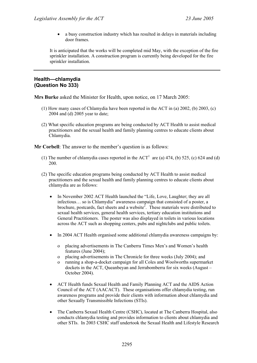• a busy construction industry which has resulted in delays in materials including door frames.

It is anticipated that the works will be completed mid May, with the exception of the fire sprinkler installation. A construction program is currently being developed for the fire sprinkler installation.

# **Health—chlamydia (Question No 333)**

**Mrs Burke** asked the Minister for Health, upon notice, on 17 March 2005:

- (1) How many cases of Chlamydia have been reported in the ACT in (a) 2002, (b) 2003, (c) 2004 and (d) 2005 year to date;
- (2) What specific education programs are being conducted by ACT Health to assist medical practitioners and the sexual health and family planning centres to educate clients about Chlamydia.

**Mr Corbell**: The answer to the member's question is as follows:

- (1) The number of chlamydia cases reported in the  $ACT<sup>1</sup>$  are (a) 474, (b) 525, (c) 624 and (d) 200.
- (2) The specific education programs being conducted by ACT Health to assist medical practitioners and the sexual health and family planning centres to educate clients about chlamydia are as follows:
	- In November 2002 ACT Health launched the "Life, Love, Laughter; they are all infectious… so is Chlamydia" awareness campaign that consisted of a poster, a brochure, postcards, fact sheets and a website<sup>2</sup>. These materials were distributed to sexual health services, general health services, tertiary education institutions and General Practitioners. The poster was also displayed in toilets in various locations across the ACT such as shopping centers, pubs and nightclubs and public toilets.
	- In 2004 ACT Health organised some additional chlamydia awareness campaigns by:
		- o placing advertisements in The Canberra Times Men's and Women's health features (June 2004);
		- o placing advertisements in The Chronicle for three weeks (July 2004); and
		- running a shop-a-docket campaign for all Coles and Woolworths supermarket dockets in the ACT, Queanbeyan and Jerrabomberra for six weeks (August – October 2004).
	- ACT Health funds Sexual Health and Family Planning ACT and the AIDS Action Council of the ACT (AACACT). These organisations offer chlamydia testing, run awareness programs and provide their clients with information about chlamydia and other Sexually Transmissible Infections (STIs).
	- The Canberra Sexual Health Centre (CSHC), located at The Canberra Hospital, also conducts chlamydia testing and provides information to clients about chlamydia and other STIs. In 2003 CSHC staff undertook the Sexual Health and Lifestyle Research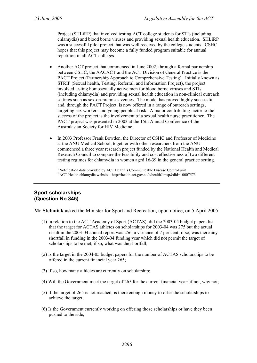Project (SHLiRP) that involved testing ACT college students for STIs (including chlamydia) and blood borne viruses and providing sexual health education. SHLiRP was a successful pilot project that was well received by the college students. CSHC hopes that this project may become a fully funded program suitable for annual repetition in all ACT colleges.

- Another ACT project that commenced in June 2002, through a formal partnership between CSHC, the AACACT and the ACT Division of General Practice is the PACT Project (Partnership Approach to Comprehensive Testing). Initially known as STRIP (Sexual health, Testing, Referral, and Information Project), the project involved testing homosexually active men for blood borne viruses and STIs (including chlamydia) and providing sexual health education in non-clinical outreach settings such as sex-on-premises venues. The model has proved highly successful and, through the PACT Project, is now offered in a range of outreach settings, targeting sex workers and young people at risk. A major contributing factor to the success of the project is the involvement of a sexual health nurse practitioner. The PACT project was presented in 2003 at the 15th Annual Conference of the Australasian Society for HIV Medicine.
- In 2003 Professor Frank Bowden, the Director of CSHC and Professor of Medicine at the ANU Medical School, together with other researchers from the ANU commenced a three year research project funded by the National Health and Medical Research Council to compare the feasibility and cost effectiveness of two different testing regimes for chlamydia in women aged 16-39 in the general practice setting.

<sup>1</sup> Notification data provided by ACT Health's Communicable Disease Control unit <sup>2</sup> ACT Health chlamydia website - http://health.act.gov.au/c/health?a=sp&did=10007573

# **Sport scholarships (Question No 345)**

**Mr Stefaniak** asked the Minister for Sport and Recreation, upon notice, on 5 April 2005:

- (1) In relation to the ACT Academy of Sport (ACTAS), did the 2003-04 budget papers list that the target for ACTAS athletes on scholarships for 2003-04 was 275 but the actual result in the 2003-04 annual report was 256, a variance of 7 per cent; if so, was there any shortfall in funding in the 2003-04 funding year which did not permit the target of scholarships to be met; if so, what was the shortfall;
- (2) Is the target in the 2004-05 budget papers for the number of ACTAS scholarships to be offered in the current financial year 265;
- (3) If so, how many athletes are currently on scholarship;
- (4) Will the Government meet the target of 265 for the current financial year; if not, why not;
- (5) If the target of 265 is not reached, is there enough money to offer the scholarships to achieve the target;
- (6) Is the Government currently working on offering those scholarships or have they been pushed to the side;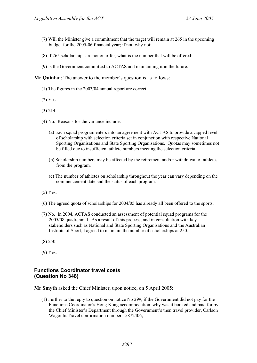- (7) Will the Minister give a commitment that the target will remain at 265 in the upcoming budget for the 2005-06 financial year; if not, why not;
- (8) If 265 scholarships are not on offer, what is the number that will be offered;
- (9) Is the Government committed to ACTAS and maintaining it in the future.

**Mr Quinlan**: The answer to the member's question is as follows:

- (1) The figures in the 2003/04 annual report are correct.
- (2) Yes.
- (3) 214.
- (4) No. Reasons for the variance include:
	- (a) Each squad program enters into an agreement with ACTAS to provide a capped level of scholarship with selection criteria set in conjunction with respective National Sporting Organisations and State Sporting Organisations. Quotas may sometimes not be filled due to insufficient athlete numbers meeting the selection criteria.
	- (b) Scholarship numbers may be affected by the retirement and/or withdrawal of athletes from the program.
	- (c) The number of athletes on scholarship throughout the year can vary depending on the commencement date and the status of each program.
- (5) Yes.
- (6) The agreed quota of scholarships for 2004/05 has already all been offered to the sports.
- (7) No. In 2004, ACTAS conducted an assessment of potential squad programs for the 2005/08 quadrennial. As a result of this process, and in consultation with key stakeholders such as National and State Sporting Organisations and the Australian Institute of Sport, I agreed to maintain the number of scholarships at 250.
- (8) 250.
- (9) Yes.

### **Functions Coordinator travel costs (Question No 348)**

**Mr Smyth** asked the Chief Minister, upon notice, on 5 April 2005:

(1) Further to the reply to question on notice No 299, if the Government did not pay for the Functions Coordinator's Hong Kong accommodation, why was it booked and paid for by the Chief Minister's Department through the Government's then travel provider, Carlson Wagonlit Travel confirmation number 15872406;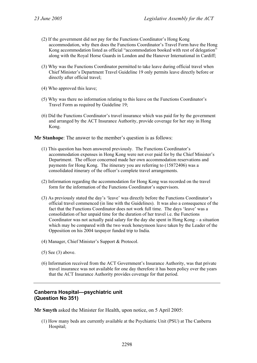- (2) If the government did not pay for the Functions Coordinator's Hong Kong accommodation, why then does the Functions Coordinator's Travel Form have the Hong Kong accommodation listed as official "accommodation booked with rest of delegation" along with the Royal Horse Guards in London and the Hanover International in Cardiff;
- (3) Why was the Functions Coordinator permitted to take leave during official travel when Chief Minister's Department Travel Guideline 19 only permits leave directly before or directly after official travel;
- (4) Who approved this leave;
- (5) Why was there no information relating to this leave on the Functions Coordinator's Travel Form as required by Guideline 19;
- (6) Did the Functions Coordinator's travel insurance which was paid for by the government and arranged by the ACT Insurance Authority, provide coverage for her stay in Hong Kong.

**Mr Stanhope**: The answer to the member's question is as follows:

- (1) This question has been answered previously. The Functions Coordinator's accommodation expenses in Hong Kong were not ever paid for by the Chief Minister's Department. The officer concerned made her own accommodation reservations and payments for Hong Kong. The itinerary you are referring to (15872406) was a consolidated itinerary of the officer's complete travel arrangements.
- (2) Information regarding the accommodation for Hong Kong was recorded on the travel form for the information of the Functions Coordinator's supervisors.
- (3) As previously stated the day's 'leave' was directly before the Functions Coordinator's official travel commenced (in line with the Guidelines). It was also a consequence of the fact that the Functions Coordinator does not work full time. The days 'leave' was a consolidation of her unpaid time for the duration of her travel i.e. the Functions Coordinator was not actually paid salary for the day she spent in Hong Kong – a situation which may be compared with the two week honeymoon leave taken by the Leader of the Opposition on his 2004 taxpayer funded trip to India.
- (4) Manager, Chief Minister's Support & Protocol.
- (5) See (3) above.
- (6) Information received from the ACT Government's Insurance Authority, was that private travel insurance was not available for one day therefore it has been policy over the years that the ACT Insurance Authority provides coverage for that period.

# **Canberra Hospital—psychiatric unit (Question No 351)**

**Mr Smyth** asked the Minister for Health, upon notice, on 5 April 2005:

(1) How many beds are currently available at the Psychiatric Unit (PSU) at The Canberra Hospital;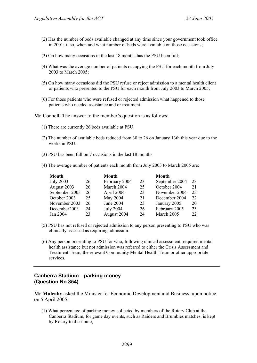- (2) Has the number of beds available changed at any time since your government took office in 2001; if so, when and what number of beds were available on those occasions;
- (3) On how many occasions in the last 18 months has the PSU been full;
- (4) What was the average number of patients occupying the PSU for each month from July 2003 to March 2005;
- (5) On how many occasions did the PSU refuse or reject admission to a mental health client or patients who presented to the PSU for each month from July 2003 to March 2005;
- (6) For those patients who were refused or rejected admission what happened to those patients who needed assistance and or treatment.

**Mr Corbell**: The answer to the member's question is as follows:

- (1) There are currently 26 beds available at PSU
- (2) The number of available beds reduced from 30 to 26 on January 13th this year due to the works in PSU.
- (3) PSU has been full on 7 occasions in the last 18 months
- (4) The average number of patients each month from July 2003 to March 2005 are:

| <b>Month</b>     |    | Month            |    | <b>Month</b>   |    |
|------------------|----|------------------|----|----------------|----|
| <b>July 2003</b> | 26 | February 2004    | 23 | September 2004 | 23 |
| August 2003      | 26 | March 2004       | 25 | October 2004   | 21 |
| September 2003   | 26 | April 2004       | 23 | November 2004  | 23 |
| October 2003     | 25 | May 2004         | 21 | December 2004  | 22 |
| November 2003    | 26 | June 2004        | 23 | January 2005   | 20 |
| December2003     | 24 | <b>July 2004</b> | 26 | February 2005  | 23 |
| Jan 2004         | 23 | August 2004      | 24 | March 2005     | 22 |

- (5) PSU has not refused or rejected admission to any person presenting to PSU who was clinically assessed as requiring admission.
- (6) Any person presenting to PSU for who, following clinical assessment, required mental health assistance but not admission was referred to either the Crisis Assessment and Treatment Team, the relevant Community Mental Health Team or other appropriate services.

### **Canberra Stadium—parking money (Question No 354)**

**Mr Mulcahy** asked the Minister for Economic Development and Business, upon notice, on 5 April 2005:

(1) What percentage of parking money collected by members of the Rotary Club at the Canberra Stadium, for game day events, such as Raiders and Brumbies matches, is kept by Rotary to distribute;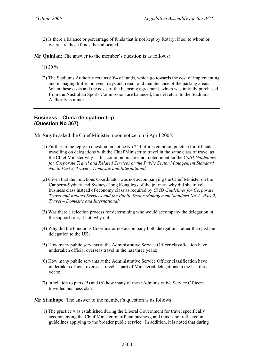(2) Is there a balance or percentage of funds that is not kept by Rotary; if so, to whom or where are those funds then allocated.

**Mr Quinlan**: The answer to the member's question is as follows:

 $(1)$  20 %

(2) The Stadiums Authority retains 80% of funds, which go towards the cost of implementing and managing traffic on event days and repair and maintenance of the parking areas. When these costs and the costs of the licensing agreement, which was initially purchased from the Australian Sports Commission, are balanced, the net return to the Stadiums Authority is minor.

# **Business—China delegation trip (Question No 367)**

**Mr Smyth** asked the Chief Minister, upon notice, on 6 April 2005:

- (1) Further to the reply to question on notice No 244, if it is common practice for officials travelling on delegations with the Chief Minister to travel in the same class of travel as the Chief Minister why is this common practice not noted in either the *CMD Guidelines for Corporate Travel and Related Services or the Public Sector Management Standard No. 6, Part 2, Travel – Domestic and International;*
- (2) Given that the Functions Coordinator was not accompanying the Chief Minister on the Canberra-Sydney and Sydney-Hong Kong legs of the journey, why did she travel business class instead of economy class as required by *CMD Guidelines for Corporate Travel and Related Services and the Public Sector Management Standard No. 6, Part 2, Travel – Domestic and International;*
- (3) Was there a selection process for determining who would accompany the delegation in the support role; if not, why not;
- (4) Why did the Functions Coordinator not accompany both delegations rather than just the delegation to the UK;
- (5) How many public servants at the Administrative Service Officer classification have undertaken official overseas travel in the last three years;
- (6) How many public servants at the Administrative Service Officer classification have undertaken official overseas travel as part of Ministerial delegations in the last three years;
- (7) In relation to parts (5) and (6) how many of these Administrative Service Officers travelled business class.

**Mr Stanhope**: The answer to the member's question is as follows:

(1) The practice was established during the Liberal Government for travel specifically accompanying the Chief Minister on official business, and thus is not reflected in guidelines applying to the broader public service. In addition, it is noted that during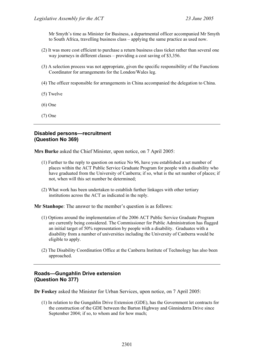Mr Smyth's time as Minister for Business, a departmental officer accompanied Mr Smyth to South Africa, travelling business class – applying the same practice as used now.

- (2) It was more cost efficient to purchase a return business class ticket rather than several one way journeys in different classes – providing a cost saving of \$3,356.
- (3) A selection process was not appropriate, given the specific responsibility of the Functions Coordinator for arrangements for the London/Wales leg.
- (4) The officer responsible for arrangements in China accompanied the delegation to China.
- (5) Twelve
- (6) One
- (7) One

# **Disabled persons—recruitment (Question No 369)**

**Mrs Burke** asked the Chief Minister, upon notice, on 7 April 2005:

- (1) Further to the reply to question on notice No 96, have you established a set number of places within the ACT Public Service Graduate Program for people with a disability who have graduated from the University of Canberra; if so, what is the set number of places; if not, when will this set number be determined;
- (2) What work has been undertaken to establish further linkages with other tertiary institutions across the ACT as indicated in the reply.

**Mr Stanhope**: The answer to the member's question is as follows:

- (1) Options around the implementation of the 2006 ACT Public Service Graduate Program are currently being considered. The Commissioner for Public Administration has flagged an initial target of 50% representation by people with a disability. Graduates with a disability from a number of universities including the University of Canberra would be eligible to apply.
- (2) The Disability Coordination Office at the Canberra Institute of Technology has also been approached.

# **Roads—Gungahlin Drive extension (Question No 377)**

**Dr Foskey** asked the Minister for Urban Services, upon notice, on 7 April 2005:

(1) In relation to the Gungahlin Drive Extension (GDE), has the Government let contracts for the construction of the GDE between the Barton Highway and Ginninderra Drive since September 2004; if so, to whom and for how much;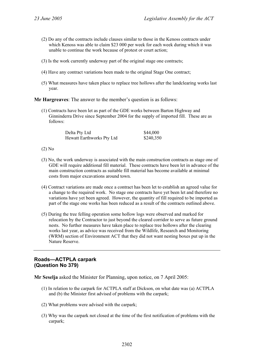- (2) Do any of the contracts include clauses similar to those in the Kenoss contracts under which Kenoss was able to claim \$23 000 per week for each week during which it was unable to continue the work because of protest or court action;
- (3) Is the work currently underway part of the original stage one contracts;
- (4) Have any contract variations been made to the original Stage One contract;
- (5) What measures have taken place to replace tree hollows after the landclearing works last year.

**Mr Hargreaves**: The answer to the member's question is as follows:

(1) Contracts have been let as part of the GDE works between Barton Highway and Ginninderra Drive since September 2004 for the supply of imported fill. These are as follows:

| Delta Pty Ltd             | \$44,000  |
|---------------------------|-----------|
| Hewatt Earthworks Pty Ltd | \$240,350 |

- (2) No
- (3) No, the work underway is associated with the main construction contracts as stage one of GDE will require additional fill material. These contracts have been let in advance of the main construction contracts as suitable fill material has become available at minimal costs from major excavations around town.
- (4) Contract variations are made once a contract has been let to establish an agreed value for a change to the required work. No stage one contracts have yet been let and therefore no variations have yet been agreed. However, the quantity of fill required to be imported as part of the stage one works has been reduced as a result of the contracts outlined above.
- (5) During the tree felling operation some hollow logs were observed and marked for relocation by the Contractor to just beyond the cleared corridor to serve as future ground nests. No further measures have taken place to replace tree hollows after the clearing works last year, as advice was received from the Wildlife, Research and Monitoring (WRM) section of Environment ACT that they did not want nesting boxes put up in the Nature Reserve.

### **Roads—ACTPLA carpark (Question No 379)**

**Mr Seselja** asked the Minister for Planning, upon notice, on 7 April 2005:

- (1) In relation to the carpark for ACTPLA staff at Dickson, on what date was (a) ACTPLA and (b) the Minister first advised of problems with the carpark;
- (2) What problems were advised with the carpark;
- (3) Why was the carpark not closed at the time of the first notification of problems with the carpark;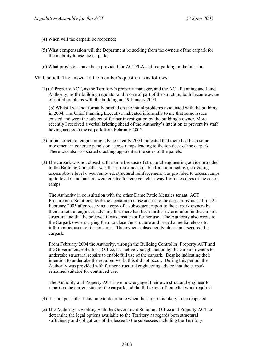- (4) When will the carpark be reopened;
- (5) What compensation will the Department be seeking from the owners of the carpark for the inability to use the carpark;
- (6) What provisions have been provided for ACTPLA staff carparking in the interim.

**Mr Corbell**: The answer to the member's question is as follows:

(1) (a) Property ACT, as the Territory's property manager, and the ACT Planning and Land Authority, as the building regulator and lessee of part of the structure, both became aware of initial problems with the building on 19 January 2004.

(b) Whilst I was not formally briefed on the initial problems associated with the building in 2004, The Chief Planning Executive indicated informally to me that some issues existed and were the subject of further investigation by the building's owner. More recently I received a verbal briefing ahead of the Authority's intention to prevent its staff having access to the carpark from February 2005.

- (2) Initial structural engineering advice in early 2004 indicated that there had been some movement in concrete panels on access ramps leading to the top deck of the carpark. There was also associated cracking apparent at the sides of the panels.
- (3) The carpark was not closed at that time because of structural engineering advice provided to the Building Controller was that it remained suitable for continued use, providing access above level 6 was removed, structural reinforcement was provided to access ramps up to level 6 and barriers were erected to keep vehicles away from the edges of the access ramps.

The Authority in consultation with the other Dame Pattie Menzies tenant, ACT Procurement Solutions, took the decision to close access to the carpark by its staff on 25 February 2005 after receiving a copy of a subsequent report to the carpark owners by their structural engineer, advising that there had been further deterioration in the carpark structure and that he believed it was unsafe for further use. The Authority also wrote to the Carpark owners urging them to close the structure and issued a media release to inform other users of its concerns. The owners subsequently closed and secured the carpark.

From February 2004 the Authority, through the Building Controller, Property ACT and the Government Solicitor's Office, has actively sought action by the carpark owners to undertake structural repairs to enable full use of the carpark. Despite indicating their intention to undertake the required work, this did not occur. During this period, the Authority was provided with further structural engineering advice that the carpark remained suitable for continued use.

The Authority and Property ACT have now engaged their own structural engineer to report on the current state of the carpark and the full extent of remedial work required.

- (4) It is not possible at this time to determine when the carpark is likely to be reopened.
- (5) The Authority is working with the Government Solicitors Office and Property ACT to determine the legal options available to the Territory as regards both structural sufficiency and obligations of the lessee to the sublessees including the Territory.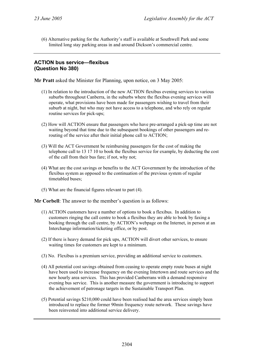(6) Alternative parking for the Authority's staff is available at Southwell Park and some limited long stay parking areas in and around Dickson's commercial centre.

# **ACTION bus service—flexibus (Question No 380)**

**Mr Pratt** asked the Minister for Planning, upon notice, on 3 May 2005:

- (1) In relation to the introduction of the new ACTION flexibus evening services to various suburbs throughout Canberra, in the suburbs where the flexibus evening services will operate, what provisions have been made for passengers wishing to travel from their suburb at night, but who may not have access to a telephone, and who rely on regular routine services for pick-ups;
- (2) How will ACTION ensure that passengers who have pre-arranged a pick-up time are not waiting beyond that time due to the subsequent bookings of other passengers and rerouting of the service after their initial phone call to ACTION;
- (3) Will the ACT Government be reimbursing passengers for the cost of making the telephone call to 13 17 10 to book the flexibus service for example, by deducting the cost of the call from their bus fare; if not, why not;
- (4) What are the cost savings or benefits to the ACT Government by the introduction of the flexibus system as opposed to the continuation of the previous system of regular timetabled buses;
- (5) What are the financial figures relevant to part (4).

**Mr Corbell**: The answer to the member's question is as follows:

- (1) ACTION customers have a number of options to book a flexibus. In addition to customers ringing the call centre to book a flexibus they are able to book by faxing a booking through the call centre, by ACTION's webpage on the Internet, in person at an Interchange information/ticketing office, or by post.
- (2) If there is heavy demand for pick ups, ACTION will divert other services, to ensure waiting times for customers are kept to a minimum.
- (3) No. Flexibus is a premium service, providing an additional service to customers.
- (4) All potential cost savings obtained from ceasing to operate empty route buses at night have been used to increase frequency on the evening Intertown and route services and the new hourly area services. This has provided Canberrans with a demand responsive evening bus service. This is another measure the government is introducing to support the achievement of patronage targets in the Sustainable Transport Plan.
- (5) Potential savings \$210,000 could have been realised had the area services simply been introduced to replace the former 90min frequency route network. These savings have been reinvested into additional service delivery.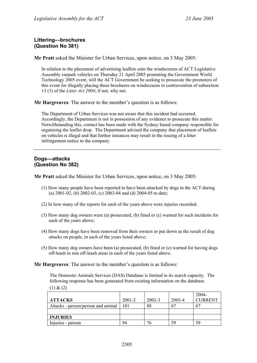# **Littering—brochures (Question No 381)**

**Mr Pratt** asked the Minister for Urban Services, upon notice, on 3 May 2005:

In relation to the placement of advertising leaflets onto the windscreens of ACT Legislative Assembly carpark vehicles on Thursday 21 April 2005 promoting the Government World Technology 2005 event, will the ACT Government be seeking to prosecute the promoters of this event for illegally placing these brochures on windscreens in contravention of subsection 13 (3) of the *Litter Act 2004*; if not, why not.

**Mr Hargreaves**: The answer to the member's question is as follows:

The Department of Urban Services was not aware that this incident had occurred. Accordingly, the Department is not in possession of any evidence to prosecute this matter. Notwithstanding this, contact has been made with the Sydney based company responsible for organising the leaflet drop. The Department advised the company that placement of leaflets on vehicles is illegal and that further instances may result in the issuing of a litter infringement notice to the company.

# **Dogs—attacks (Question No 382)**

**Mr Pratt** asked the Minister for Urban Services, upon notice, on 3 May 2005:

- (1) How many people have been reported to have been attacked by dogs in the ACT during (a) 2001-02, (b) 2002-03, (c) 2003-04 and (d) 2004-05 to date;
- (2) In how many of the reports for each of the years above were injuries recorded;
- (3) How many dog owners were (a) prosecuted, (b) fined or (c) warned for such incidents for each of the years above;
- (4) How many dogs have been removed from their owners or put down as the result of dog attacks on people, in each of the years listed above;
- (5) How many dog owners have been (a) prosecuted, (b) fined or (c) warned for having dogs off-leash in non off-leash areas in each of the years listed above.

**Mr Hargreaves**: The answer to the member's question is as follows:

The Domestic Animals Services (DAS) Database is limited in its search capacity. The following response has been generated from existing information on the database.  $(1) & (2)$ 

|                                    |            |            |        | $2004 -$       |
|------------------------------------|------------|------------|--------|----------------|
| <b>ATTACKS</b>                     | $2001 - 2$ | $2002 - 3$ | 2003-4 | <b>CURRENT</b> |
| Attacks - person/person and animal | 101        | 88         | 67     | 67             |
|                                    |            |            |        |                |
| <b>INJURIES</b>                    |            |            |        |                |
| Injuries - person                  | 94         | 76         | 59     | 59             |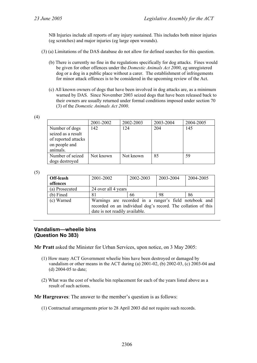NB Injuries include all reports of any injury sustained. This includes both minor injuries (eg scratches) and major injuries (eg large open wounds).

- (3) (a) Limitations of the DAS database do not allow for defined searches for this question.
	- (b) There is currently no fine in the regulations specifically for dog attacks. Fines would be given for other offences under the *Domestic Animals Act 2000*, eg unregistered dog or a dog in a public place without a carer. The establishment of infringements for minor attack offences is to be considered in the upcoming review of the Act.
	- (c) All known owners of dogs that have been involved in dog attacks are, as a minimum warned by DAS. Since November 2003 seized dogs that have been released back to their owners are usually returned under formal conditions imposed under section 70 (3) of the *Domestic Animals Act 2000*.

(4)

|                                      | 2001-2002 | 2002-2003 | 2003-2004 | 2004-2005 |
|--------------------------------------|-----------|-----------|-----------|-----------|
| Number of dogs<br>seized as a result | 142       | 124       | 204       | 145       |
| of reported attacks<br>on people and |           |           |           |           |
| animals.                             |           |           |           |           |
| Number of seized                     | Not known | Not known | 85        | 59        |
| dogs destroyed                       |           |           |           |           |

(5)

| Off-leash<br>2001-2002 |                                                                                                                                                           | 2002-2003 | 2003-2004 | 2004-2005 |
|------------------------|-----------------------------------------------------------------------------------------------------------------------------------------------------------|-----------|-----------|-----------|
| offences               |                                                                                                                                                           |           |           |           |
| (a) Prosecuted         | 24 over all 4 years                                                                                                                                       |           |           |           |
| $(b)$ Fined            | 81                                                                                                                                                        |           | 98        | 86        |
| (c) Warned             | Warnings are recorded in a ranger's field notebook and<br>recorded on an individual dog's record. The collation of this<br>date is not readily available. |           |           |           |

# **Vandalism—wheelie bins (Question No 383)**

**Mr Pratt** asked the Minister for Urban Services, upon notice, on 3 May 2005:

- (1) How many ACT Government wheelie bins have been destroyed or damaged by vandalism or other means in the ACT during (a) 2001-02, (b) 2002-03, (c) 2003-04 and (d) 2004-05 to date;
- (2) What was the cost of wheelie bin replacement for each of the years listed above as a result of such actions.

**Mr Hargreaves**: The answer to the member's question is as follows:

(1) Contractual arrangements prior to 28 April 2003 did not require such records.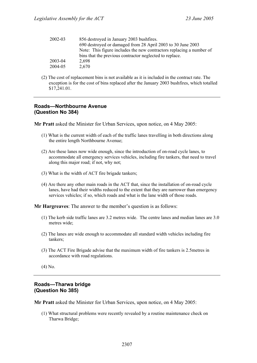| 2002-03 | 856 destroyed in January 2003 bushfires.<br>690 destroyed or damaged from 28 April 2003 to 30 June 2003                         |
|---------|---------------------------------------------------------------------------------------------------------------------------------|
|         | Note: This figure includes the new contractors replacing a number of<br>bins that the previous contractor neglected to replace. |
| 2003-04 | 2.698                                                                                                                           |
| 2004-05 | 2,670                                                                                                                           |

(2) The cost of replacement bins is not available as it is included in the contract rate. The exception is for the cost of bins replaced after the January 2003 bushfires, which totalled \$17,241.01.

# **Roads—Northbourne Avenue (Question No 384)**

**Mr Pratt** asked the Minister for Urban Services, upon notice, on 4 May 2005:

- (1) What is the current width of each of the traffic lanes travelling in both directions along the entire length Northbourne Avenue;
- (2) Are these lanes now wide enough, since the introduction of on-road cycle lanes, to accommodate all emergency services vehicles, including fire tankers, that need to travel along this major road; if not, why not;
- (3) What is the width of ACT fire brigade tankers;
- (4) Are there any other main roads in the ACT that, since the installation of on-road cycle lanes, have had their widths reduced to the extent that they are narrower than emergency services vehicles; if so, which roads and what is the lane width of those roads.

**Mr Hargreaves**: The answer to the member's question is as follows:

- (1) The kerb side traffic lanes are 3.2 metres wide. The centre lanes and median lanes are 3.0 metres wide;
- (2) The lanes are wide enough to accommodate all standard width vehicles including fire tankers;
- (3) The ACT Fire Brigade advise that the maximum width of fire tankers is 2.5metres in accordance with road regulations.

(4) No.

# **Roads—Tharwa bridge (Question No 385)**

**Mr Pratt** asked the Minister for Urban Services, upon notice, on 4 May 2005:

(1) What structural problems were recently revealed by a routine maintenance check on Tharwa Bridge;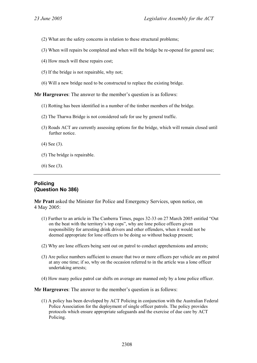- (2) What are the safety concerns in relation to these structural problems;
- (3) When will repairs be completed and when will the bridge be re-opened for general use;
- (4) How much will these repairs cost;
- (5) If the bridge is not repairable, why not;
- (6) Will a new bridge need to be constructed to replace the existing bridge.

**Mr Hargreaves**: The answer to the member's question is as follows:

- (1) Rotting has been identified in a number of the timber members of the bridge.
- (2) The Tharwa Bridge is not considered safe for use by general traffic.
- (3) Roads ACT are currently assessing options for the bridge, which will remain closed until further notice.
- (4) See (3).
- (5) The bridge is repairable.
- (6) See (3).

# **Policing (Question No 386)**

**Mr Pratt** asked the Minister for Police and Emergency Services, upon notice, on 4 May 2005:

- (1) Further to an article in The Canberra Times, pages 32-33 on 27 March 2005 entitled "Out on the beat with the territory's top cops", why are lone police officers given responsibility for arresting drink drivers and other offenders, when it would not be deemed appropriate for lone officers to be doing so without backup present;
- (2) Why are lone officers being sent out on patrol to conduct apprehensions and arrests;
- (3) Are police numbers sufficient to ensure that two or more officers per vehicle are on patrol at any one time; if so, why on the occasion referred to in the article was a lone officer undertaking arrests;
- (4) How many police patrol car shifts on average are manned only by a lone police officer.

**Mr Hargreaves**: The answer to the member's question is as follows:

(1) A policy has been developed by ACT Policing in conjunction with the Australian Federal Police Association for the deployment of single officer patrols. The policy provides protocols which ensure appropriate safeguards and the exercise of due care by ACT Policing.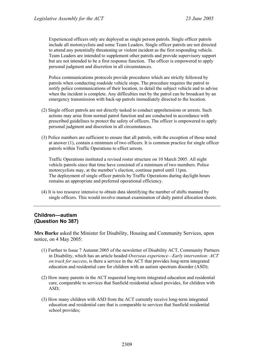Experienced officers only are deployed as single person patrols. Single officer patrols include all motorcyclists and some Team Leaders. Single officer patrols are not directed to attend any potentially threatening or violent incident as the first responding vehicle. Team Leaders are intended to supplement other patrols and provide supervisory support but are not intended to be a first response function. The officer is empowered to apply personal judgment and discretion in all circumstances.

Police communications protocols provide procedures which are strictly followed by patrols when conducting roadside vehicle stops. The procedure requires the patrol to notify police communications of their location, to detail the subject vehicle and to advise when the incident is complete. Any difficulties met by the patrol can be broadcast by an emergency transmission with back-up patrols immediately directed to the location.

- (2) Single officer patrols are not directly tasked to conduct apprehensions or arrests. Such actions may arise from normal patrol function and are conducted in accordance with prescribed guidelines to protect the safety of officers. The officer is empowered to apply personal judgment and discretion in all circumstances.
- (3) Police numbers are sufficient to ensure that all patrols, with the exception of those noted at answer (1), contain a minimum of two officers. It is common practice for single officer patrols within Traffic Operations to effect arrests.

Traffic Operations instituted a revised roster structure on 10 March 2005. All night vehicle patrols since that time have consisted of a minimum of two members. Police motorcyclists may, at the member's election, continue patrol until 11pm. The deployment of single officer patrols by Traffic Operations during daylight hours remains an appropriate and preferred operational efficiency.

(4) It is too resource intensive to obtain data identifying the number of shifts manned by single officers. This would involve manual examination of daily patrol allocation sheets.

# **Children—autism (Question No 387)**

**Mrs Burke** asked the Minister for Disability, Housing and Community Services, upon notice, on 4 May 2005:

- (1) Further to Issue 7 Autumn 2005 of the newsletter of Disability ACT, Community Partners in Disability, which has an article headed *Overseas experience—Early intervention: ACT on track for success*, is there a service in the ACT that provides long-term integrated education and residential care for children with an autism spectrum disorder (ASD);
- (2) How many parents in the ACT requested long-term integrated education and residential care, comparable to services that Sunfield residential school provides, for children with ASD;
- (3) How many children with ASD from the ACT currently receive long-term integrated education and residential care that is comparable to services that Sunfield residential school provides;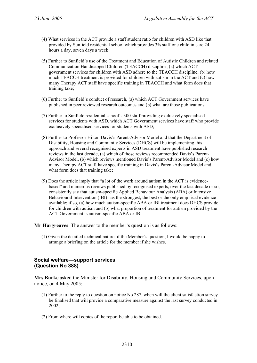- (4) What services in the ACT provide a staff student ratio for children with ASD like that provided by Sunfield residential school which provides 3¾ staff one child in care 24 hours a day, seven days a week;
- (5) Further to Sunfield's use of the Treatment and Education of Autistic Children and related Communication Handicapped Children (TEACCH) discipline, (a) which ACT government services for children with ASD adhere to the TEACCH discipline, (b) how much TEACCH treatment is provided for children with autism in the ACT and (c) how many Therapy ACT staff have specific training in TEACCH and what form does that training take;
- (6) Further to Sunfield's conduct of research, (a) which ACT Government services have published in peer reviewed research outcomes and (b) what are those publications;
- (7) Further to Sunfield residential school's 300 staff providing exclusively specialised services for students with ASD, which ACT Government services have staff who provide exclusively specialised services for students with ASD;
- (8) Further to Professor Hilton Davis's Parent-Advisor Model and that the Department of Disability, Housing and Community Services (DHCS) will be implementing this approach and several recognised experts in ASD treatment have published research reviews in the last decade, (a) which of those reviews recommended Davis's Parent-Advisor Model, (b) which reviews mentioned Davis's Parent-Advisor Model and (c) how many Therapy ACT staff have specific training in Davis's Parent-Advisor Model and what form does that training take;
- (9) Does the article imply that "a lot of the work around autism in the ACT is evidencebased" and numerous reviews published by recognised experts, over the last decade or so, consistently say that autism-specific Applied Behaviour Analysis (ABA) or Intensive Behavioural Intervention (IBI) has the strongest, the best or the only empirical evidence available; if so, (a) how much autism-specific ABA or IBI treatment does DHCS provide for children with autism and (b) what proportion of treatment for autism provided by the ACT Government is autism-specific ABA or IBI.

**Mr Hargreaves**: The answer to the member's question is as follows:

(1) Given the detailed technical nature of the Member's question, I would be happy to arrange a briefing on the article for the member if she wishes.

# **Social welfare—support services (Question No 388)**

**Mrs Burke** asked the Minister for Disability, Housing and Community Services, upon notice, on 4 May 2005:

- (1) Further to the reply to question on notice No 287, when will the client satisfaction survey be finalised that will provide a comparative measure against the last survey conducted in 2002;
- (2) From where will copies of the report be able to be obtained.